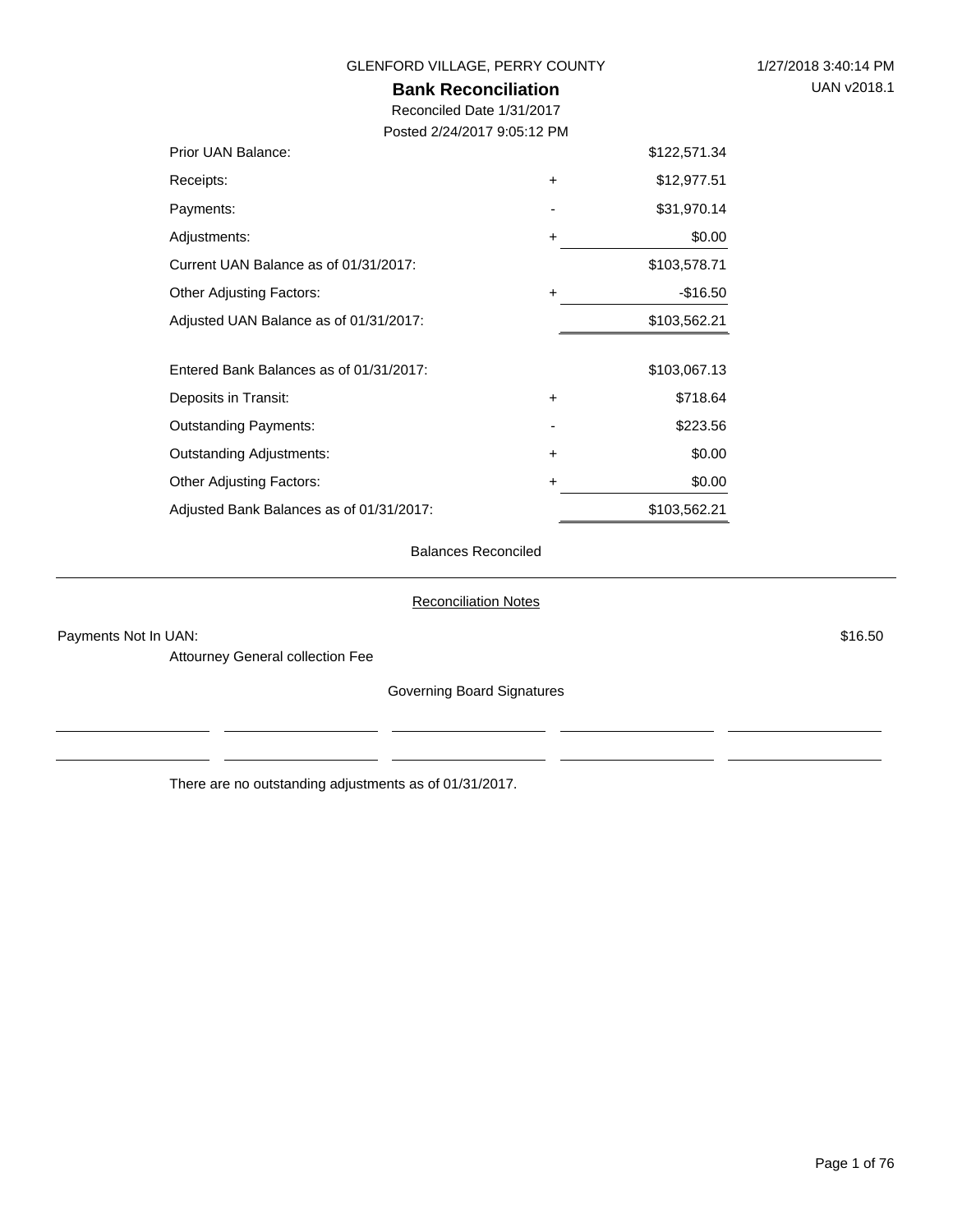**Bank Reconciliation**

Reconciled Date 1/31/2017 Posted 2/24/2017 9:05:12 PM

| Prior UAN Balance:                       |           | \$122,571.34 |
|------------------------------------------|-----------|--------------|
| Receipts:                                | $\ddot{}$ | \$12,977.51  |
| Payments:                                |           | \$31,970.14  |
| Adjustments:                             | $\ddot{}$ | \$0.00       |
| Current UAN Balance as of 01/31/2017:    |           | \$103,578.71 |
| <b>Other Adjusting Factors:</b>          | ÷         | $-$ \$16.50  |
| Adjusted UAN Balance as of 01/31/2017:   |           | \$103,562.21 |
| Entered Bank Balances as of 01/31/2017:  |           | \$103,067.13 |
| Deposits in Transit:                     | +         | \$718.64     |
| <b>Outstanding Payments:</b>             |           | \$223.56     |
| <b>Outstanding Adjustments:</b>          | $\ddot{}$ | \$0.00       |
| <b>Other Adjusting Factors:</b>          | +         | \$0.00       |
| Adjusted Bank Balances as of 01/31/2017: |           | \$103,562.21 |

Balances Reconciled

Reconciliation Notes

Payments Not In UAN: \$16.50

Attourney General collection Fee

Governing Board Signatures

There are no outstanding adjustments as of 01/31/2017.

UAN v2018.1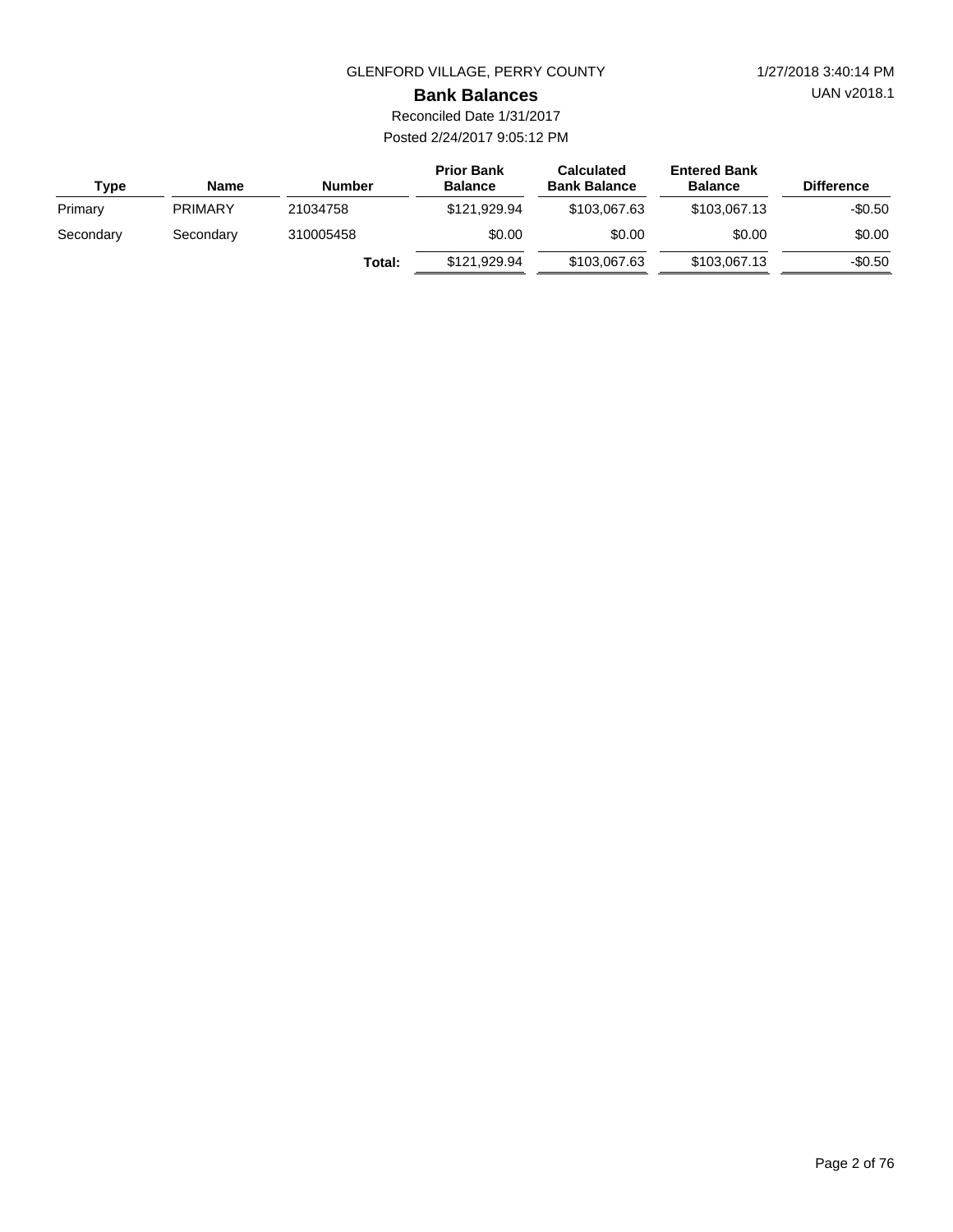UAN v2018.1

#### **Bank Balances**

| <b>Type</b> | <b>Name</b>            | <b>Number</b> | <b>Prior Bank</b><br><b>Balance</b> | <b>Calculated</b><br><b>Bank Balance</b> | <b>Entered Bank</b><br><b>Balance</b> | <b>Difference</b> |
|-------------|------------------------|---------------|-------------------------------------|------------------------------------------|---------------------------------------|-------------------|
| Primary     | <b>PRIMARY</b>         | 21034758      | \$121.929.94                        | \$103,067.63                             | \$103,067.13                          | $-$0.50$          |
| Secondary   | 310005458<br>Secondary |               | \$0.00                              | \$0.00                                   | \$0.00                                | \$0.00            |
|             |                        | Total:        | \$121.929.94                        | \$103,067.63                             | \$103,067.13                          | $-$0.50$          |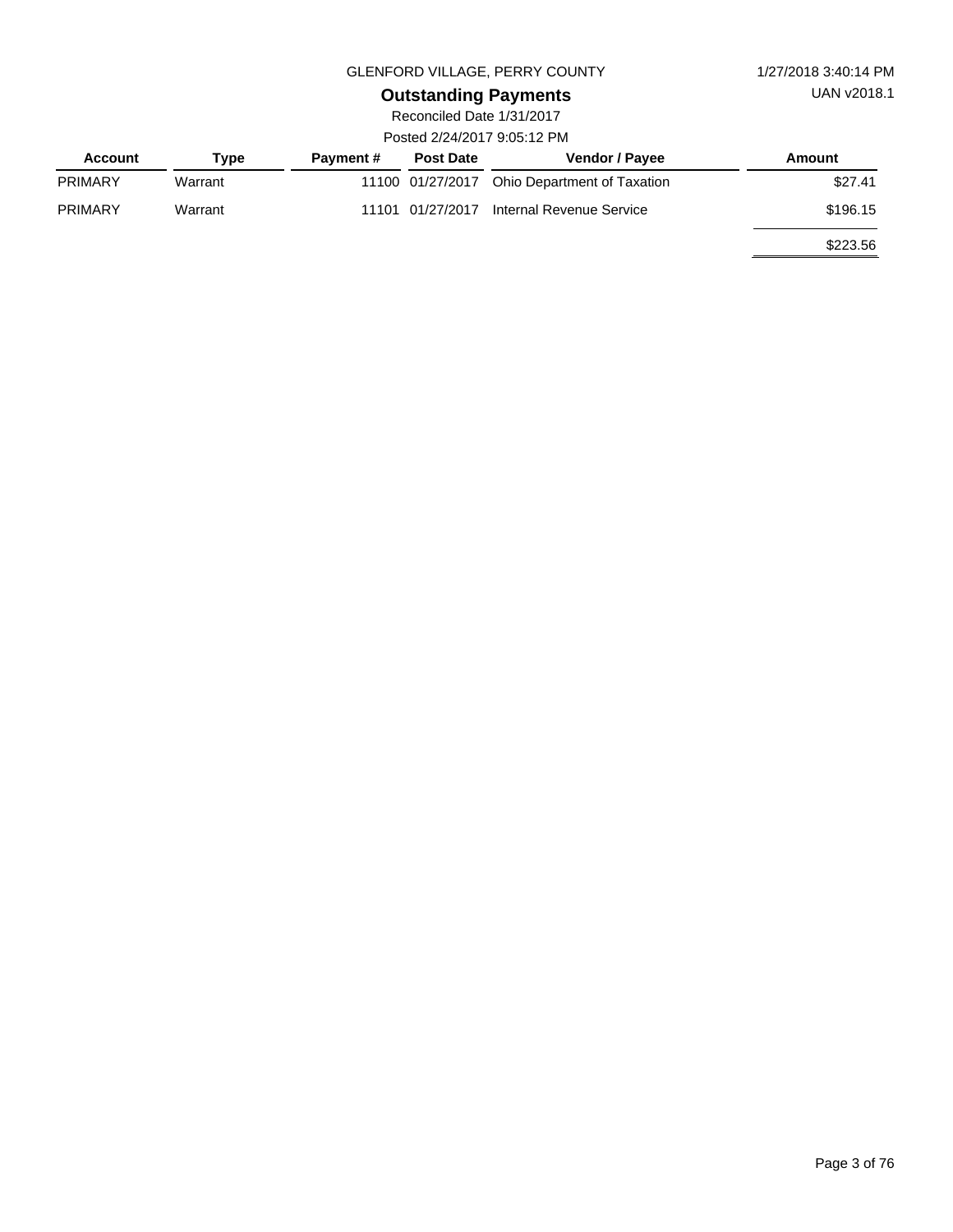# **Outstanding Payments**

| <b>Account</b> | Type    | <b>Payment #</b> | <b>Post Date</b> | <b>Vendor / Payee</b>                        | Amount   |
|----------------|---------|------------------|------------------|----------------------------------------------|----------|
| <b>PRIMARY</b> | Warrant |                  |                  | 11100 01/27/2017 Ohio Department of Taxation | \$27.41  |
| PRIMARY        | Warrant |                  | 11101 01/27/2017 | Internal Revenue Service                     | \$196.15 |
|                |         |                  |                  |                                              | \$223.56 |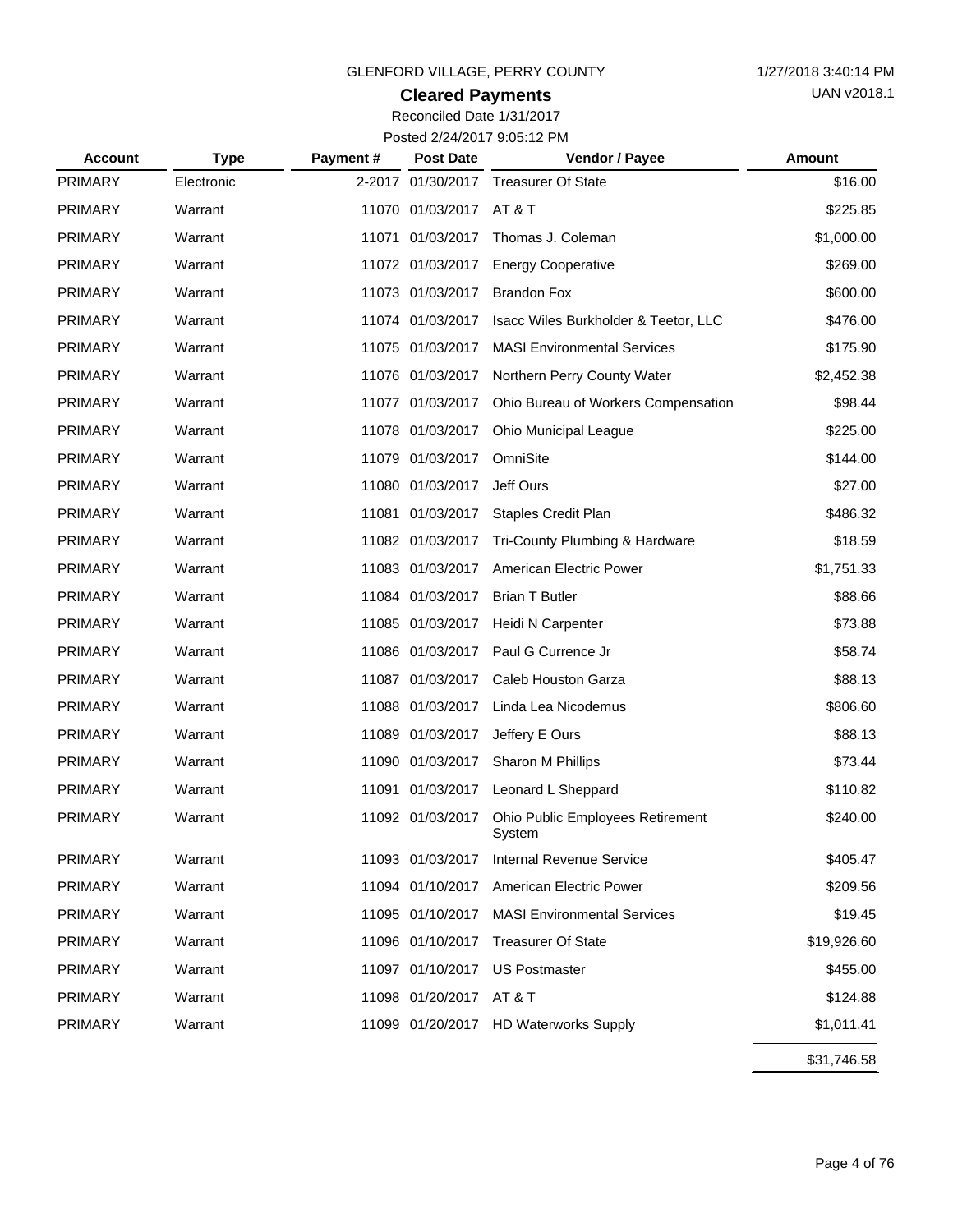# **Cleared Payments**

| <b>Account</b> | <b>Type</b> | Payment# | <b>Post Date</b>        | Vendor / Payee                             | Amount      |
|----------------|-------------|----------|-------------------------|--------------------------------------------|-------------|
| <b>PRIMARY</b> | Electronic  | 2-2017   | 01/30/2017              | <b>Treasurer Of State</b>                  | \$16.00     |
| <b>PRIMARY</b> | Warrant     |          | 11070 01/03/2017        | AT & T                                     | \$225.85    |
| <b>PRIMARY</b> | Warrant     |          | 11071 01/03/2017        | Thomas J. Coleman                          | \$1,000.00  |
| <b>PRIMARY</b> | Warrant     |          | 11072 01/03/2017        | <b>Energy Cooperative</b>                  | \$269.00    |
| <b>PRIMARY</b> | Warrant     |          | 11073 01/03/2017        | <b>Brandon Fox</b>                         | \$600.00    |
| <b>PRIMARY</b> | Warrant     |          | 11074 01/03/2017        | Isacc Wiles Burkholder & Teetor, LLC       | \$476.00    |
| <b>PRIMARY</b> | Warrant     |          | 11075 01/03/2017        | <b>MASI Environmental Services</b>         | \$175.90    |
| <b>PRIMARY</b> | Warrant     |          | 11076 01/03/2017        | Northern Perry County Water                | \$2,452.38  |
| <b>PRIMARY</b> | Warrant     |          | 11077 01/03/2017        | Ohio Bureau of Workers Compensation        | \$98.44     |
| <b>PRIMARY</b> | Warrant     |          | 11078 01/03/2017        | Ohio Municipal League                      | \$225.00    |
| <b>PRIMARY</b> | Warrant     |          | 11079 01/03/2017        | OmniSite                                   | \$144.00    |
| <b>PRIMARY</b> | Warrant     |          | 11080 01/03/2017        | Jeff Ours                                  | \$27.00     |
| <b>PRIMARY</b> | Warrant     |          | 11081 01/03/2017        | Staples Credit Plan                        | \$486.32    |
| <b>PRIMARY</b> | Warrant     |          | 11082 01/03/2017        | Tri-County Plumbing & Hardware             | \$18.59     |
| <b>PRIMARY</b> | Warrant     |          | 11083 01/03/2017        | American Electric Power                    | \$1,751.33  |
| <b>PRIMARY</b> | Warrant     |          | 11084 01/03/2017        | <b>Brian T Butler</b>                      | \$88.66     |
| <b>PRIMARY</b> | Warrant     |          | 11085 01/03/2017        | Heidi N Carpenter                          | \$73.88     |
| <b>PRIMARY</b> | Warrant     |          | 11086 01/03/2017        | Paul G Currence Jr                         | \$58.74     |
| <b>PRIMARY</b> | Warrant     |          | 11087 01/03/2017        | Caleb Houston Garza                        | \$88.13     |
| <b>PRIMARY</b> | Warrant     |          | 11088 01/03/2017        | Linda Lea Nicodemus                        | \$806.60    |
| <b>PRIMARY</b> | Warrant     |          | 11089 01/03/2017        | Jeffery E Ours                             | \$88.13     |
| <b>PRIMARY</b> | Warrant     |          | 11090 01/03/2017        | Sharon M Phillips                          | \$73.44     |
| <b>PRIMARY</b> | Warrant     |          | 11091 01/03/2017        | Leonard L Sheppard                         | \$110.82    |
| <b>PRIMARY</b> | Warrant     |          | 11092 01/03/2017        | Ohio Public Employees Retirement<br>System | \$240.00    |
| <b>PRIMARY</b> | Warrant     |          |                         | 11093 01/03/2017 Internal Revenue Service  | \$405.47    |
| <b>PRIMARY</b> | Warrant     |          |                         | 11094 01/10/2017 American Electric Power   | \$209.56    |
| <b>PRIMARY</b> | Warrant     |          | 11095 01/10/2017        | <b>MASI Environmental Services</b>         | \$19.45     |
| <b>PRIMARY</b> | Warrant     |          | 11096 01/10/2017        | <b>Treasurer Of State</b>                  | \$19,926.60 |
| <b>PRIMARY</b> | Warrant     |          |                         | 11097 01/10/2017 US Postmaster             | \$455.00    |
| <b>PRIMARY</b> | Warrant     |          | 11098 01/20/2017 AT & T |                                            | \$124.88    |
| PRIMARY        | Warrant     |          |                         | 11099 01/20/2017 HD Waterworks Supply      | \$1,011.41  |
|                |             |          |                         |                                            | \$31,746.58 |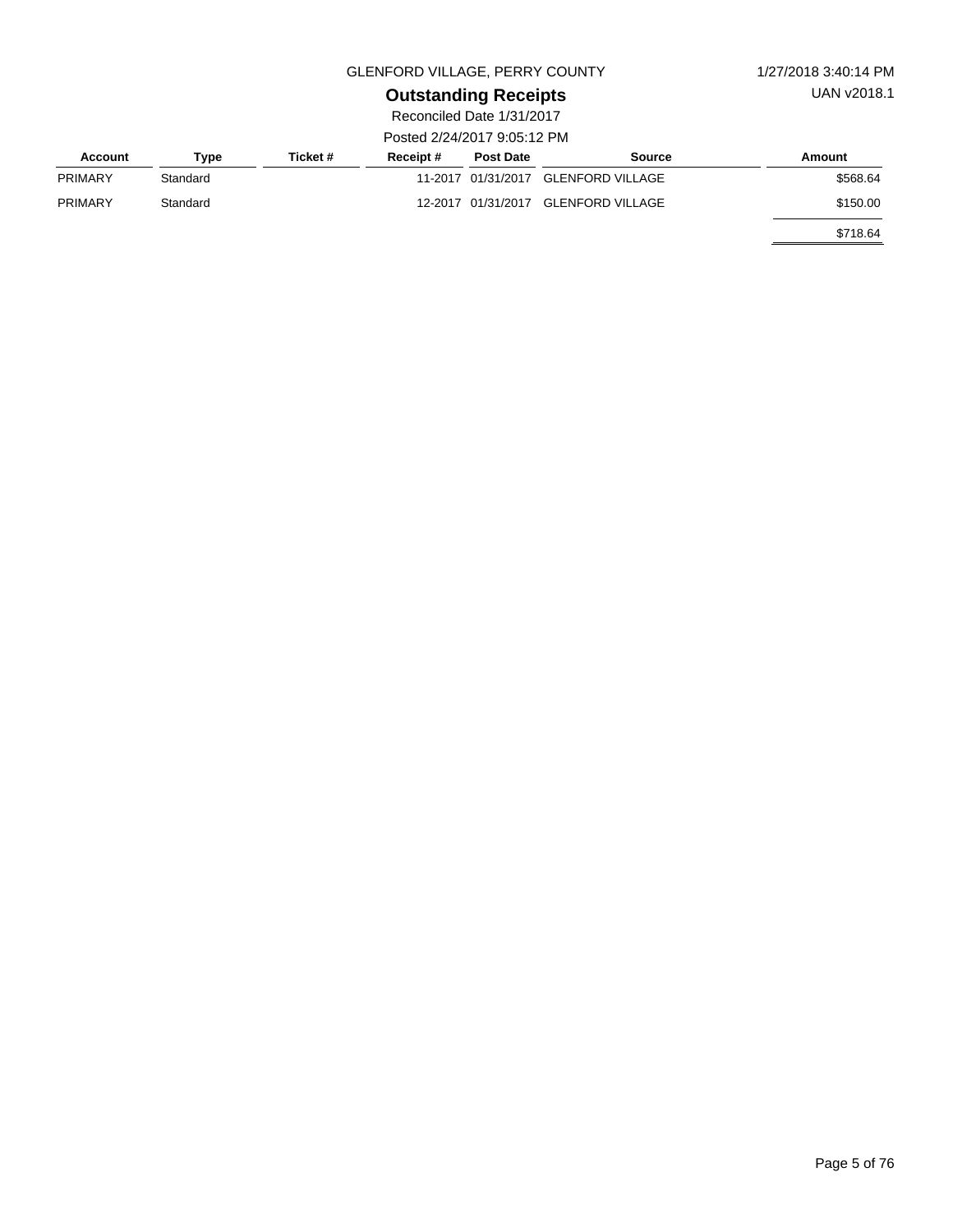UAN v2018.1

#### GLENFORD VILLAGE, PERRY COUNTY 1/27/2018 3:40:14 PM

# **Outstanding Receipts**

| Account        | Type     | Ticket # | Receipt# | <b>Post Date</b>   | Source                              | Amount   |  |  |  |
|----------------|----------|----------|----------|--------------------|-------------------------------------|----------|--|--|--|
| <b>PRIMARY</b> | Standard |          |          | 11-2017 01/31/2017 | GLENFORD VILLAGE                    | \$568.64 |  |  |  |
| <b>PRIMARY</b> | Standard |          |          |                    | 12-2017 01/31/2017 GLENFORD VILLAGE | \$150.00 |  |  |  |
|                |          |          |          |                    |                                     | \$718.64 |  |  |  |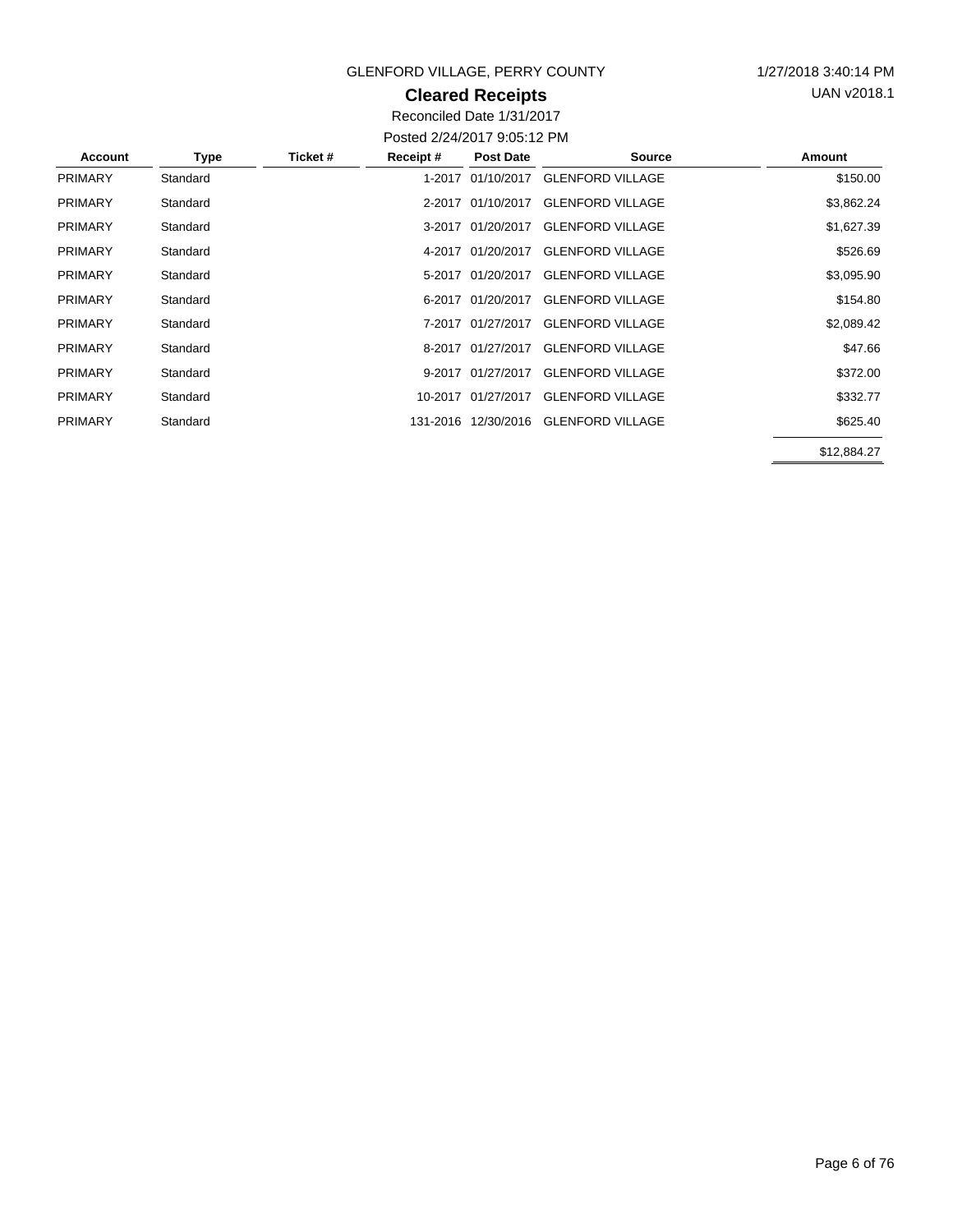# **Cleared Receipts**

UAN v2018.1

| <b>Account</b> | Type     | Ticket # | Receipt# | <b>Post Date</b>   | <b>Source</b>                        | Amount      |
|----------------|----------|----------|----------|--------------------|--------------------------------------|-------------|
| <b>PRIMARY</b> | Standard |          | 1-2017   | 01/10/2017         | <b>GLENFORD VILLAGE</b>              | \$150.00    |
| <b>PRIMARY</b> | Standard |          |          | 2-2017 01/10/2017  | <b>GLENFORD VILLAGE</b>              | \$3,862.24  |
| <b>PRIMARY</b> | Standard |          |          | 3-2017 01/20/2017  | <b>GLENFORD VILLAGE</b>              | \$1,627.39  |
| <b>PRIMARY</b> | Standard |          |          | 4-2017 01/20/2017  | <b>GLENFORD VILLAGE</b>              | \$526.69    |
| <b>PRIMARY</b> | Standard |          |          | 5-2017 01/20/2017  | <b>GLENFORD VILLAGE</b>              | \$3,095.90  |
| <b>PRIMARY</b> | Standard |          |          | 6-2017 01/20/2017  | <b>GLENFORD VILLAGE</b>              | \$154.80    |
| <b>PRIMARY</b> | Standard |          |          |                    | 7-2017 01/27/2017 GLENFORD VILLAGE   | \$2,089.42  |
| <b>PRIMARY</b> | Standard |          |          | 8-2017 01/27/2017  | <b>GLENFORD VILLAGE</b>              | \$47.66     |
| <b>PRIMARY</b> | Standard |          |          | 9-2017 01/27/2017  | <b>GLENFORD VILLAGE</b>              | \$372.00    |
| <b>PRIMARY</b> | Standard |          |          | 10-2017 01/27/2017 | <b>GLENFORD VILLAGE</b>              | \$332.77    |
| <b>PRIMARY</b> | Standard |          |          |                    | 131-2016 12/30/2016 GLENFORD VILLAGE | \$625.40    |
|                |          |          |          |                    |                                      | \$12,884.27 |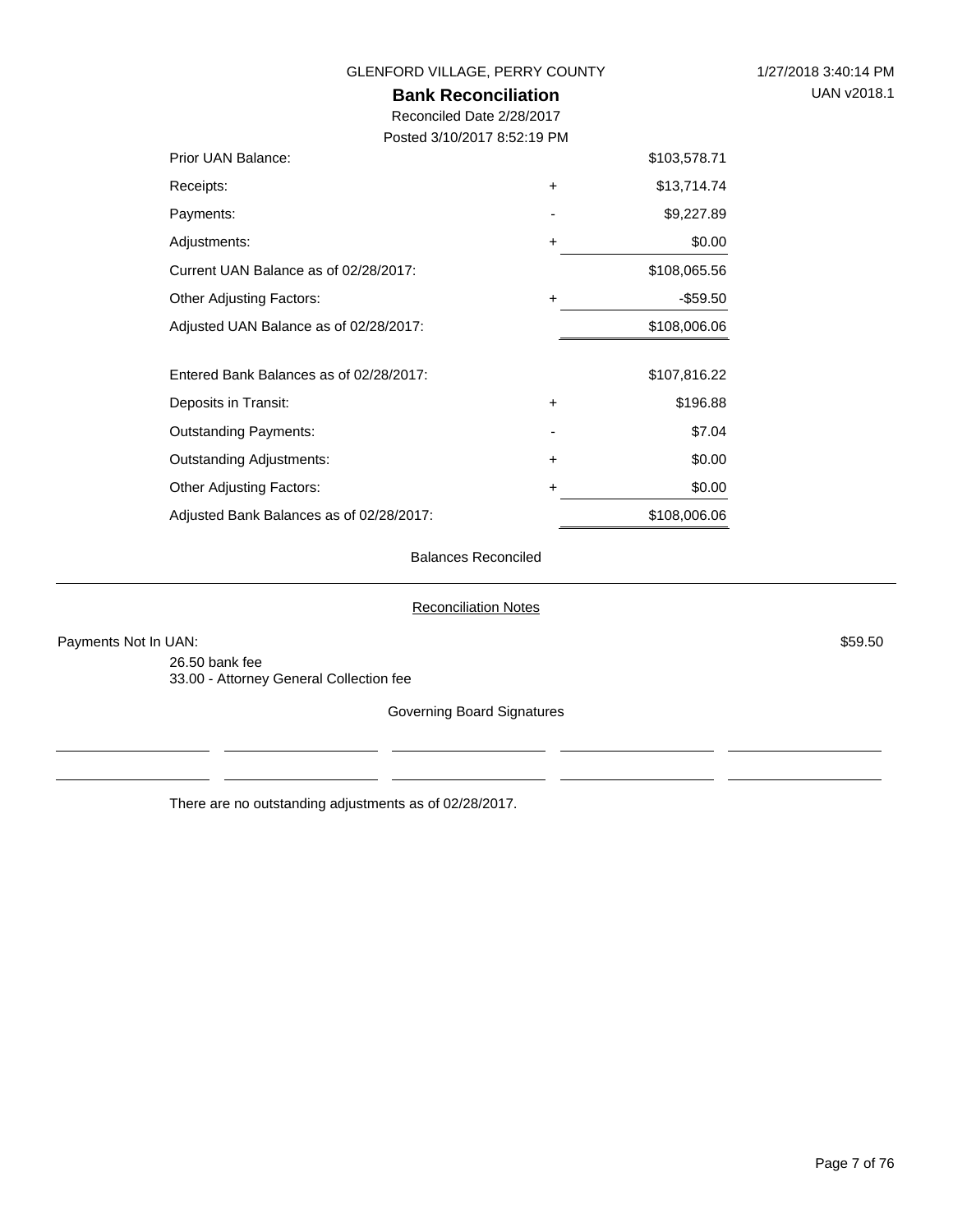| GLENFORD VILLAGE, PERRY COUNTY           | 1/27/2018 3:40:14 PM |              |  |
|------------------------------------------|----------------------|--------------|--|
| <b>Bank Reconciliation</b>               | UAN v2018.1          |              |  |
| Reconciled Date 2/28/2017                |                      |              |  |
| Posted 3/10/2017 8:52:19 PM              |                      |              |  |
| Prior UAN Balance:                       |                      | \$103,578.71 |  |
| Receipts:                                | $\ddot{}$            | \$13,714.74  |  |
| Payments:                                |                      | \$9,227.89   |  |
| Adjustments:                             | +                    | \$0.00       |  |
| Current UAN Balance as of 02/28/2017:    |                      | \$108,065.56 |  |
| Other Adjusting Factors:                 | +                    | $-$ \$59.50  |  |
| Adjusted UAN Balance as of 02/28/2017:   |                      | \$108,006.06 |  |
| Entered Bank Balances as of 02/28/2017:  |                      | \$107,816.22 |  |
| Deposits in Transit:                     | +                    | \$196.88     |  |
| <b>Outstanding Payments:</b>             |                      | \$7.04       |  |
| Outstanding Adjustments:                 | +                    | \$0.00       |  |
| Other Adjusting Factors:                 | +                    | \$0.00       |  |
| Adjusted Bank Balances as of 02/28/2017: |                      | \$108,006.06 |  |
|                                          |                      |              |  |

#### Balances Reconciled

#### Reconciliation Notes

Payments Not In UAN: \$59.50

26.50 bank fee 33.00 - Attorney General Collection fee

Governing Board Signatures

There are no outstanding adjustments as of 02/28/2017.

Page 7 of 76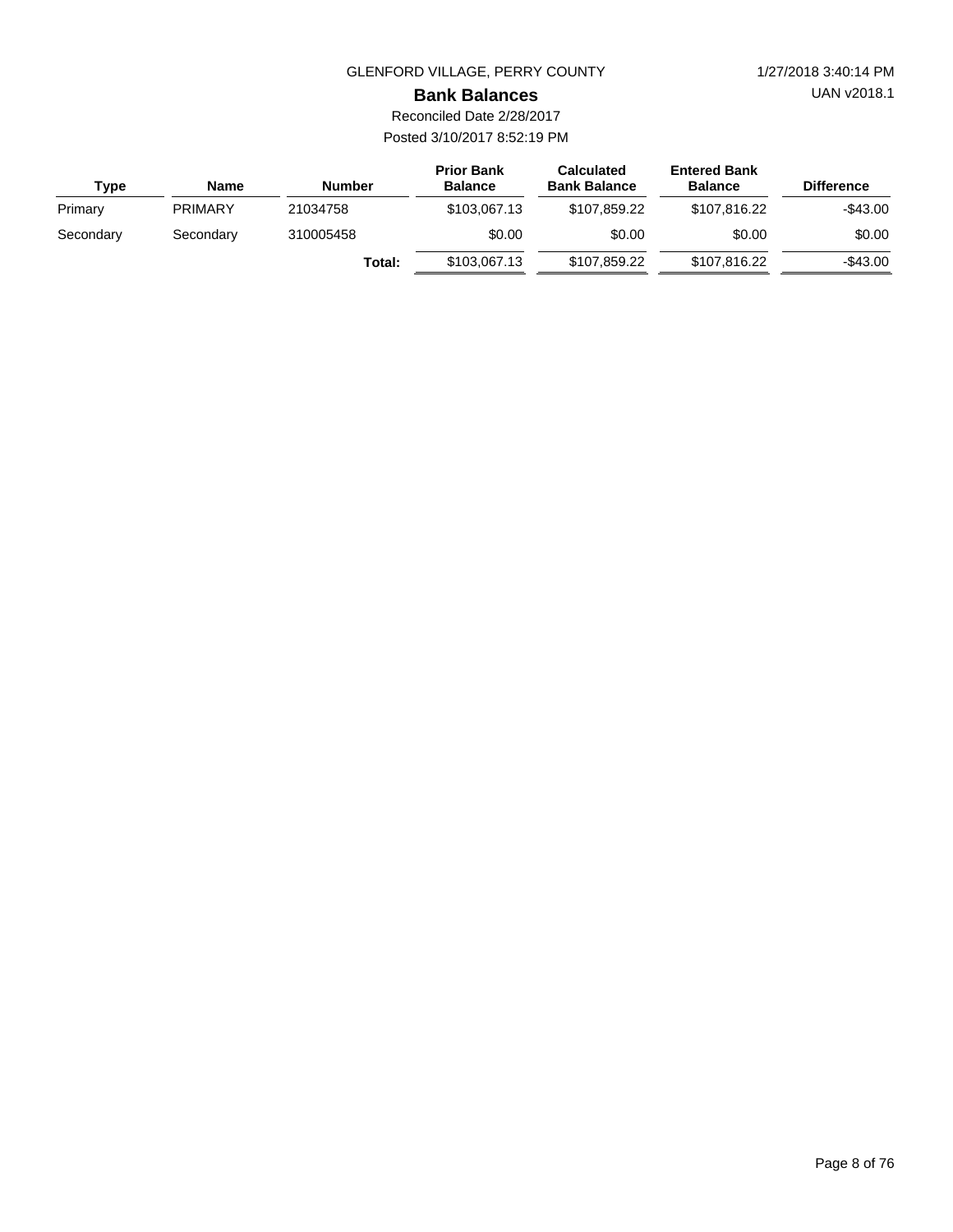UAN v2018.1

## **Bank Balances**

| Type      | <b>Name</b>            | <b>Number</b> | <b>Prior Bank</b><br><b>Balance</b> | <b>Calculated</b><br><b>Bank Balance</b> | <b>Entered Bank</b><br><b>Balance</b> | <b>Difference</b> |
|-----------|------------------------|---------------|-------------------------------------|------------------------------------------|---------------------------------------|-------------------|
| Primary   | <b>PRIMARY</b>         | 21034758      | \$103,067.13                        | \$107.859.22                             | \$107.816.22                          | $-$43.00$         |
| Secondary | 310005458<br>Secondary |               | \$0.00                              | \$0.00                                   | \$0.00                                | \$0.00            |
|           |                        | Total:        | \$103,067.13                        | \$107,859.22                             | \$107.816.22                          | $-$43.00$         |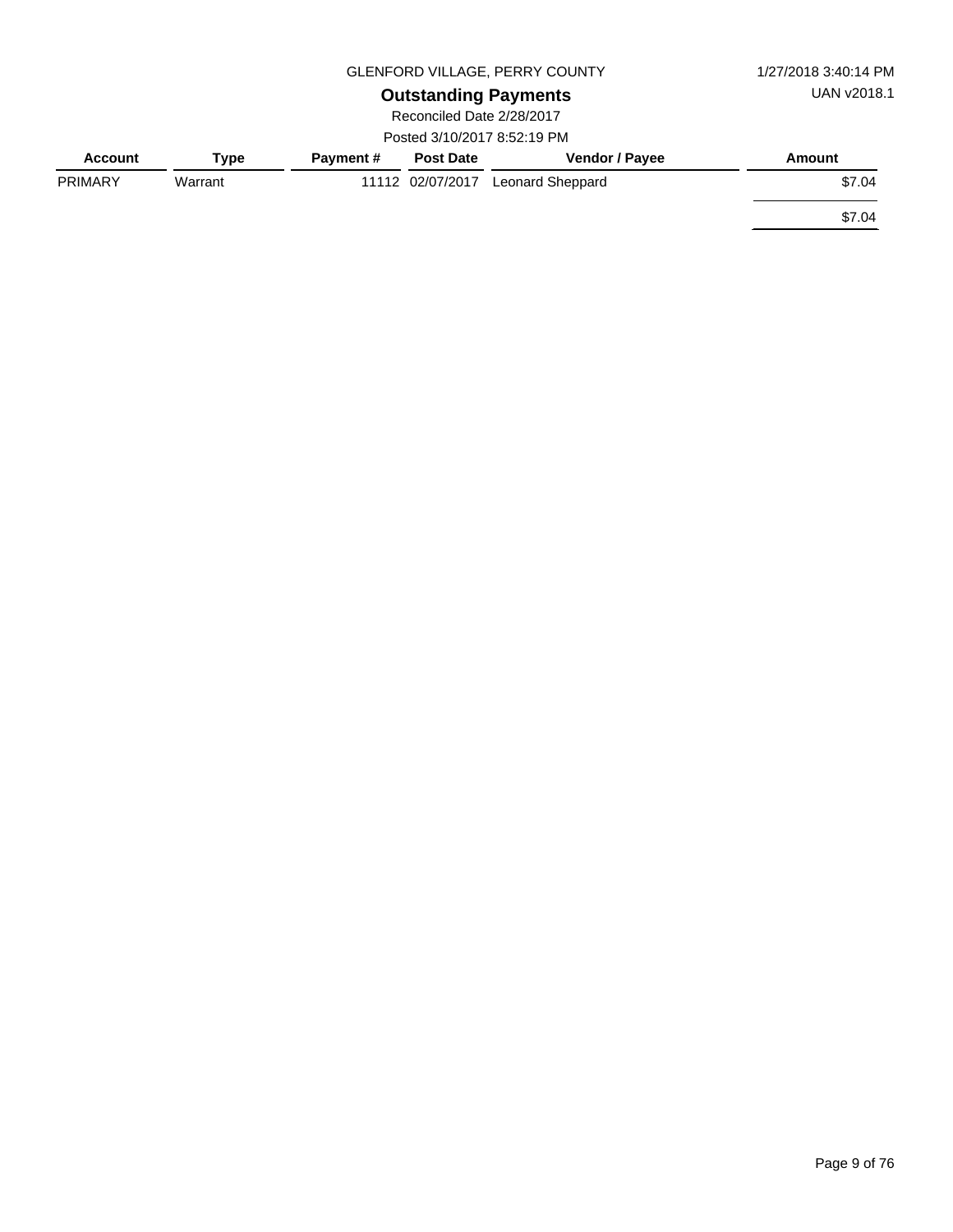|                |         |                             |                           | GLENFORD VILLAGE, PERRY COUNTY | 1/27/2018 3:40:14 PM |
|----------------|---------|-----------------------------|---------------------------|--------------------------------|----------------------|
|                |         | <b>Outstanding Payments</b> | UAN v2018.1               |                                |                      |
|                |         |                             | Reconciled Date 2/28/2017 |                                |                      |
|                |         |                             |                           | Posted 3/10/2017 8:52:19 PM    |                      |
| <b>Account</b> | Type    | <b>Payment#</b>             | <b>Post Date</b>          | <b>Vendor / Payee</b>          | Amount               |
| <b>PRIMARY</b> | Warrant |                             | 11112 02/07/2017          | Leonard Sheppard               | \$7.04               |
|                |         |                             |                           |                                | \$7.04               |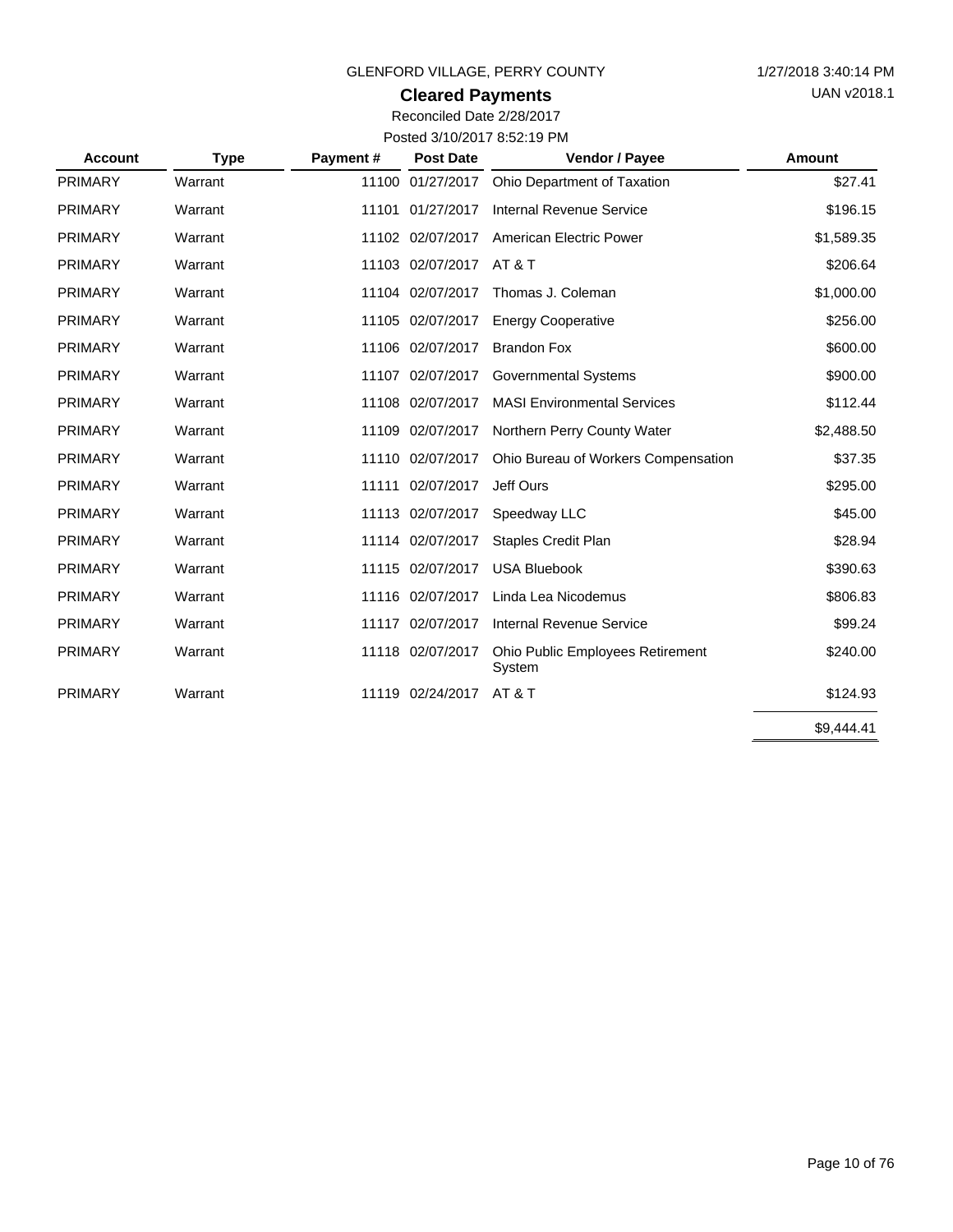# **Cleared Payments**

| <b>Account</b> | <b>Type</b> | Payment# | <b>Post Date</b> | Vendor / Payee                             | <b>Amount</b> |
|----------------|-------------|----------|------------------|--------------------------------------------|---------------|
| <b>PRIMARY</b> | Warrant     |          | 11100 01/27/2017 | Ohio Department of Taxation                | \$27.41       |
| <b>PRIMARY</b> | Warrant     |          | 11101 01/27/2017 | Internal Revenue Service                   | \$196.15      |
| <b>PRIMARY</b> | Warrant     |          | 11102 02/07/2017 | American Electric Power                    | \$1,589.35    |
| <b>PRIMARY</b> | Warrant     |          | 11103 02/07/2017 | <b>AT &amp; T</b>                          | \$206.64      |
| PRIMARY        | Warrant     |          | 11104 02/07/2017 | Thomas J. Coleman                          | \$1,000.00    |
| <b>PRIMARY</b> | Warrant     |          | 11105 02/07/2017 | <b>Energy Cooperative</b>                  | \$256.00      |
| <b>PRIMARY</b> | Warrant     |          | 11106 02/07/2017 | <b>Brandon Fox</b>                         | \$600.00      |
| <b>PRIMARY</b> | Warrant     |          | 11107 02/07/2017 | <b>Governmental Systems</b>                | \$900.00      |
| PRIMARY        | Warrant     |          | 11108 02/07/2017 | <b>MASI Environmental Services</b>         | \$112.44      |
| PRIMARY        | Warrant     |          | 11109 02/07/2017 | Northern Perry County Water                | \$2,488.50    |
| <b>PRIMARY</b> | Warrant     |          | 11110 02/07/2017 | Ohio Bureau of Workers Compensation        | \$37.35       |
| <b>PRIMARY</b> | Warrant     |          | 11111 02/07/2017 | Jeff Ours                                  | \$295.00      |
| <b>PRIMARY</b> | Warrant     |          | 11113 02/07/2017 | Speedway LLC                               | \$45.00       |
| PRIMARY        | Warrant     |          | 11114 02/07/2017 | <b>Staples Credit Plan</b>                 | \$28.94       |
| <b>PRIMARY</b> | Warrant     |          | 11115 02/07/2017 | <b>USA Bluebook</b>                        | \$390.63      |
| PRIMARY        | Warrant     |          | 11116 02/07/2017 | Linda Lea Nicodemus                        | \$806.83      |
| PRIMARY        | Warrant     |          | 11117 02/07/2017 | <b>Internal Revenue Service</b>            | \$99.24       |
| <b>PRIMARY</b> | Warrant     |          | 11118 02/07/2017 | Ohio Public Employees Retirement<br>System | \$240.00      |
| PRIMARY        | Warrant     |          | 11119 02/24/2017 | <b>AT &amp; T</b>                          | \$124.93      |
|                |             |          |                  |                                            | \$9.444.41    |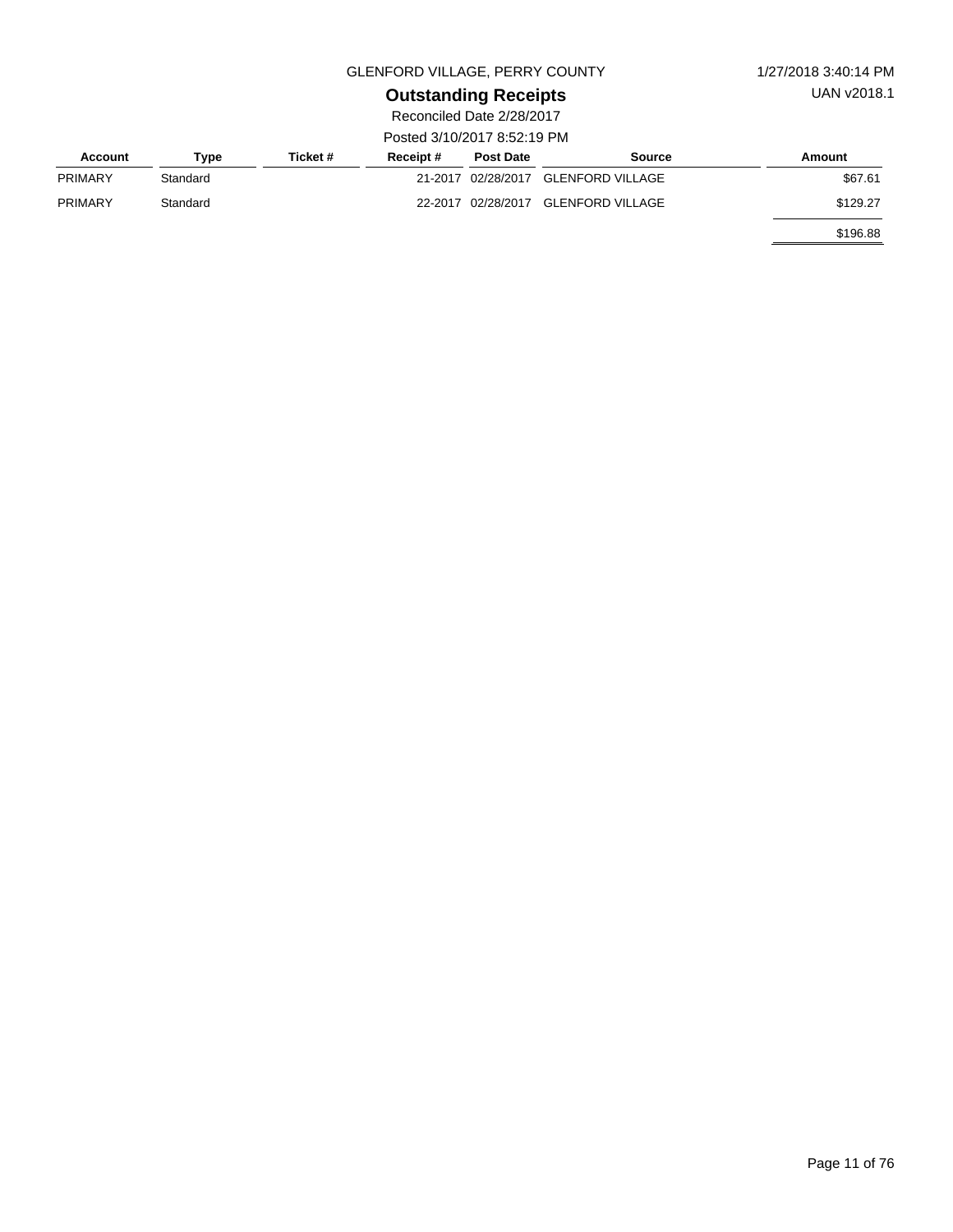UAN v2018.1

# **Outstanding Receipts**

| $0.3150$ $0.1072011$ $0.32113$ $1.101$ |          |          |          |                    |                         |          |  |  |  |
|----------------------------------------|----------|----------|----------|--------------------|-------------------------|----------|--|--|--|
| Account                                | Type     | Ticket # | Receipt# | <b>Post Date</b>   | Source                  | Amount   |  |  |  |
| PRIMARY                                | Standard |          |          | 21-2017 02/28/2017 | <b>GLENFORD VILLAGE</b> | \$67.61  |  |  |  |
| PRIMARY                                | Standard |          |          | 22-2017 02/28/2017 | <b>GLENFORD VILLAGE</b> | \$129.27 |  |  |  |
|                                        |          |          |          |                    |                         | \$196.88 |  |  |  |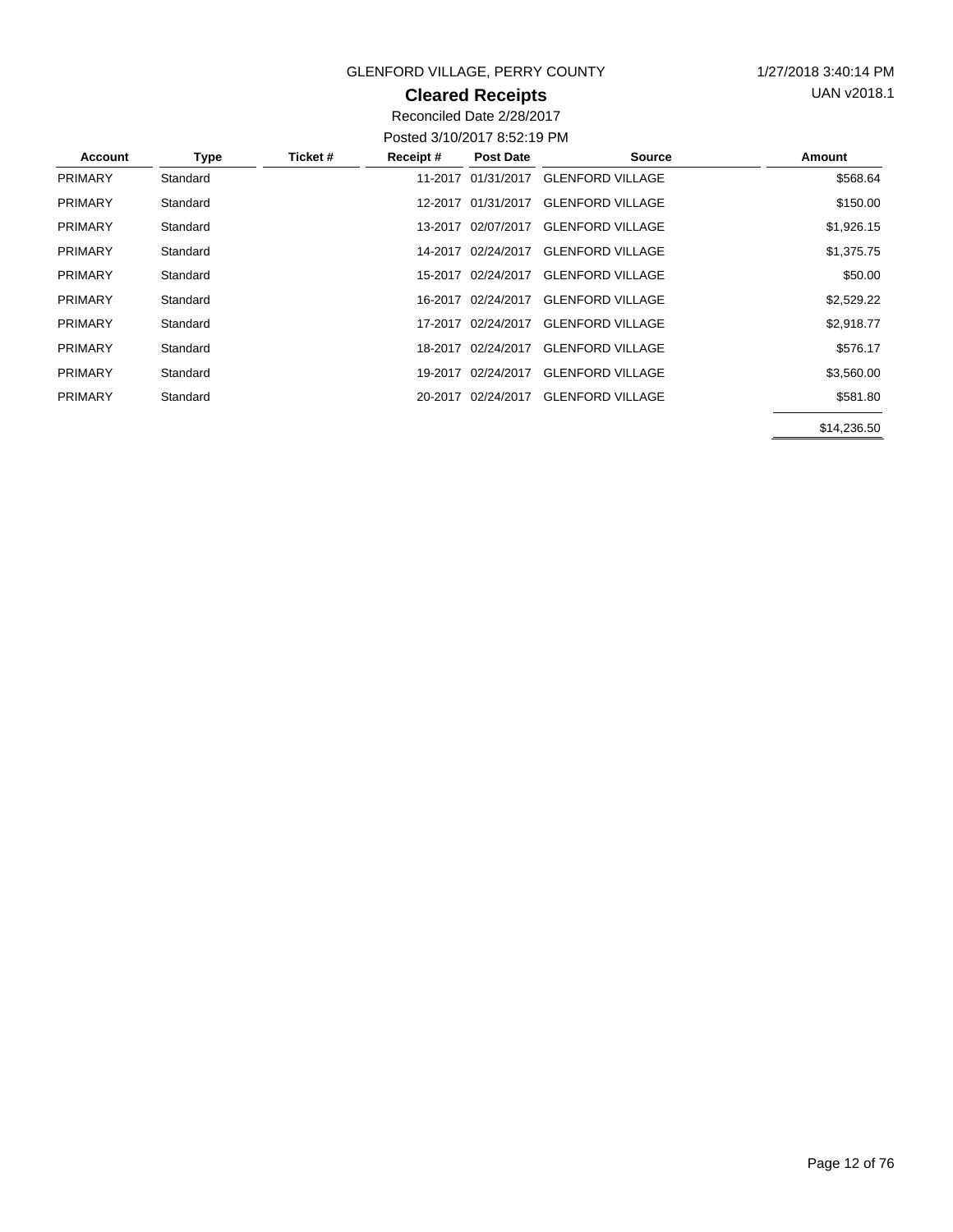## **Cleared Receipts**

UAN v2018.1

| Account        | Type     | Ticket # | Receipt# | <b>Post Date</b>   | <b>Source</b>                       | Amount      |
|----------------|----------|----------|----------|--------------------|-------------------------------------|-------------|
| <b>PRIMARY</b> | Standard |          |          | 11-2017 01/31/2017 | <b>GLENFORD VILLAGE</b>             | \$568.64    |
| <b>PRIMARY</b> | Standard |          |          |                    | 12-2017 01/31/2017 GLENFORD VILLAGE | \$150.00    |
| <b>PRIMARY</b> | Standard |          |          | 13-2017 02/07/2017 | <b>GLENFORD VILLAGE</b>             | \$1,926.15  |
| <b>PRIMARY</b> | Standard |          |          | 14-2017 02/24/2017 | <b>GLENFORD VILLAGE</b>             | \$1,375.75  |
| <b>PRIMARY</b> | Standard |          |          | 15-2017 02/24/2017 | <b>GLENFORD VILLAGE</b>             | \$50.00     |
| <b>PRIMARY</b> | Standard |          |          | 16-2017 02/24/2017 | <b>GLENFORD VILLAGE</b>             | \$2,529.22  |
| <b>PRIMARY</b> | Standard |          |          | 17-2017 02/24/2017 | <b>GLENFORD VILLAGE</b>             | \$2,918.77  |
| <b>PRIMARY</b> | Standard |          |          | 18-2017 02/24/2017 | <b>GLENFORD VILLAGE</b>             | \$576.17    |
| <b>PRIMARY</b> | Standard |          |          | 19-2017 02/24/2017 | <b>GLENFORD VILLAGE</b>             | \$3,560.00  |
| <b>PRIMARY</b> | Standard |          |          | 20-2017 02/24/2017 | <b>GLENFORD VILLAGE</b>             | \$581.80    |
|                |          |          |          |                    |                                     | \$14,236.50 |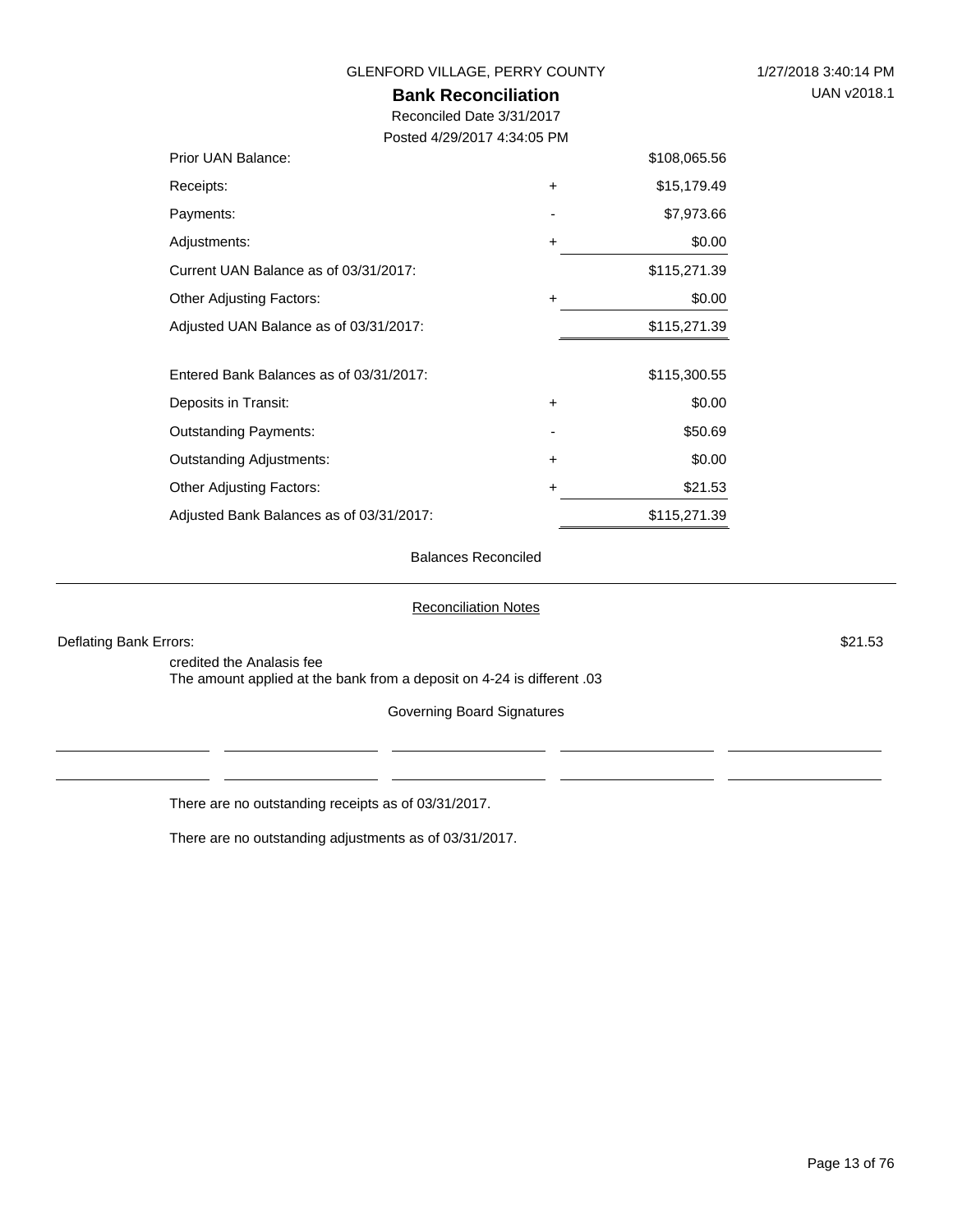# **Bank Reconciliation**

Reconciled Date 3/31/2017 Posted 4/29/2017 4:34:05 PM

| Prior UAN Balance:                       |           | \$108,065.56 |
|------------------------------------------|-----------|--------------|
| Receipts:                                | $\ddot{}$ | \$15,179.49  |
| Payments:                                |           | \$7,973.66   |
| Adjustments:                             | +         | \$0.00       |
| Current UAN Balance as of 03/31/2017:    |           | \$115,271.39 |
| Other Adjusting Factors:                 | +         | \$0.00       |
| Adjusted UAN Balance as of 03/31/2017:   |           | \$115,271.39 |
| Entered Bank Balances as of 03/31/2017:  |           | \$115,300.55 |
| Deposits in Transit:                     | $\ddot{}$ | \$0.00       |
| <b>Outstanding Payments:</b>             |           | \$50.69      |
| Outstanding Adjustments:                 | +         | \$0.00       |
| Other Adjusting Factors:                 | +         | \$21.53      |
| Adjusted Bank Balances as of 03/31/2017: |           | \$115,271.39 |

#### Balances Reconciled

#### Reconciliation Notes

Deflating Bank Errors: \$21.53

credited the Analasis fee The amount applied at the bank from a deposit on 4-24 is different .03

Governing Board Signatures

There are no outstanding receipts as of 03/31/2017.

There are no outstanding adjustments as of 03/31/2017.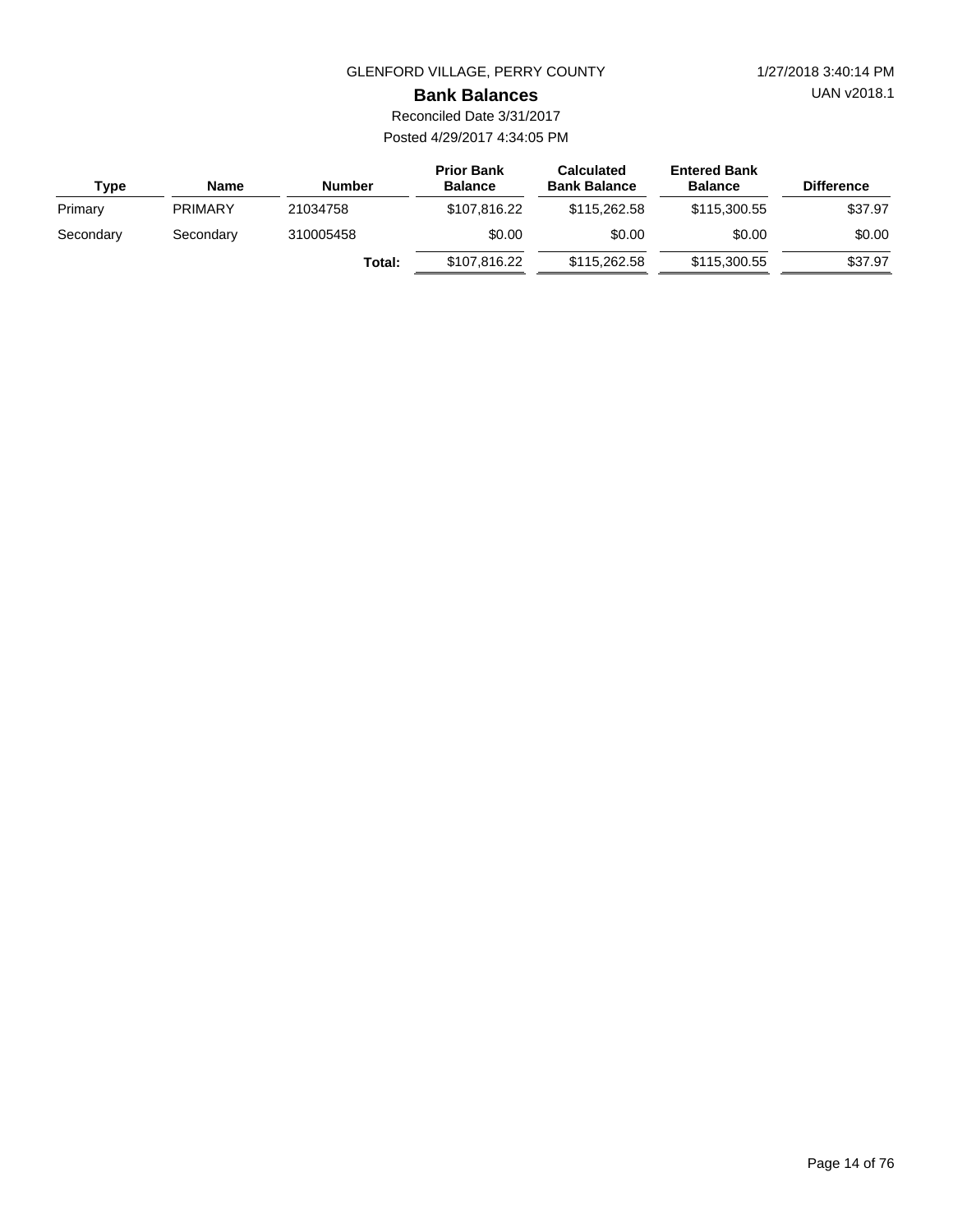UAN v2018.1

#### **Bank Balances**

Reconciled Date 3/31/2017 Posted 4/29/2017 4:34:05 PM

| Type      | Name           | <b>Number</b> | <b>Prior Bank</b><br><b>Balance</b> | <b>Calculated</b><br><b>Bank Balance</b> | <b>Entered Bank</b><br><b>Balance</b> | <b>Difference</b> |
|-----------|----------------|---------------|-------------------------------------|------------------------------------------|---------------------------------------|-------------------|
| Primary   | <b>PRIMARY</b> | 21034758      | \$107,816.22                        | \$115,262.58                             | \$115,300.55                          | \$37.97           |
| Secondary | Secondary      | 310005458     | \$0.00                              | \$0.00                                   | \$0.00                                | \$0.00            |
|           |                | Total:        | \$107,816.22                        | \$115,262.58                             | \$115,300.55                          | \$37.97           |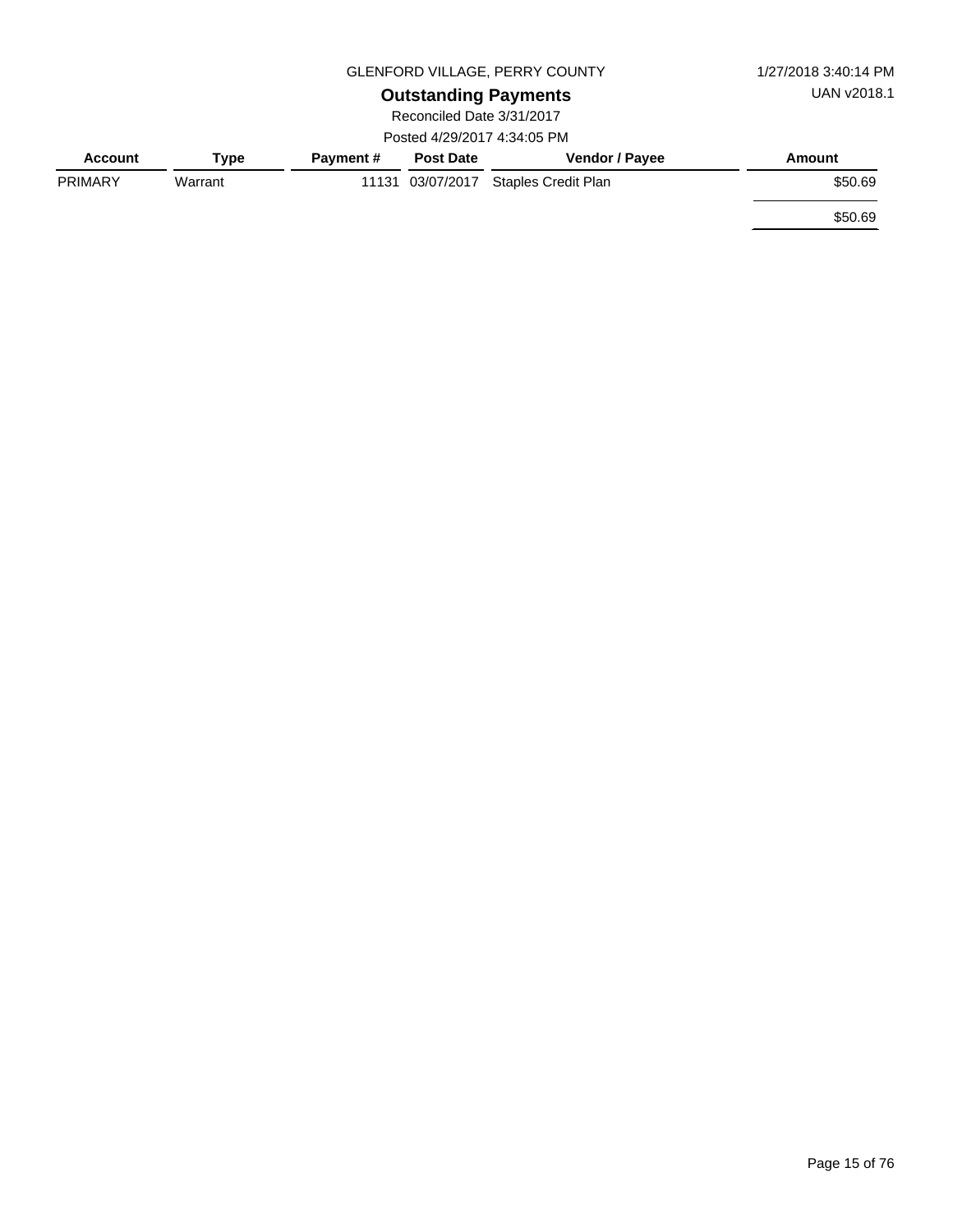|                             |          |                  |                       | 1/27/2018 3:40:14 PM                                                                              |  |
|-----------------------------|----------|------------------|-----------------------|---------------------------------------------------------------------------------------------------|--|
| <b>Outstanding Payments</b> |          |                  |                       |                                                                                                   |  |
|                             |          |                  |                       |                                                                                                   |  |
|                             |          |                  |                       |                                                                                                   |  |
| Type                        | Payment# | <b>Post Date</b> | <b>Vendor / Payee</b> | Amount                                                                                            |  |
| Warrant                     |          |                  | Staples Credit Plan   | \$50.69                                                                                           |  |
|                             |          |                  | 11131 03/07/2017      | <b>GLENFORD VILLAGE, PERRY COUNTY</b><br>Reconciled Date 3/31/2017<br>Posted 4/29/2017 4:34:05 PM |  |

\$50.69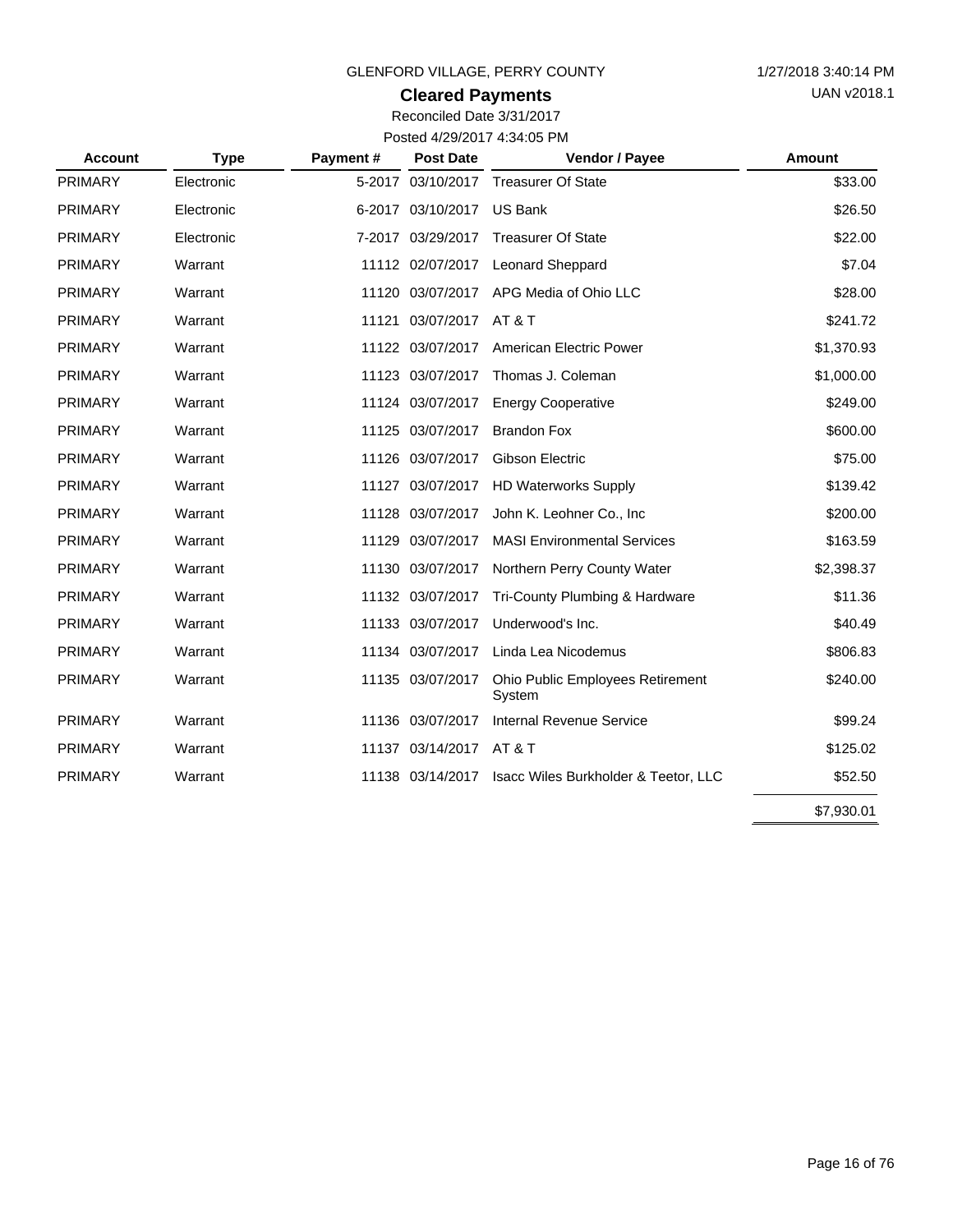# **Cleared Payments**

Reconciled Date 3/31/2017 Posted 4/29/2017 4:34:05 PM

| <b>Account</b> | <b>Type</b> | Payment# | <b>Post Date</b>        | Vendor / Payee                             | <b>Amount</b> |
|----------------|-------------|----------|-------------------------|--------------------------------------------|---------------|
| <b>PRIMARY</b> | Electronic  |          |                         | 5-2017 03/10/2017 Treasurer Of State       | \$33.00       |
| <b>PRIMARY</b> | Electronic  |          | 6-2017 03/10/2017       | US Bank                                    | \$26.50       |
| <b>PRIMARY</b> | Electronic  |          | 7-2017 03/29/2017       | <b>Treasurer Of State</b>                  | \$22.00       |
| <b>PRIMARY</b> | Warrant     |          | 11112 02/07/2017        | <b>Leonard Sheppard</b>                    | \$7.04        |
| <b>PRIMARY</b> | Warrant     |          | 11120 03/07/2017        | APG Media of Ohio LLC                      | \$28.00       |
| <b>PRIMARY</b> | Warrant     |          | 11121 03/07/2017 AT & T |                                            | \$241.72      |
| <b>PRIMARY</b> | Warrant     |          | 11122 03/07/2017        | American Electric Power                    | \$1,370.93    |
| <b>PRIMARY</b> | Warrant     |          | 11123 03/07/2017        | Thomas J. Coleman                          | \$1,000.00    |
| <b>PRIMARY</b> | Warrant     |          | 11124 03/07/2017        | <b>Energy Cooperative</b>                  | \$249.00      |
| <b>PRIMARY</b> | Warrant     |          | 11125 03/07/2017        | <b>Brandon Fox</b>                         | \$600.00      |
| <b>PRIMARY</b> | Warrant     |          | 11126 03/07/2017        | <b>Gibson Electric</b>                     | \$75.00       |
| <b>PRIMARY</b> | Warrant     |          | 11127 03/07/2017        | <b>HD Waterworks Supply</b>                | \$139.42      |
| <b>PRIMARY</b> | Warrant     |          | 11128 03/07/2017        | John K. Leohner Co., Inc                   | \$200.00      |
| <b>PRIMARY</b> | Warrant     |          | 11129 03/07/2017        | <b>MASI Environmental Services</b>         | \$163.59      |
| <b>PRIMARY</b> | Warrant     |          | 11130 03/07/2017        | Northern Perry County Water                | \$2,398.37    |
| <b>PRIMARY</b> | Warrant     |          | 11132 03/07/2017        | Tri-County Plumbing & Hardware             | \$11.36       |
| <b>PRIMARY</b> | Warrant     |          | 11133 03/07/2017        | Underwood's Inc.                           | \$40.49       |
| <b>PRIMARY</b> | Warrant     |          | 11134 03/07/2017        | Linda Lea Nicodemus                        | \$806.83      |
| <b>PRIMARY</b> | Warrant     |          | 11135 03/07/2017        | Ohio Public Employees Retirement<br>System | \$240.00      |
| <b>PRIMARY</b> | Warrant     |          | 11136 03/07/2017        | <b>Internal Revenue Service</b>            | \$99.24       |
| <b>PRIMARY</b> | Warrant     |          | 11137 03/14/2017        | <b>AT &amp; T</b>                          | \$125.02      |
| <b>PRIMARY</b> | Warrant     |          | 11138 03/14/2017        | Isacc Wiles Burkholder & Teetor, LLC       | \$52.50       |
|                |             |          |                         |                                            | \$7,930.01    |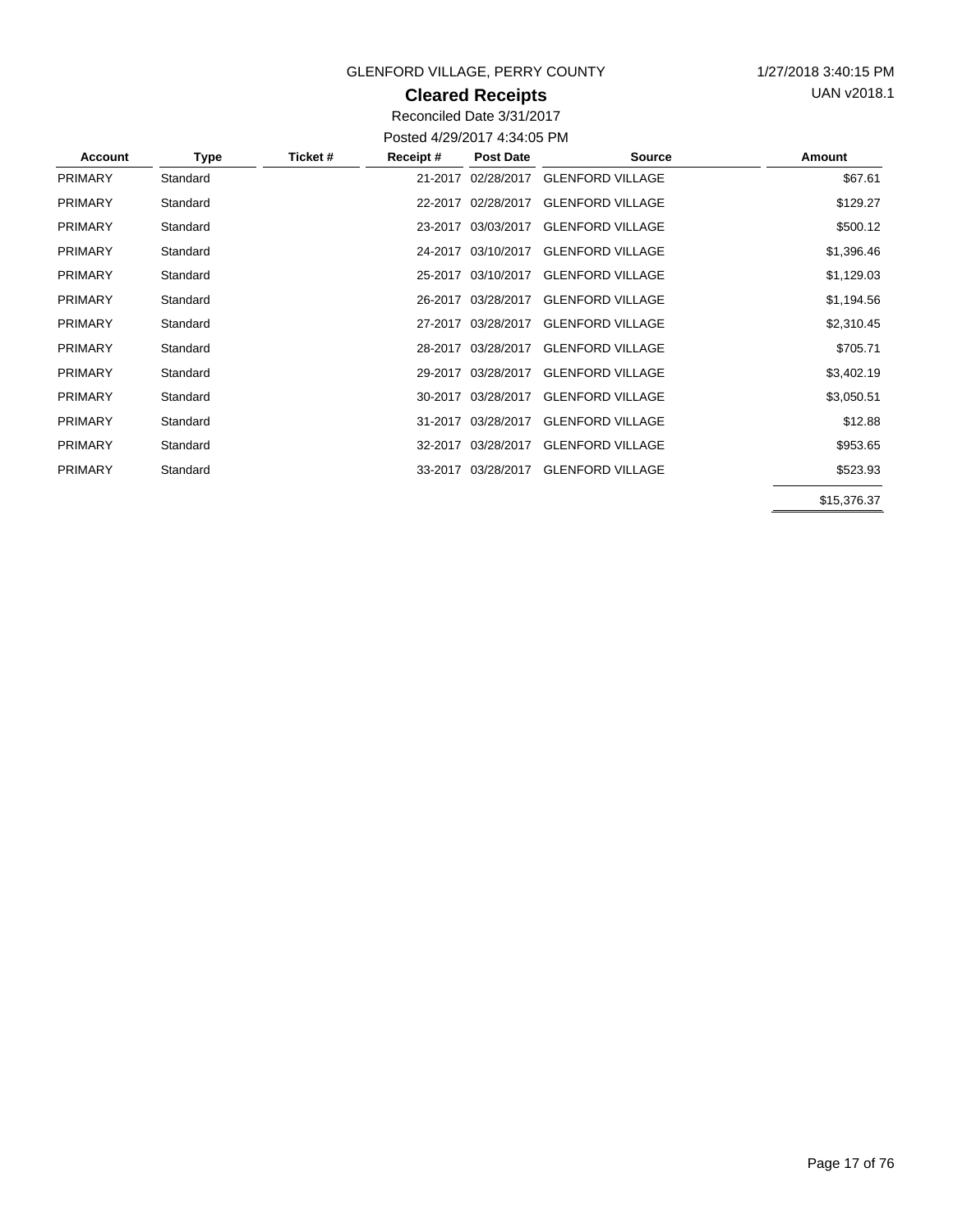# **Cleared Receipts**

UAN v2018.1

Reconciled Date 3/31/2017 Posted 4/29/2017 4:34:05 PM

| <b>Account</b> | Type     | Ticket # | Receipt# | <b>Post Date</b>   | <b>Source</b>                       | Amount      |
|----------------|----------|----------|----------|--------------------|-------------------------------------|-------------|
| <b>PRIMARY</b> | Standard |          | 21-2017  | 02/28/2017         | <b>GLENFORD VILLAGE</b>             | \$67.61     |
| <b>PRIMARY</b> | Standard |          | 22-2017  | 02/28/2017         | <b>GLENFORD VILLAGE</b>             | \$129.27    |
| <b>PRIMARY</b> | Standard |          |          | 23-2017 03/03/2017 | <b>GLENFORD VILLAGE</b>             | \$500.12    |
| <b>PRIMARY</b> | Standard |          |          | 24-2017 03/10/2017 | <b>GLENFORD VILLAGE</b>             | \$1,396.46  |
| <b>PRIMARY</b> | Standard |          |          |                    | 25-2017 03/10/2017 GLENFORD VILLAGE | \$1,129.03  |
| <b>PRIMARY</b> | Standard |          |          | 26-2017 03/28/2017 | <b>GLENFORD VILLAGE</b>             | \$1,194.56  |
| <b>PRIMARY</b> | Standard |          |          | 27-2017 03/28/2017 | <b>GLENFORD VILLAGE</b>             | \$2,310.45  |
| <b>PRIMARY</b> | Standard |          |          | 28-2017 03/28/2017 | <b>GLENFORD VILLAGE</b>             | \$705.71    |
| <b>PRIMARY</b> | Standard |          |          | 29-2017 03/28/2017 | <b>GLENFORD VILLAGE</b>             | \$3,402.19  |
| <b>PRIMARY</b> | Standard |          |          | 30-2017 03/28/2017 | <b>GLENFORD VILLAGE</b>             | \$3,050.51  |
| <b>PRIMARY</b> | Standard |          |          | 31-2017 03/28/2017 | <b>GLENFORD VILLAGE</b>             | \$12.88     |
| <b>PRIMARY</b> | Standard |          | 32-2017  | 03/28/2017         | <b>GLENFORD VILLAGE</b>             | \$953.65    |
| <b>PRIMARY</b> | Standard |          |          |                    | 33-2017 03/28/2017 GLENFORD VILLAGE | \$523.93    |
|                |          |          |          |                    |                                     | \$15,376.37 |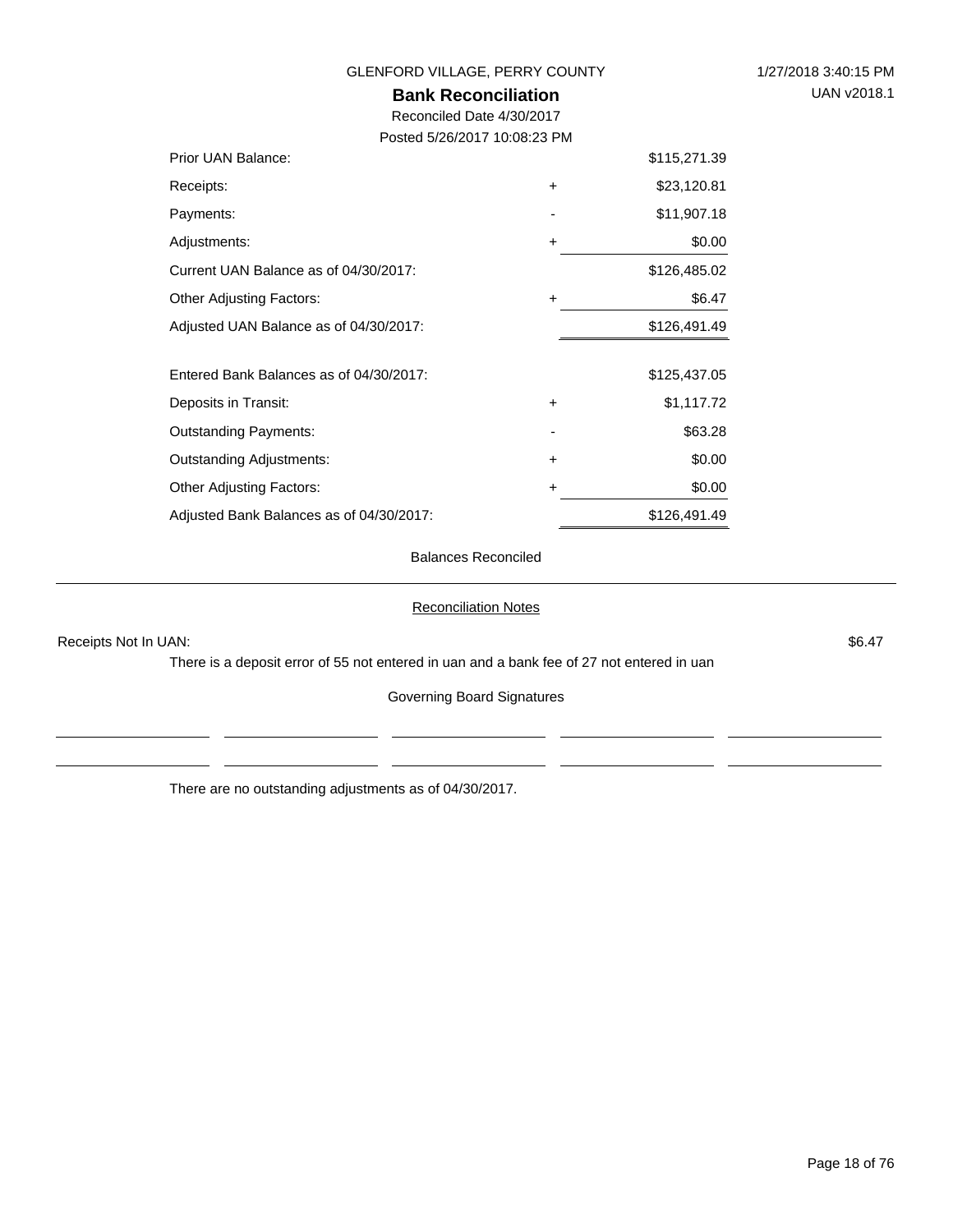UAN v2018.1

#### **Bank Reconciliation** Reconciled Date 4/30/2017

Posted 5/26/2017 10:08:23 PM

| Prior UAN Balance:                       |           | \$115,271.39 |
|------------------------------------------|-----------|--------------|
| Receipts:                                | $\ddot{}$ | \$23,120.81  |
| Payments:                                |           | \$11,907.18  |
| Adjustments:                             | +         | \$0.00       |
| Current UAN Balance as of 04/30/2017:    |           | \$126,485.02 |
| <b>Other Adjusting Factors:</b>          | +         | \$6.47       |
| Adjusted UAN Balance as of 04/30/2017:   |           | \$126,491.49 |
| Entered Bank Balances as of 04/30/2017:  |           | \$125,437.05 |
| Deposits in Transit:                     | +         | \$1,117.72   |
| <b>Outstanding Payments:</b>             |           | \$63.28      |
| <b>Outstanding Adjustments:</b>          | +         | \$0.00       |
| <b>Other Adjusting Factors:</b>          | +         | \$0.00       |
| Adjusted Bank Balances as of 04/30/2017: |           | \$126,491.49 |

Balances Reconciled

Reconciliation Notes

Receipts Not In UAN: \$6.47

There is a deposit error of 55 not entered in uan and a bank fee of 27 not entered in uan

Governing Board Signatures

There are no outstanding adjustments as of 04/30/2017.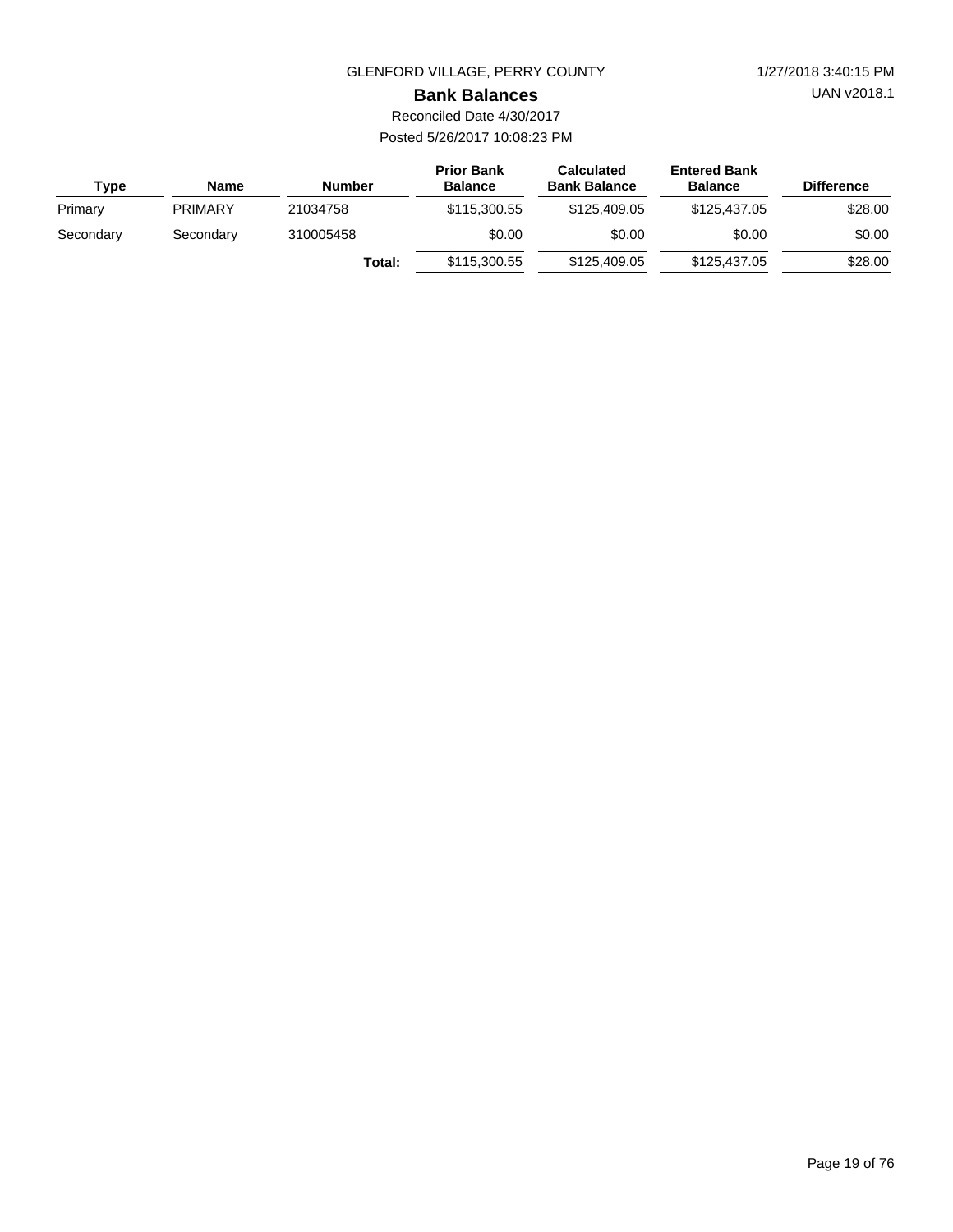UAN v2018.1

## **Bank Balances**

Reconciled Date 4/30/2017 Posted 5/26/2017 10:08:23 PM

| Type      | Name           | <b>Number</b> | <b>Prior Bank</b><br><b>Balance</b> | <b>Calculated</b><br><b>Bank Balance</b> | <b>Entered Bank</b><br><b>Balance</b> | <b>Difference</b> |
|-----------|----------------|---------------|-------------------------------------|------------------------------------------|---------------------------------------|-------------------|
| Primary   | <b>PRIMARY</b> | 21034758      | \$115,300.55                        | \$125,409.05                             | \$125,437.05                          | \$28.00           |
| Secondary | Secondary      | 310005458     | \$0.00                              | \$0.00                                   | \$0.00                                | \$0.00            |
|           |                | Total:        | \$115,300.55                        | \$125,409.05                             | \$125,437.05                          | \$28.00           |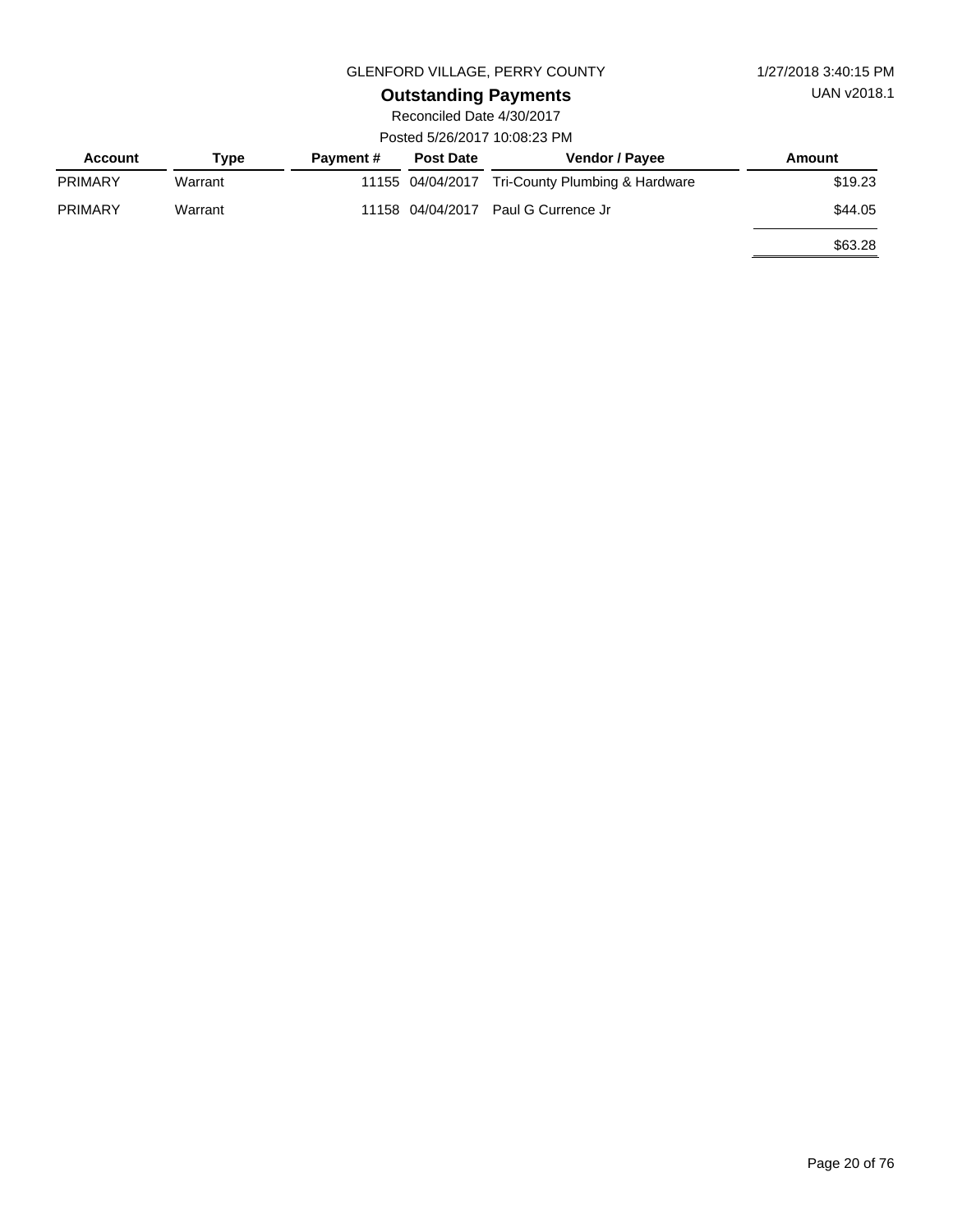UAN v2018.1

# GLENFORD VILLAGE, PERRY COUNTY 1/27/2018 3:40:15 PM

# **Outstanding Payments** Reconciled Date 4/30/2017

Posted 5/26/2017 10:08:23 PM

| Account        | Type    | Payment# | <b>Post Date</b> | <b>Vendor / Payee</b>          | Amount  |
|----------------|---------|----------|------------------|--------------------------------|---------|
| <b>PRIMARY</b> | Warrant |          | 11155 04/04/2017 | Tri-County Plumbing & Hardware | \$19.23 |
| <b>PRIMARY</b> | Warrant |          | 11158 04/04/2017 | Paul G Currence Jr             | \$44.05 |
|                |         |          |                  |                                | \$63.28 |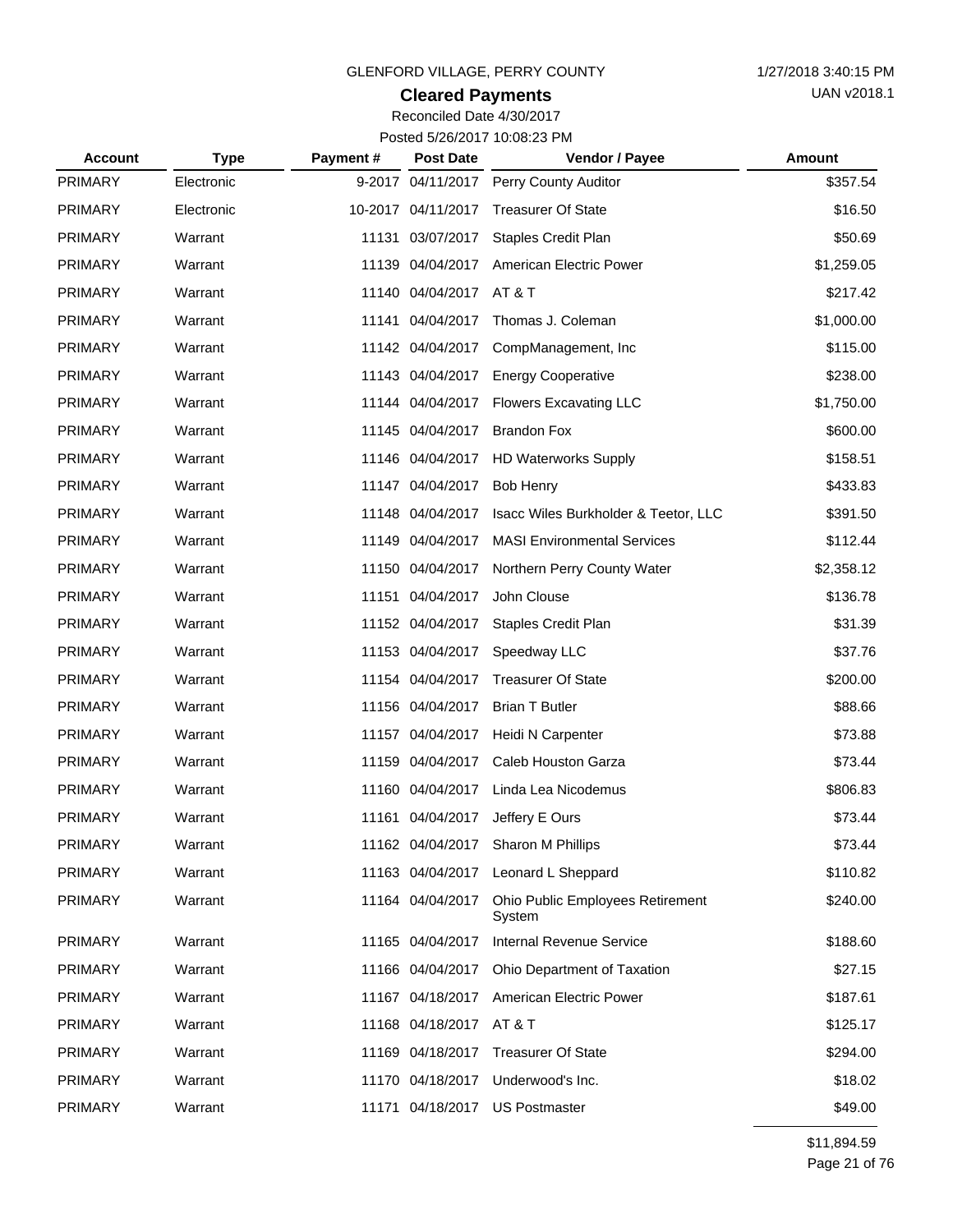# Reconciled Date 4/30/2017

Posted 5/26/2017 10:08:23 PM

| <b>Account</b> | <b>Type</b> | Payment# | <b>Post Date</b>        | Vendor / Payee                             | Amount     |
|----------------|-------------|----------|-------------------------|--------------------------------------------|------------|
| <b>PRIMARY</b> | Electronic  |          | 9-2017 04/11/2017       | Perry County Auditor                       | \$357.54   |
| <b>PRIMARY</b> | Electronic  |          | 10-2017 04/11/2017      | <b>Treasurer Of State</b>                  | \$16.50    |
| <b>PRIMARY</b> | Warrant     |          | 11131 03/07/2017        | Staples Credit Plan                        | \$50.69    |
| <b>PRIMARY</b> | Warrant     |          | 11139 04/04/2017        | American Electric Power                    | \$1,259.05 |
| <b>PRIMARY</b> | Warrant     |          | 11140 04/04/2017 AT&T   |                                            | \$217.42   |
| <b>PRIMARY</b> | Warrant     |          | 11141 04/04/2017        | Thomas J. Coleman                          | \$1,000.00 |
| <b>PRIMARY</b> | Warrant     |          | 11142 04/04/2017        | CompManagement, Inc.                       | \$115.00   |
| <b>PRIMARY</b> | Warrant     |          | 11143 04/04/2017        | <b>Energy Cooperative</b>                  | \$238.00   |
| <b>PRIMARY</b> | Warrant     |          | 11144 04/04/2017        | <b>Flowers Excavating LLC</b>              | \$1,750.00 |
| <b>PRIMARY</b> | Warrant     |          | 11145 04/04/2017        | <b>Brandon Fox</b>                         | \$600.00   |
| <b>PRIMARY</b> | Warrant     |          | 11146 04/04/2017        | <b>HD Waterworks Supply</b>                | \$158.51   |
| <b>PRIMARY</b> | Warrant     |          | 11147 04/04/2017        | <b>Bob Henry</b>                           | \$433.83   |
| <b>PRIMARY</b> | Warrant     |          | 11148 04/04/2017        | Isacc Wiles Burkholder & Teetor, LLC       | \$391.50   |
| <b>PRIMARY</b> | Warrant     |          | 11149 04/04/2017        | <b>MASI Environmental Services</b>         | \$112.44   |
| <b>PRIMARY</b> | Warrant     |          | 11150 04/04/2017        | Northern Perry County Water                | \$2,358.12 |
| <b>PRIMARY</b> | Warrant     |          | 11151 04/04/2017        | John Clouse                                | \$136.78   |
| <b>PRIMARY</b> | Warrant     |          | 11152 04/04/2017        | <b>Staples Credit Plan</b>                 | \$31.39    |
| <b>PRIMARY</b> | Warrant     |          | 11153 04/04/2017        | Speedway LLC                               | \$37.76    |
| <b>PRIMARY</b> | Warrant     |          | 11154 04/04/2017        | <b>Treasurer Of State</b>                  | \$200.00   |
| <b>PRIMARY</b> | Warrant     |          | 11156 04/04/2017        | <b>Brian T Butler</b>                      | \$88.66    |
| <b>PRIMARY</b> | Warrant     |          | 11157 04/04/2017        | Heidi N Carpenter                          | \$73.88    |
| <b>PRIMARY</b> | Warrant     |          | 11159 04/04/2017        | Caleb Houston Garza                        | \$73.44    |
| <b>PRIMARY</b> | Warrant     |          | 11160 04/04/2017        | Linda Lea Nicodemus                        | \$806.83   |
| <b>PRIMARY</b> | Warrant     |          | 11161 04/04/2017        | Jeffery E Ours                             | \$73.44    |
| <b>PRIMARY</b> | Warrant     |          |                         | 11162 04/04/2017 Sharon M Phillips         | \$73.44    |
| <b>PRIMARY</b> | Warrant     |          |                         | 11163 04/04/2017 Leonard L Sheppard        | \$110.82   |
| <b>PRIMARY</b> | Warrant     |          | 11164 04/04/2017        | Ohio Public Employees Retirement<br>System | \$240.00   |
| <b>PRIMARY</b> | Warrant     |          | 11165 04/04/2017        | <b>Internal Revenue Service</b>            | \$188.60   |
| <b>PRIMARY</b> | Warrant     |          | 11166 04/04/2017        | Ohio Department of Taxation                | \$27.15    |
| <b>PRIMARY</b> | Warrant     |          | 11167 04/18/2017        | <b>American Electric Power</b>             | \$187.61   |
| <b>PRIMARY</b> | Warrant     |          | 11168 04/18/2017 AT & T |                                            | \$125.17   |
| <b>PRIMARY</b> | Warrant     |          | 11169 04/18/2017        | <b>Treasurer Of State</b>                  | \$294.00   |
| <b>PRIMARY</b> | Warrant     |          |                         | 11170 04/18/2017 Underwood's Inc.          | \$18.02    |
| <b>PRIMARY</b> | Warrant     |          |                         | 11171 04/18/2017 US Postmaster             | \$49.00    |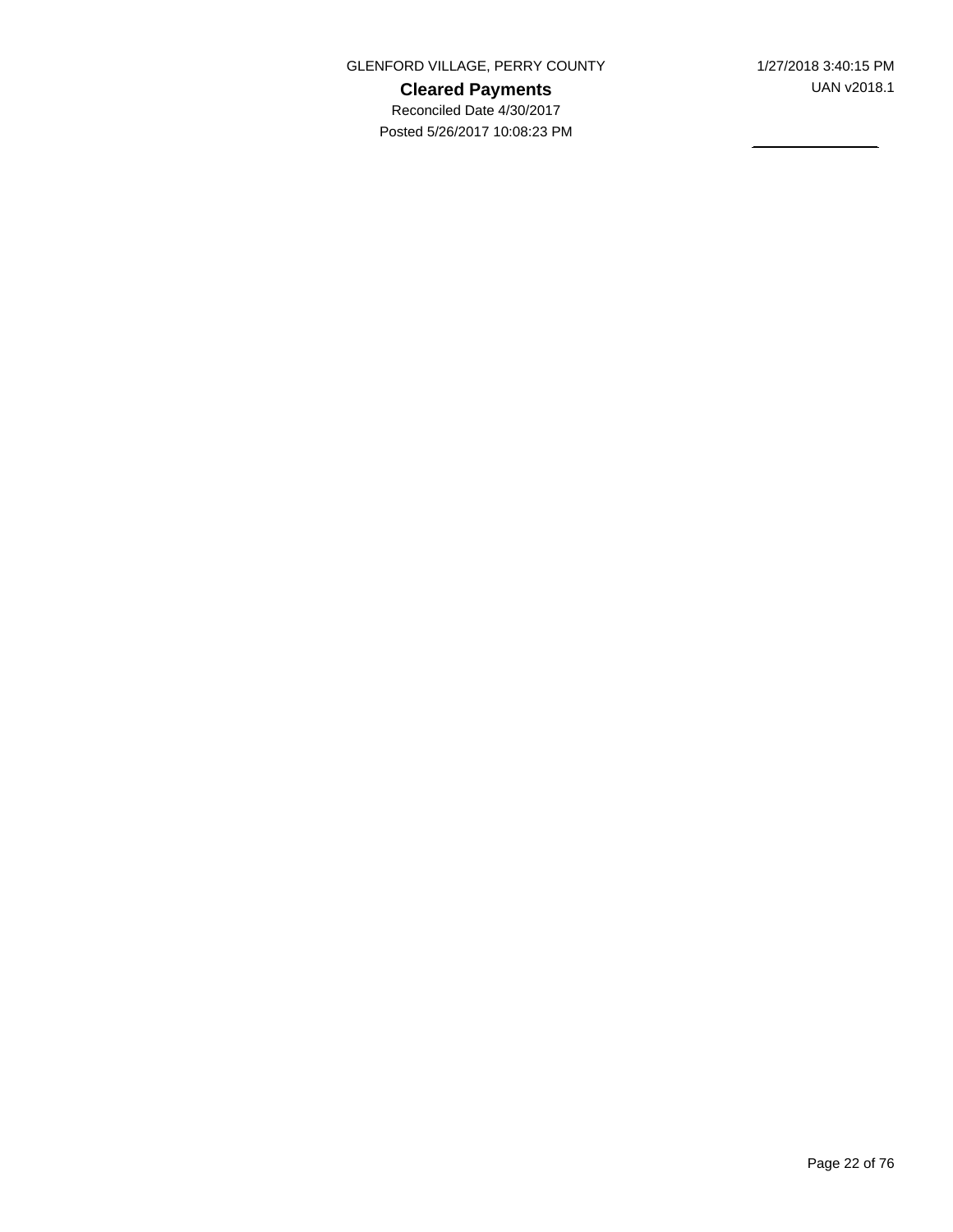**Cleared Payments**

Reconciled Date 4/30/2017 Posted 5/26/2017 10:08:23 PM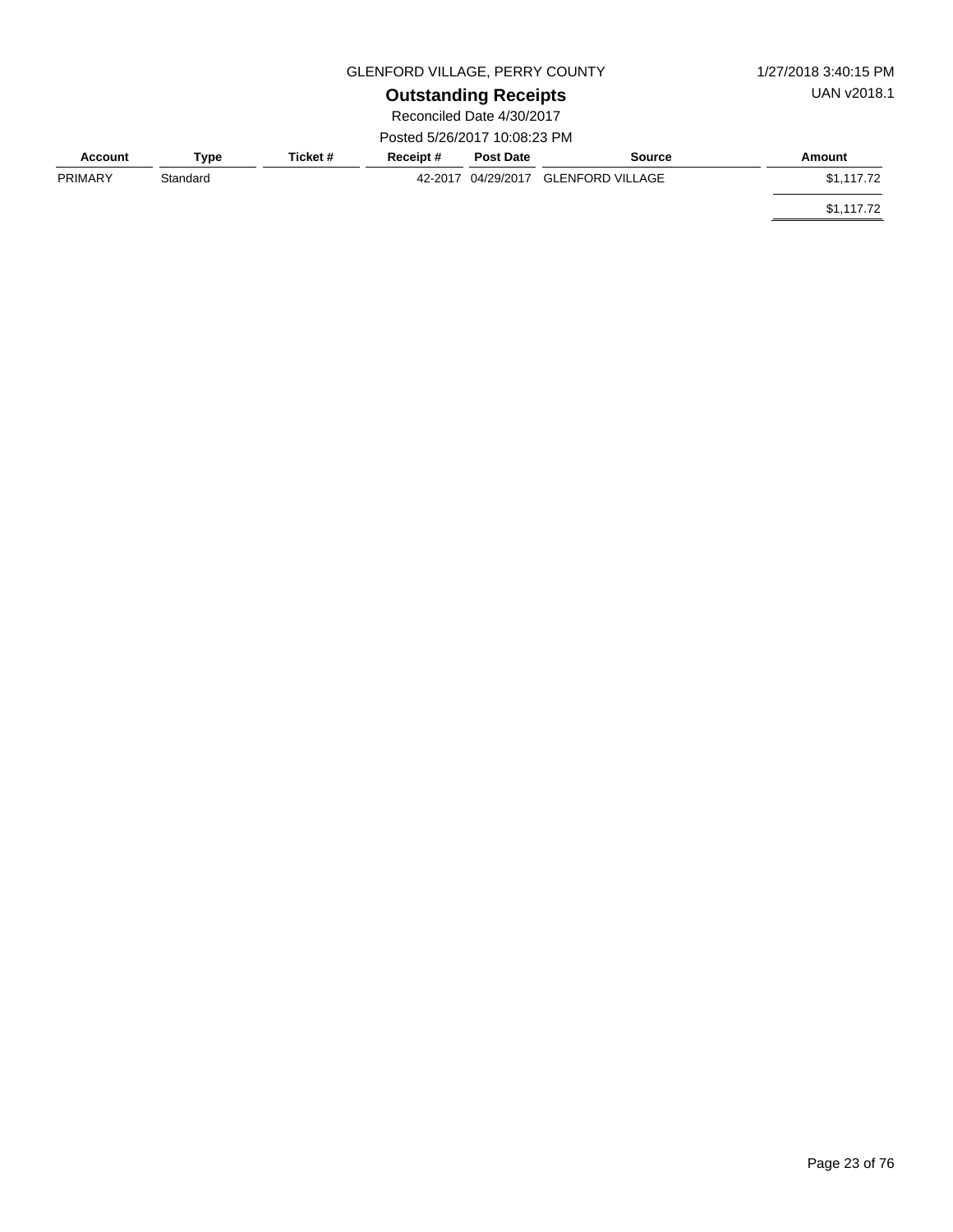|                | <b>GLENFORD VILLAGE, PERRY COUNTY</b> |          |                              |                  |                                     |             |
|----------------|---------------------------------------|----------|------------------------------|------------------|-------------------------------------|-------------|
|                |                                       |          | <b>Outstanding Receipts</b>  |                  |                                     | UAN v2018.1 |
|                |                                       |          | Reconciled Date 4/30/2017    |                  |                                     |             |
|                |                                       |          | Posted 5/26/2017 10:08:23 PM |                  |                                     |             |
| Account        | Type                                  | Ticket # | Receipt#                     | <b>Post Date</b> | <b>Source</b>                       | Amount      |
| <b>PRIMARY</b> | Standard                              |          |                              |                  | 42-2017 04/29/2017 GLENFORD VILLAGE | \$1.117.72  |
|                |                                       |          |                              |                  |                                     | \$1,117.72  |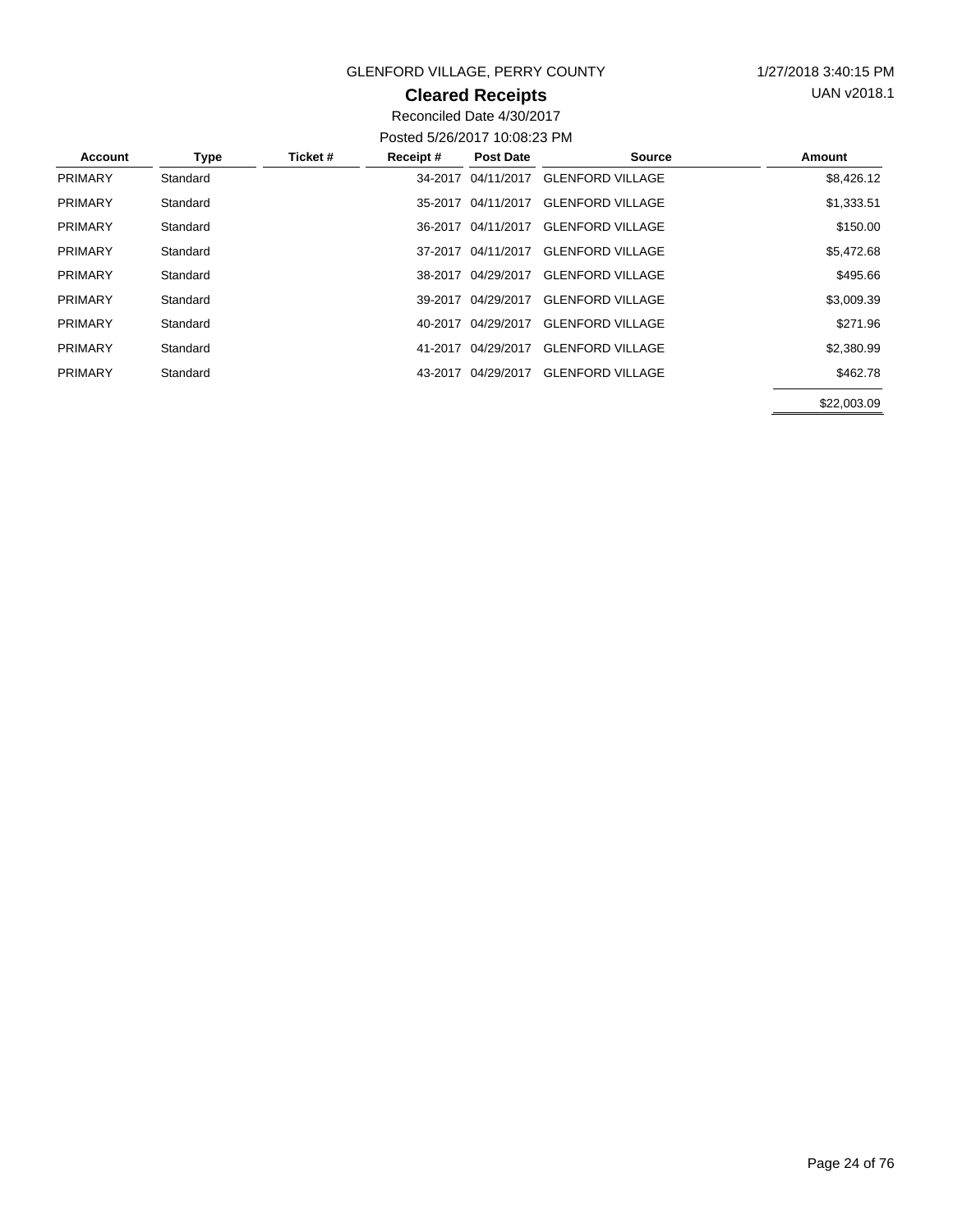# **Cleared Receipts**

UAN v2018.1

Reconciled Date 4/30/2017 Posted 5/26/2017 10:08:23 PM

| <b>Account</b> | <b>Type</b> | Ticket # | Receipt# | <b>Post Date</b> | <b>Source</b>           | Amount      |
|----------------|-------------|----------|----------|------------------|-------------------------|-------------|
| <b>PRIMARY</b> | Standard    |          | 34-2017  | 04/11/2017       | <b>GLENFORD VILLAGE</b> | \$8,426.12  |
| <b>PRIMARY</b> | Standard    |          | 35-2017  | 04/11/2017       | <b>GLENFORD VILLAGE</b> | \$1,333.51  |
| <b>PRIMARY</b> | Standard    |          | 36-2017  | 04/11/2017       | <b>GLENFORD VILLAGE</b> | \$150.00    |
| <b>PRIMARY</b> | Standard    |          | 37-2017  | 04/11/2017       | <b>GLENFORD VILLAGE</b> | \$5,472.68  |
| <b>PRIMARY</b> | Standard    |          | 38-2017  | 04/29/2017       | <b>GLENFORD VILLAGE</b> | \$495.66    |
| <b>PRIMARY</b> | Standard    |          | 39-2017  | 04/29/2017       | <b>GLENFORD VILLAGE</b> | \$3,009.39  |
| <b>PRIMARY</b> | Standard    |          | 40-2017  | 04/29/2017       | <b>GLENFORD VILLAGE</b> | \$271.96    |
| <b>PRIMARY</b> | Standard    |          | 41-2017  | 04/29/2017       | <b>GLENFORD VILLAGE</b> | \$2,380.99  |
| <b>PRIMARY</b> | Standard    |          | 43-2017  | 04/29/2017       | <b>GLENFORD VILLAGE</b> | \$462.78    |
|                |             |          |          |                  |                         | \$22,003.09 |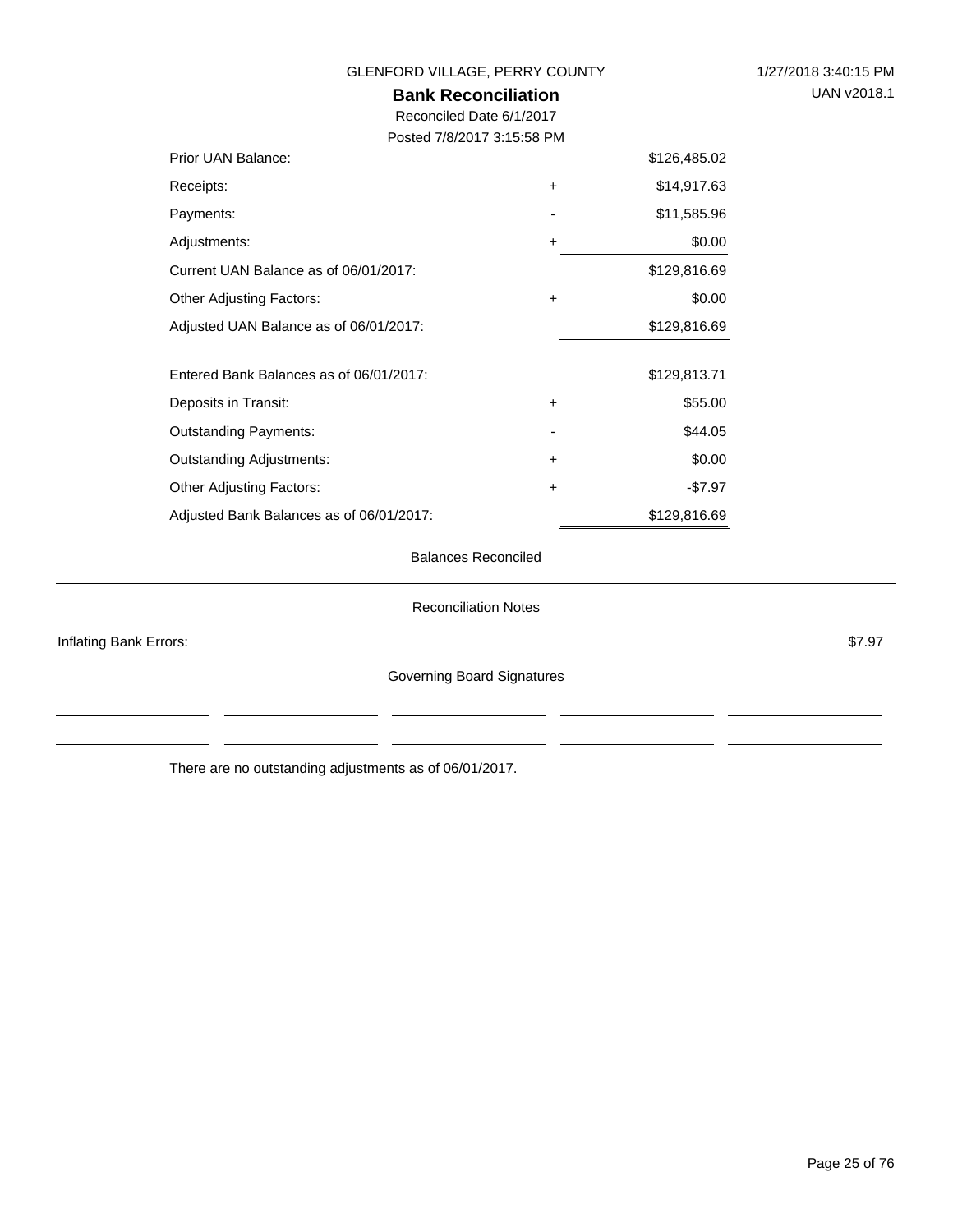| 1/2017:                     |           | \$129,816.69 |        |
|-----------------------------|-----------|--------------|--------|
|                             |           |              |        |
| 1/2017:                     |           | \$129,813.71 |        |
|                             | $\ddot{}$ | \$55.00      |        |
|                             |           | \$44.05      |        |
|                             | +         | \$0.00       |        |
|                             | +         | $-$7.97$     |        |
| 01/2017:                    |           | \$129,816.69 |        |
| <b>Balances Reconciled</b>  |           |              |        |
| <b>Reconciliation Notes</b> |           |              |        |
|                             |           |              | \$7.97 |
| Governing Board Signatures  |           |              |        |
|                             |           |              |        |
|                             |           |              |        |

There are no outstanding adjustments as of 06/01/2017.

**Bank Reconciliation**

Reconciled Date 6/1/2017

Posted 7/8/2017 3:15:58 PM

| Prior UAN Balance:                       |           | \$126,485.02 |
|------------------------------------------|-----------|--------------|
| Receipts:                                | $\ddot{}$ | \$14,917.63  |
| Payments:                                |           | \$11,585.96  |
| Adjustments:                             | +         | \$0.00       |
| Current UAN Balance as of 06/01/2017:    |           | \$129,816.69 |
| Other Adjusting Factors:                 | +         | \$0.00       |
| Adjusted UAN Balance as of 06/01/2017:   |           | \$129,816.69 |
|                                          |           |              |
| Entered Bank Balances as of 06/01/2017:  |           | \$129,813.71 |
| Deposits in Transit:                     | $\ddot{}$ | \$55.00      |
| Outstanding Payments:                    |           | \$44.05      |
| Outstanding Adjustments:                 | $\ddot{}$ | \$0.00       |
| Other Adjusting Factors:                 | +         | $-$7.97$     |
| Adjusted Bank Balances as of 06/01/2017: |           | \$129,816.69 |

Inflating Bank Errors: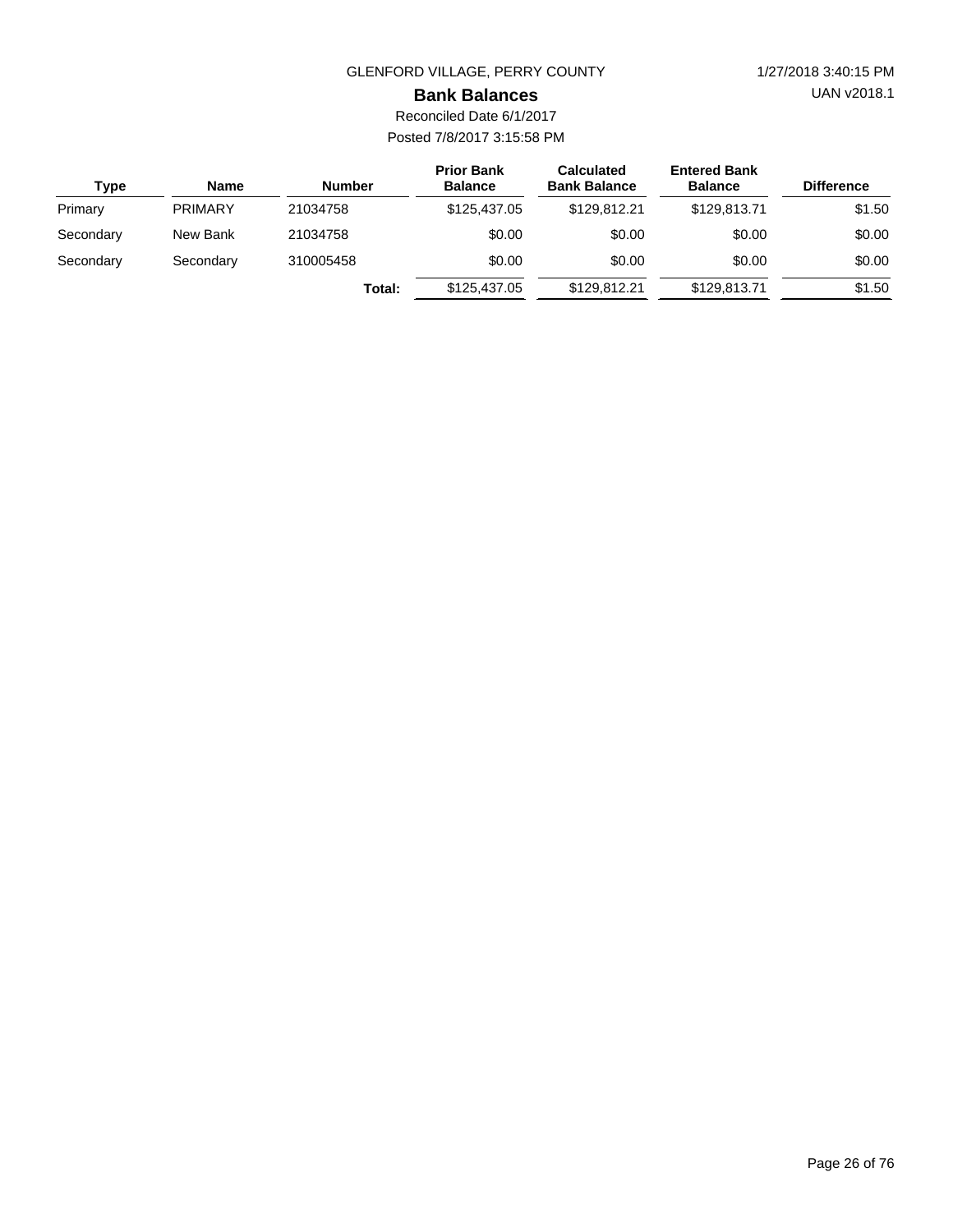UAN v2018.1

#### **Bank Balances**

Reconciled Date 6/1/2017 Posted 7/8/2017 3:15:58 PM

| Type      | <b>Name</b>    | <b>Number</b> | <b>Prior Bank</b><br><b>Balance</b> | <b>Calculated</b><br><b>Bank Balance</b> | <b>Entered Bank</b><br><b>Balance</b> | <b>Difference</b> |
|-----------|----------------|---------------|-------------------------------------|------------------------------------------|---------------------------------------|-------------------|
| Primary   | <b>PRIMARY</b> | 21034758      | \$125,437.05                        | \$129.812.21                             | \$129.813.71                          | \$1.50            |
| Secondary | New Bank       | 21034758      | \$0.00                              | \$0.00                                   | \$0.00                                | \$0.00            |
| Secondary | Secondary      | 310005458     | \$0.00                              | \$0.00                                   | \$0.00                                | \$0.00            |
|           |                | Total:        | \$125,437.05                        | \$129.812.21                             | \$129.813.71                          | \$1.50            |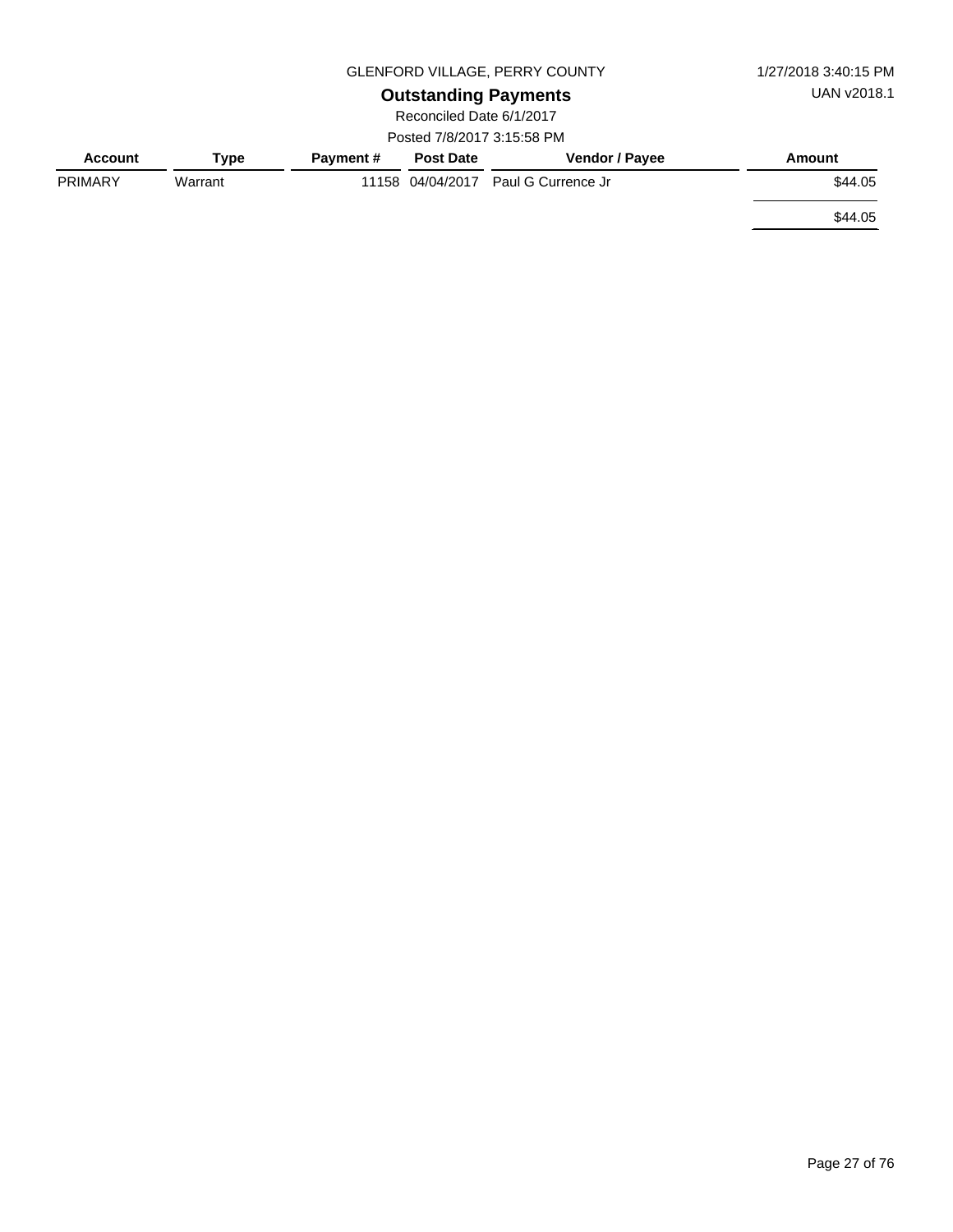|                |         | 1/27/2018 3:40:15 PM        |                          |                            |         |
|----------------|---------|-----------------------------|--------------------------|----------------------------|---------|
|                |         | <b>Outstanding Payments</b> | UAN v2018.1              |                            |         |
|                |         |                             | Reconciled Date 6/1/2017 |                            |         |
|                |         |                             |                          | Posted 7/8/2017 3:15:58 PM |         |
| <b>Account</b> | Type    | <b>Payment#</b>             | <b>Post Date</b>         | Vendor / Payee             | Amount  |
|                |         |                             |                          |                            |         |
| <b>PRIMARY</b> | Warrant |                             | 11158 04/04/2017         | Paul G Currence Jr         | \$44.05 |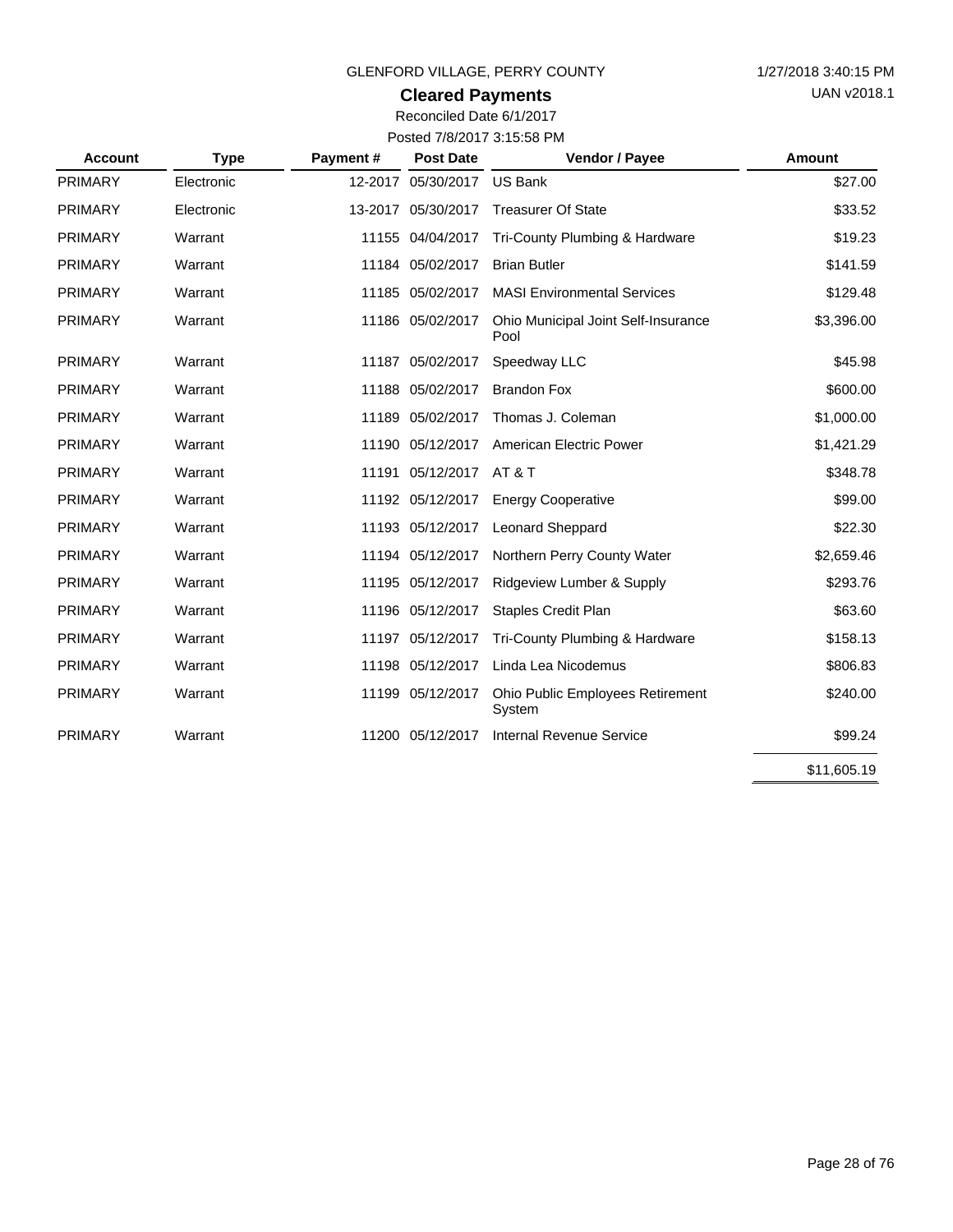# **Cleared Payments**

Reconciled Date 6/1/2017 Posted 7/8/2017 3:15:58 PM

| <b>Account</b> | <b>Type</b> | Payment# | <b>Post Date</b>   | Vendor / Payee                              | Amount      |
|----------------|-------------|----------|--------------------|---------------------------------------------|-------------|
| <b>PRIMARY</b> | Electronic  |          | 12-2017 05/30/2017 | <b>US Bank</b>                              | \$27.00     |
| <b>PRIMARY</b> | Electronic  |          | 13-2017 05/30/2017 | <b>Treasurer Of State</b>                   | \$33.52     |
| <b>PRIMARY</b> | Warrant     |          | 11155 04/04/2017   | Tri-County Plumbing & Hardware              | \$19.23     |
| <b>PRIMARY</b> | Warrant     |          | 11184 05/02/2017   | <b>Brian Butler</b>                         | \$141.59    |
| PRIMARY        | Warrant     |          | 11185 05/02/2017   | <b>MASI Environmental Services</b>          | \$129.48    |
| <b>PRIMARY</b> | Warrant     |          | 11186 05/02/2017   | Ohio Municipal Joint Self-Insurance<br>Pool | \$3,396.00  |
| <b>PRIMARY</b> | Warrant     |          | 11187 05/02/2017   | Speedway LLC                                | \$45.98     |
| <b>PRIMARY</b> | Warrant     |          | 11188 05/02/2017   | <b>Brandon Fox</b>                          | \$600.00    |
| <b>PRIMARY</b> | Warrant     |          | 11189 05/02/2017   | Thomas J. Coleman                           | \$1,000.00  |
| <b>PRIMARY</b> | Warrant     |          | 11190 05/12/2017   | American Electric Power                     | \$1,421.29  |
| <b>PRIMARY</b> | Warrant     |          | 11191 05/12/2017   | AT&T                                        | \$348.78    |
| <b>PRIMARY</b> | Warrant     |          | 11192 05/12/2017   | <b>Energy Cooperative</b>                   | \$99.00     |
| <b>PRIMARY</b> | Warrant     |          | 11193 05/12/2017   | Leonard Sheppard                            | \$22.30     |
| <b>PRIMARY</b> | Warrant     |          | 11194 05/12/2017   | Northern Perry County Water                 | \$2,659.46  |
| <b>PRIMARY</b> | Warrant     |          | 11195 05/12/2017   | Ridgeview Lumber & Supply                   | \$293.76    |
| <b>PRIMARY</b> | Warrant     |          | 11196 05/12/2017   | Staples Credit Plan                         | \$63.60     |
| <b>PRIMARY</b> | Warrant     |          | 11197 05/12/2017   | Tri-County Plumbing & Hardware              | \$158.13    |
| <b>PRIMARY</b> | Warrant     |          | 11198 05/12/2017   | Linda Lea Nicodemus                         | \$806.83    |
| <b>PRIMARY</b> | Warrant     |          | 11199 05/12/2017   | Ohio Public Employees Retirement<br>System  | \$240.00    |
| <b>PRIMARY</b> | Warrant     |          | 11200 05/12/2017   | Internal Revenue Service                    | \$99.24     |
|                |             |          |                    |                                             | \$11,605.19 |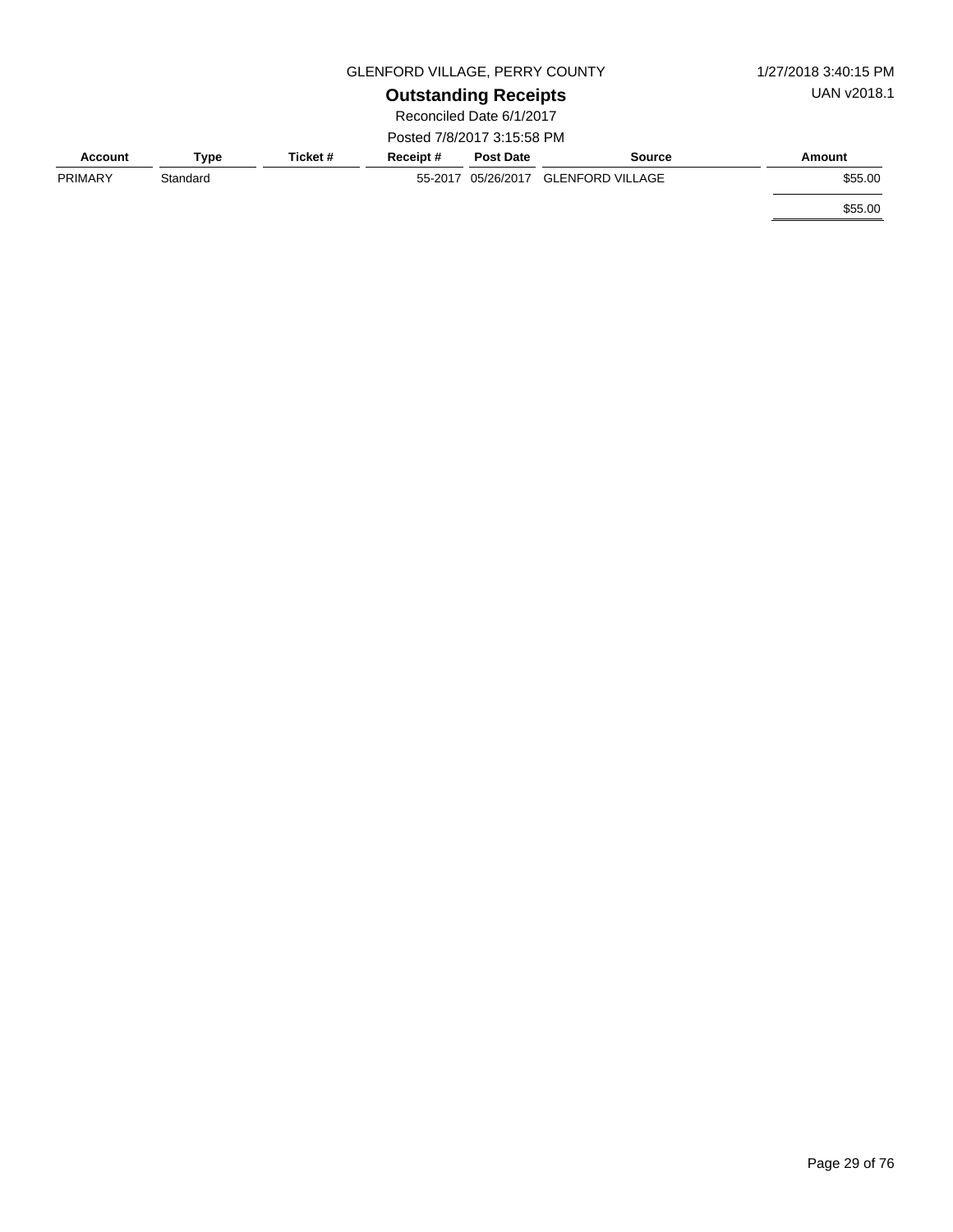|         |          |         | <b>GLENFORD VILLAGE, PERRY COUNTY</b> |                          |                         | 1/27/2018 3:40:15 PM |
|---------|----------|---------|---------------------------------------|--------------------------|-------------------------|----------------------|
|         |          |         | <b>Outstanding Receipts</b>           |                          |                         | UAN v2018.1          |
|         |          |         |                                       | Reconciled Date 6/1/2017 |                         |                      |
|         |          |         | Posted 7/8/2017 3:15:58 PM            |                          |                         |                      |
| Account | Type     | Ticket# | Receipt#                              | <b>Post Date</b>         | <b>Source</b>           | Amount               |
| PRIMARY | Standard |         | 55-2017                               | 05/26/2017               | <b>GLENFORD VILLAGE</b> | \$55.00              |
|         |          |         |                                       |                          |                         |                      |

\$55.00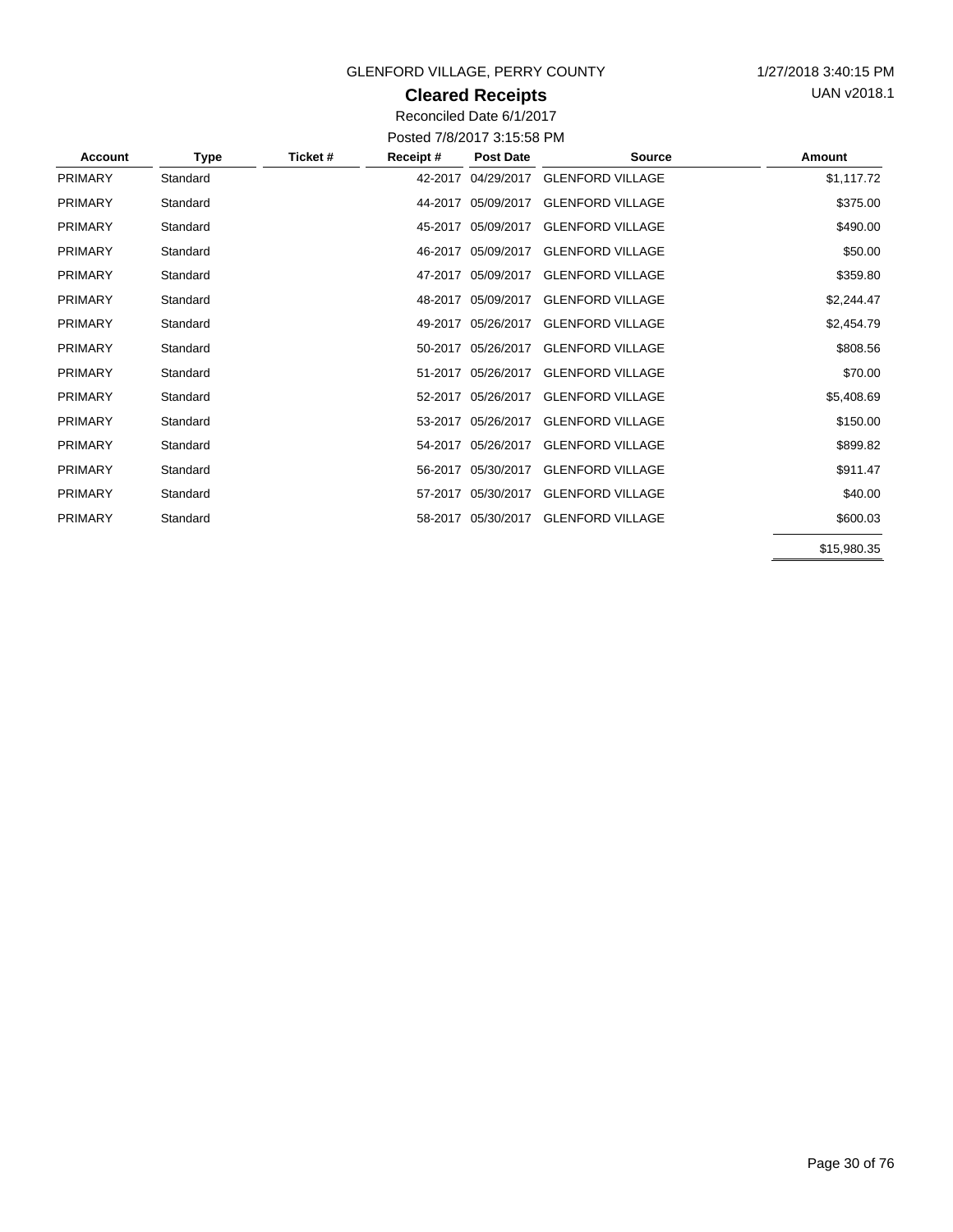# **Cleared Receipts**

UAN v2018.1

Reconciled Date 6/1/2017 Posted 7/8/2017 3:15:58 PM

| <b>Account</b> | <b>Type</b> | Ticket # | Receipt# | <b>Post Date</b>   | <b>Source</b>           | Amount      |
|----------------|-------------|----------|----------|--------------------|-------------------------|-------------|
| <b>PRIMARY</b> | Standard    |          | 42-2017  | 04/29/2017         | <b>GLENFORD VILLAGE</b> | \$1,117.72  |
| <b>PRIMARY</b> | Standard    |          | 44-2017  | 05/09/2017         | <b>GLENFORD VILLAGE</b> | \$375.00    |
| <b>PRIMARY</b> | Standard    |          | 45-2017  | 05/09/2017         | <b>GLENFORD VILLAGE</b> | \$490.00    |
| <b>PRIMARY</b> | Standard    |          | 46-2017  | 05/09/2017         | <b>GLENFORD VILLAGE</b> | \$50.00     |
| <b>PRIMARY</b> | Standard    |          | 47-2017  | 05/09/2017         | <b>GLENFORD VILLAGE</b> | \$359.80    |
| <b>PRIMARY</b> | Standard    |          | 48-2017  | 05/09/2017         | <b>GLENFORD VILLAGE</b> | \$2,244.47  |
| <b>PRIMARY</b> | Standard    |          | 49-2017  | 05/26/2017         | <b>GLENFORD VILLAGE</b> | \$2,454.79  |
| <b>PRIMARY</b> | Standard    |          |          | 50-2017 05/26/2017 | <b>GLENFORD VILLAGE</b> | \$808.56    |
| <b>PRIMARY</b> | Standard    |          | 51-2017  | 05/26/2017         | <b>GLENFORD VILLAGE</b> | \$70.00     |
| <b>PRIMARY</b> | Standard    |          | 52-2017  | 05/26/2017         | <b>GLENFORD VILLAGE</b> | \$5,408.69  |
| <b>PRIMARY</b> | Standard    |          | 53-2017  | 05/26/2017         | <b>GLENFORD VILLAGE</b> | \$150.00    |
| <b>PRIMARY</b> | Standard    |          | 54-2017  | 05/26/2017         | <b>GLENFORD VILLAGE</b> | \$899.82    |
| <b>PRIMARY</b> | Standard    |          |          | 56-2017 05/30/2017 | <b>GLENFORD VILLAGE</b> | \$911.47    |
| <b>PRIMARY</b> | Standard    |          | 57-2017  | 05/30/2017         | <b>GLENFORD VILLAGE</b> | \$40.00     |
| <b>PRIMARY</b> | Standard    |          | 58-2017  | 05/30/2017         | <b>GLENFORD VILLAGE</b> | \$600.03    |
|                |             |          |          |                    |                         | \$15,980.35 |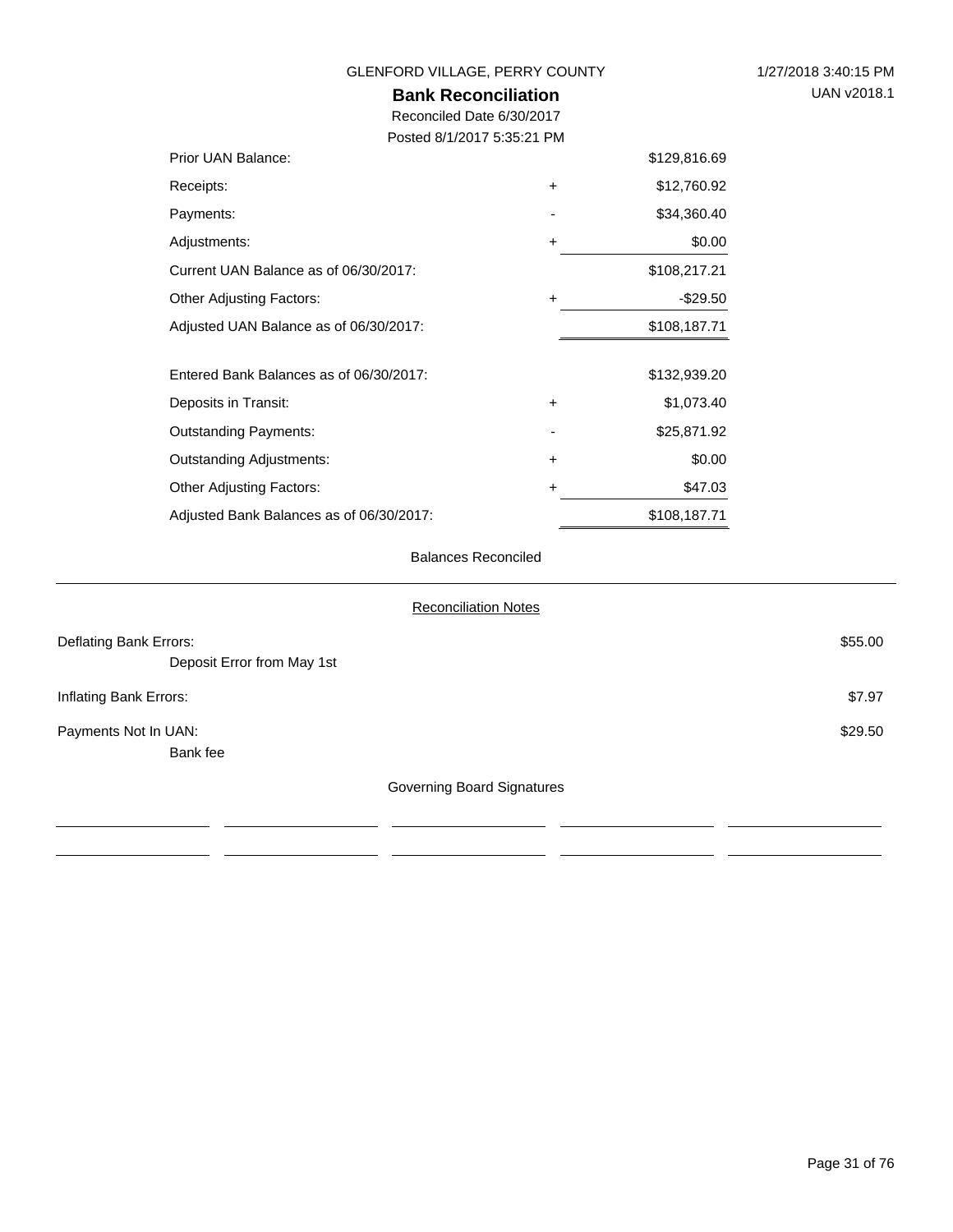| GLENFORD VILLAGE, PERRY COUNTY<br><b>Bank Reconciliation</b><br>Reconciled Date 6/30/2017<br>Posted 8/1/2017 5:35:21 PM |           |              | 1/27/2018 3:40:15 PM<br>UAN v2018.1 |
|-------------------------------------------------------------------------------------------------------------------------|-----------|--------------|-------------------------------------|
| Prior UAN Balance:                                                                                                      |           | \$129,816.69 |                                     |
| Receipts:                                                                                                               | $\ddot{}$ | \$12,760.92  |                                     |
| Payments:                                                                                                               |           | \$34,360.40  |                                     |
| Adjustments:                                                                                                            | +         | \$0.00       |                                     |
| Current UAN Balance as of 06/30/2017:                                                                                   |           | \$108,217.21 |                                     |
| <b>Other Adjusting Factors:</b>                                                                                         | +         | $-$ \$29.50  |                                     |
| Adjusted UAN Balance as of 06/30/2017:                                                                                  |           | \$108,187.71 |                                     |
| Entered Bank Balances as of 06/30/2017:                                                                                 |           | \$132,939.20 |                                     |
| Deposits in Transit:                                                                                                    | +         | \$1,073.40   |                                     |
| <b>Outstanding Payments:</b>                                                                                            |           | \$25,871.92  |                                     |
| <b>Outstanding Adjustments:</b>                                                                                         | +         | \$0.00       |                                     |
| <b>Other Adjusting Factors:</b>                                                                                         | +         | \$47.03      |                                     |
| Adjusted Bank Balances as of 06/30/2017:                                                                                |           | \$108,187.71 |                                     |

## Balances Reconciled

| <b>Reconciliation Notes</b>                          |         |
|------------------------------------------------------|---------|
| Deflating Bank Errors:<br>Deposit Error from May 1st | \$55.00 |
| Inflating Bank Errors:                               | \$7.97  |
| Payments Not In UAN:<br>Bank fee                     | \$29.50 |
| Governing Board Signatures                           |         |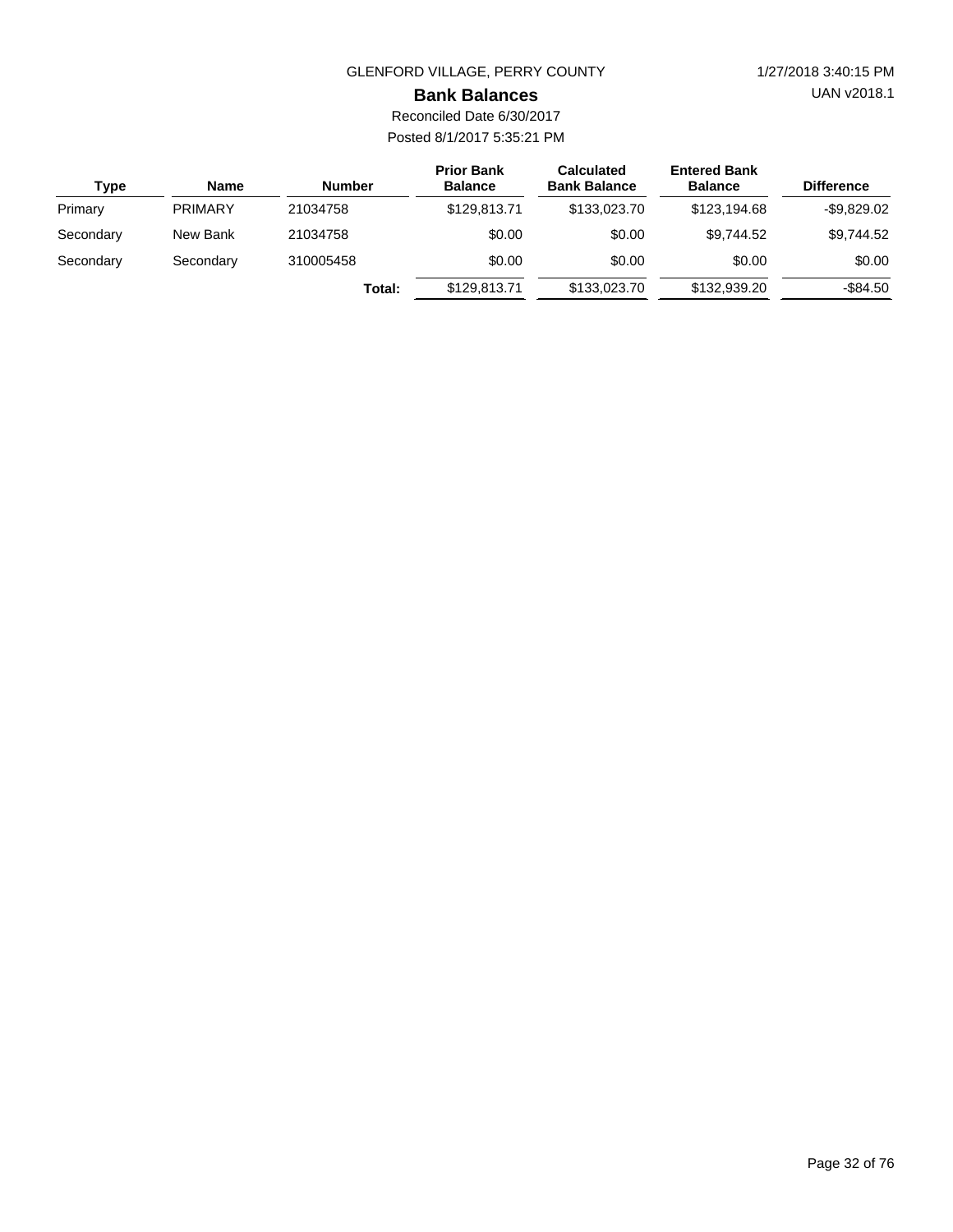UAN v2018.1

#### **Bank Balances**

| Type      | <b>Name</b>    | <b>Number</b> | <b>Prior Bank</b><br><b>Balance</b> | <b>Calculated</b><br><b>Bank Balance</b> | <b>Entered Bank</b><br><b>Balance</b> | <b>Difference</b> |
|-----------|----------------|---------------|-------------------------------------|------------------------------------------|---------------------------------------|-------------------|
| Primary   | <b>PRIMARY</b> | 21034758      | \$129,813.71                        | \$133,023.70                             | \$123,194.68                          | $-$9,829.02$      |
| Secondary | New Bank       | 21034758      | \$0.00                              | \$0.00                                   | \$9.744.52                            | \$9,744.52        |
| Secondary | Secondary      | 310005458     | \$0.00                              | \$0.00                                   | \$0.00                                | \$0.00            |
|           |                | Total:        | \$129.813.71                        | \$133,023.70                             | \$132,939.20                          | $-$84.50$         |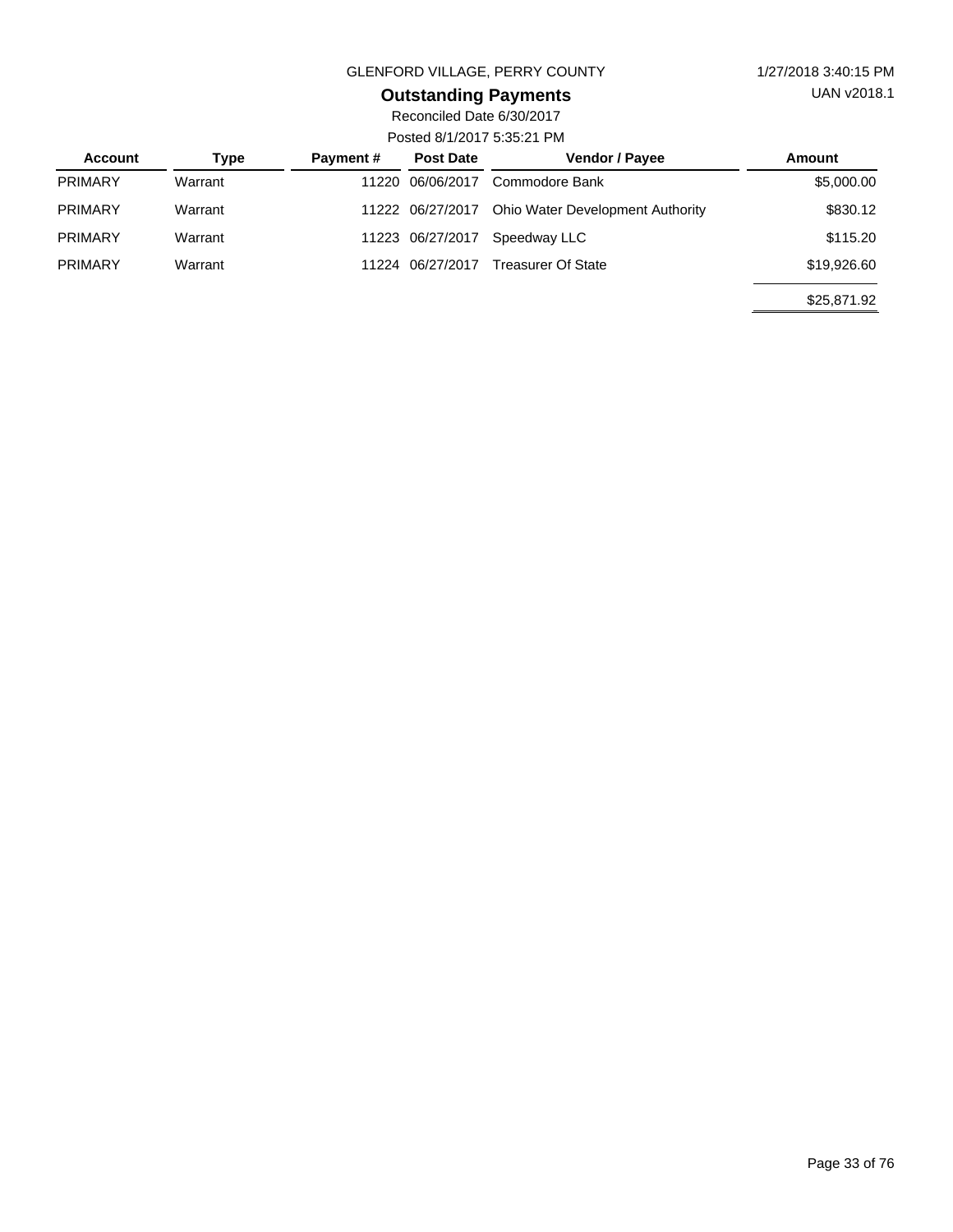# **Outstanding Payments**

| <b>Account</b> | Type    | Payment# | <b>Post Date</b> | <b>Vendor / Payee</b>            | Amount      |
|----------------|---------|----------|------------------|----------------------------------|-------------|
| <b>PRIMARY</b> | Warrant |          | 11220 06/06/2017 | Commodore Bank                   | \$5,000.00  |
| <b>PRIMARY</b> | Warrant |          | 11222 06/27/2017 | Ohio Water Development Authority | \$830.12    |
| <b>PRIMARY</b> | Warrant |          | 11223 06/27/2017 | Speedway LLC                     | \$115.20    |
| <b>PRIMARY</b> | Warrant |          | 11224 06/27/2017 | Treasurer Of State               | \$19,926.60 |
|                |         |          |                  |                                  | \$25,871.92 |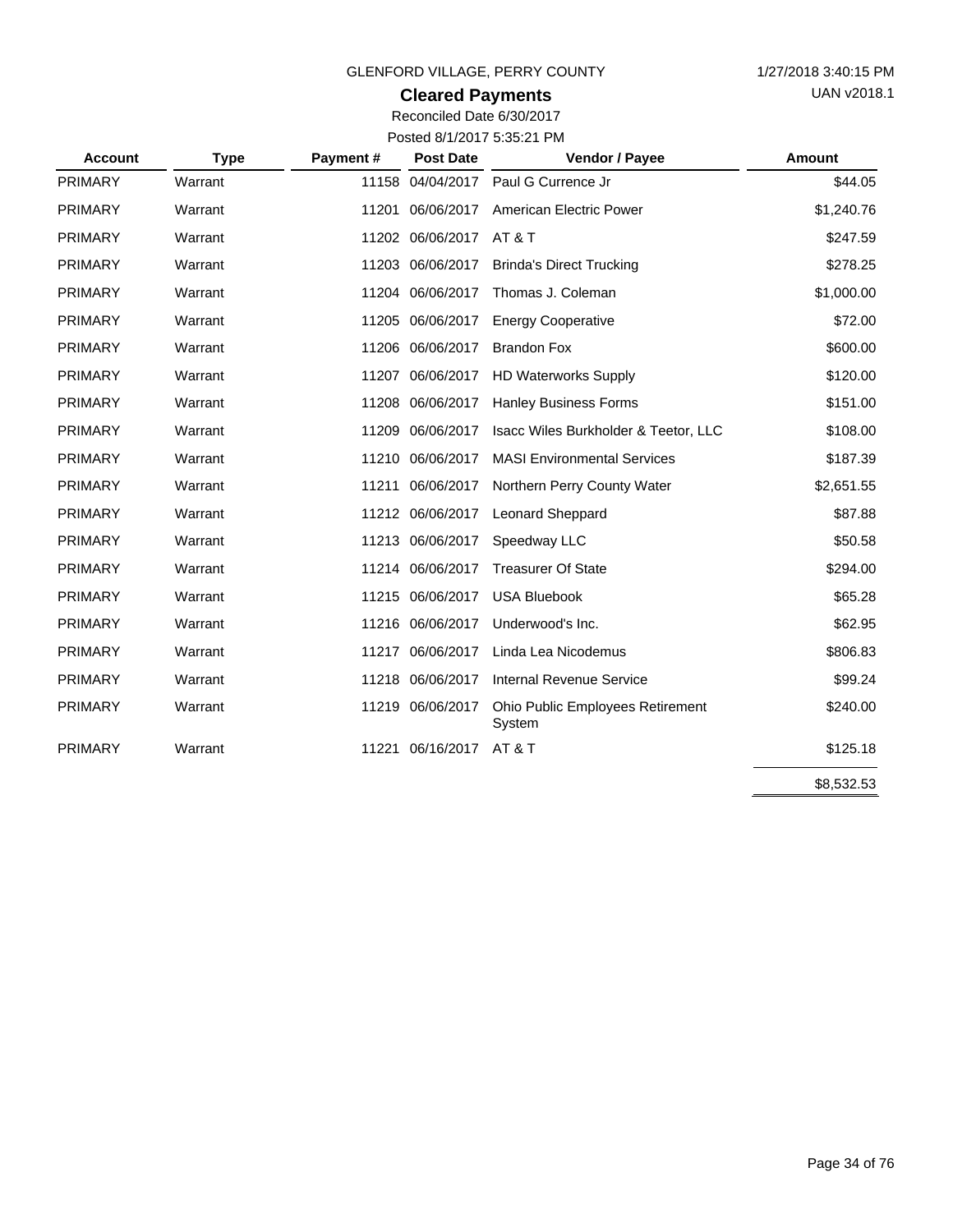# **Cleared Payments**

| <b>Account</b> | <b>Type</b> | Payment# | <b>Post Date</b> | Vendor / Payee                             | Amount     |
|----------------|-------------|----------|------------------|--------------------------------------------|------------|
| <b>PRIMARY</b> | Warrant     |          |                  | 11158 04/04/2017 Paul G Currence Jr        | \$44.05    |
| <b>PRIMARY</b> | Warrant     |          | 11201 06/06/2017 | American Electric Power                    | \$1,240.76 |
| <b>PRIMARY</b> | Warrant     |          | 11202 06/06/2017 | <b>AT &amp; T</b>                          | \$247.59   |
| <b>PRIMARY</b> | Warrant     |          | 11203 06/06/2017 | <b>Brinda's Direct Trucking</b>            | \$278.25   |
| <b>PRIMARY</b> | Warrant     |          | 11204 06/06/2017 | Thomas J. Coleman                          | \$1,000.00 |
| <b>PRIMARY</b> | Warrant     |          | 11205 06/06/2017 | <b>Energy Cooperative</b>                  | \$72.00    |
| <b>PRIMARY</b> | Warrant     |          | 11206 06/06/2017 | <b>Brandon Fox</b>                         | \$600.00   |
| <b>PRIMARY</b> | Warrant     |          | 11207 06/06/2017 | <b>HD Waterworks Supply</b>                | \$120.00   |
| <b>PRIMARY</b> | Warrant     |          | 11208 06/06/2017 | <b>Hanley Business Forms</b>               | \$151.00   |
| <b>PRIMARY</b> | Warrant     |          | 11209 06/06/2017 | Isacc Wiles Burkholder & Teetor, LLC       | \$108.00   |
| <b>PRIMARY</b> | Warrant     |          | 11210 06/06/2017 | <b>MASI Environmental Services</b>         | \$187.39   |
| <b>PRIMARY</b> | Warrant     |          | 11211 06/06/2017 | Northern Perry County Water                | \$2,651.55 |
| <b>PRIMARY</b> | Warrant     |          | 11212 06/06/2017 | <b>Leonard Sheppard</b>                    | \$87.88    |
| <b>PRIMARY</b> | Warrant     |          | 11213 06/06/2017 | Speedway LLC                               | \$50.58    |
| <b>PRIMARY</b> | Warrant     |          | 11214 06/06/2017 | <b>Treasurer Of State</b>                  | \$294.00   |
| <b>PRIMARY</b> | Warrant     |          | 11215 06/06/2017 | <b>USA Bluebook</b>                        | \$65.28    |
| <b>PRIMARY</b> | Warrant     |          | 11216 06/06/2017 | Underwood's Inc.                           | \$62.95    |
| <b>PRIMARY</b> | Warrant     |          | 11217 06/06/2017 | Linda Lea Nicodemus                        | \$806.83   |
| <b>PRIMARY</b> | Warrant     |          | 11218 06/06/2017 | <b>Internal Revenue Service</b>            | \$99.24    |
| <b>PRIMARY</b> | Warrant     |          | 11219 06/06/2017 | Ohio Public Employees Retirement<br>System | \$240.00   |
| <b>PRIMARY</b> | Warrant     |          | 11221 06/16/2017 | AT & T                                     | \$125.18   |
|                |             |          |                  |                                            | \$8,532.53 |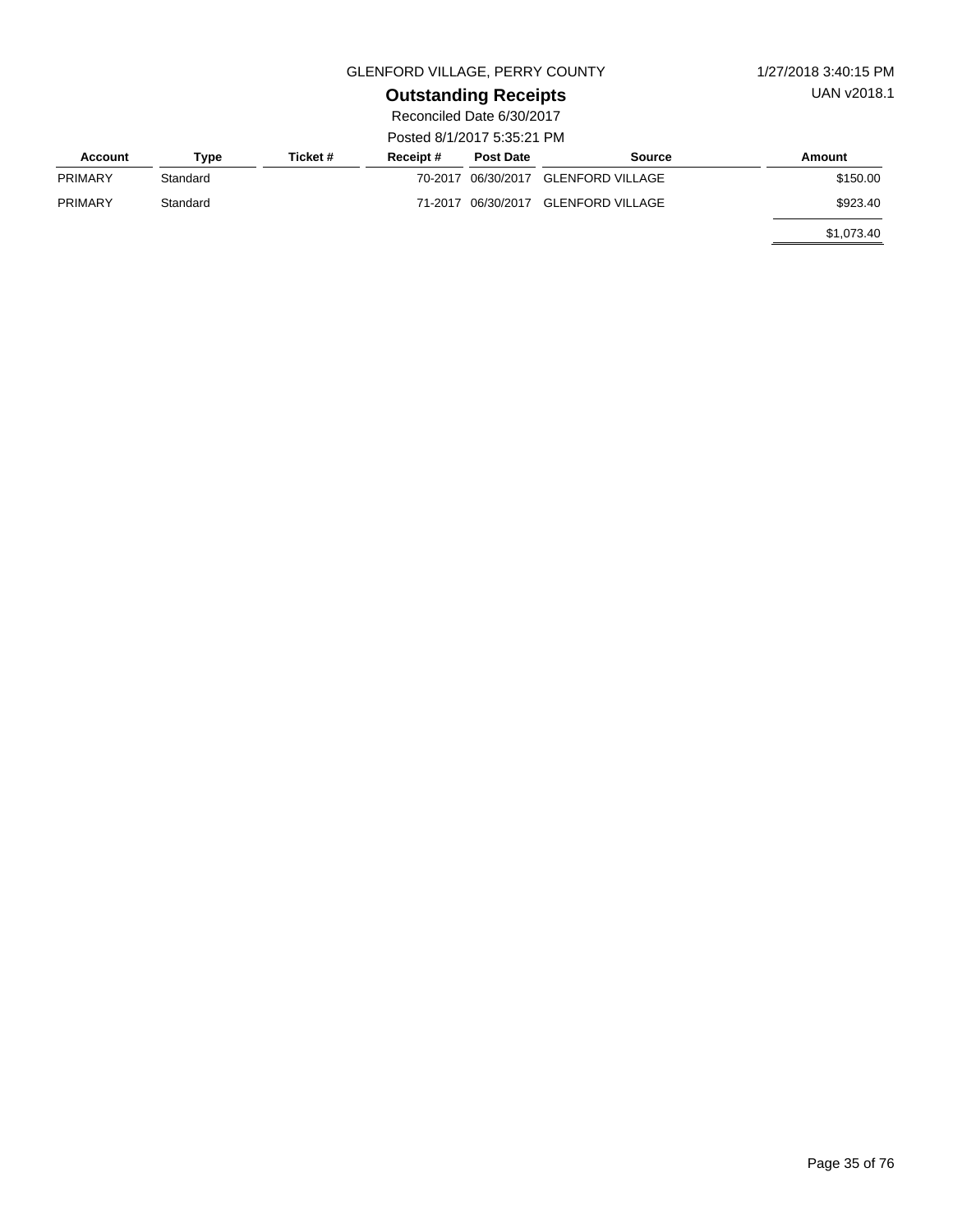UAN v2018.1

# **Outstanding Receipts**

| $0.3150$ $0.172011$ $0.33121$ T |          |          |          |                    |                         |            |  |
|---------------------------------|----------|----------|----------|--------------------|-------------------------|------------|--|
| Account                         | Type     | Ticket # | Receipt# | <b>Post Date</b>   | Source                  | Amount     |  |
| <b>PRIMARY</b>                  | Standard |          |          | 70-2017 06/30/2017 | <b>GLENFORD VILLAGE</b> | \$150.00   |  |
| <b>PRIMARY</b>                  | Standard |          | 71-2017  | 06/30/2017         | GLENFORD VILLAGE        | \$923.40   |  |
|                                 |          |          |          |                    |                         | \$1,073.40 |  |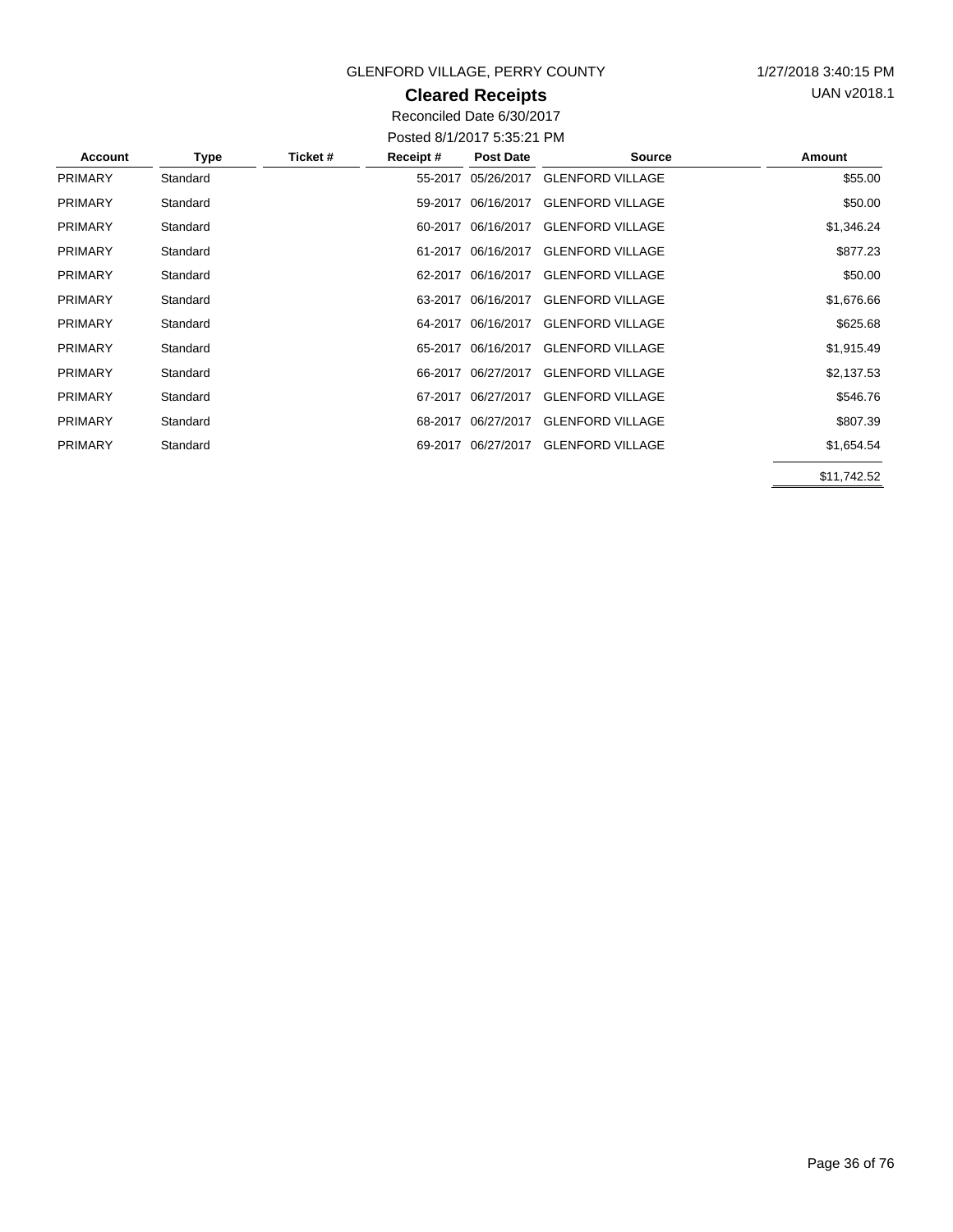# **Cleared Receipts**

UAN v2018.1

| <b>Account</b> | Type     | Ticket # | Receipt# | <b>Post Date</b>   | <b>Source</b>                       | Amount      |
|----------------|----------|----------|----------|--------------------|-------------------------------------|-------------|
| <b>PRIMARY</b> | Standard |          | 55-2017  | 05/26/2017         | <b>GLENFORD VILLAGE</b>             | \$55.00     |
| <b>PRIMARY</b> | Standard |          | 59-2017  | 06/16/2017         | <b>GLENFORD VILLAGE</b>             | \$50.00     |
| <b>PRIMARY</b> | Standard |          | 60-2017  | 06/16/2017         | <b>GLENFORD VILLAGE</b>             | \$1,346.24  |
| <b>PRIMARY</b> | Standard |          |          |                    | 61-2017 06/16/2017 GLENFORD VILLAGE | \$877.23    |
| <b>PRIMARY</b> | Standard |          | 62-2017  | 06/16/2017         | <b>GLENFORD VILLAGE</b>             | \$50.00     |
| <b>PRIMARY</b> | Standard |          |          | 63-2017 06/16/2017 | <b>GLENFORD VILLAGE</b>             | \$1,676.66  |
| <b>PRIMARY</b> | Standard |          |          |                    | 64-2017 06/16/2017 GLENFORD VILLAGE | \$625.68    |
| <b>PRIMARY</b> | Standard |          | 65-2017  | 06/16/2017         | <b>GLENFORD VILLAGE</b>             | \$1,915.49  |
| <b>PRIMARY</b> | Standard |          |          | 66-2017 06/27/2017 | <b>GLENFORD VILLAGE</b>             | \$2,137.53  |
| <b>PRIMARY</b> | Standard |          |          | 67-2017 06/27/2017 | <b>GLENFORD VILLAGE</b>             | \$546.76    |
| <b>PRIMARY</b> | Standard |          | 68-2017  | 06/27/2017         | <b>GLENFORD VILLAGE</b>             | \$807.39    |
| <b>PRIMARY</b> | Standard |          |          | 69-2017 06/27/2017 | <b>GLENFORD VILLAGE</b>             | \$1,654.54  |
|                |          |          |          |                    |                                     | \$11,742.52 |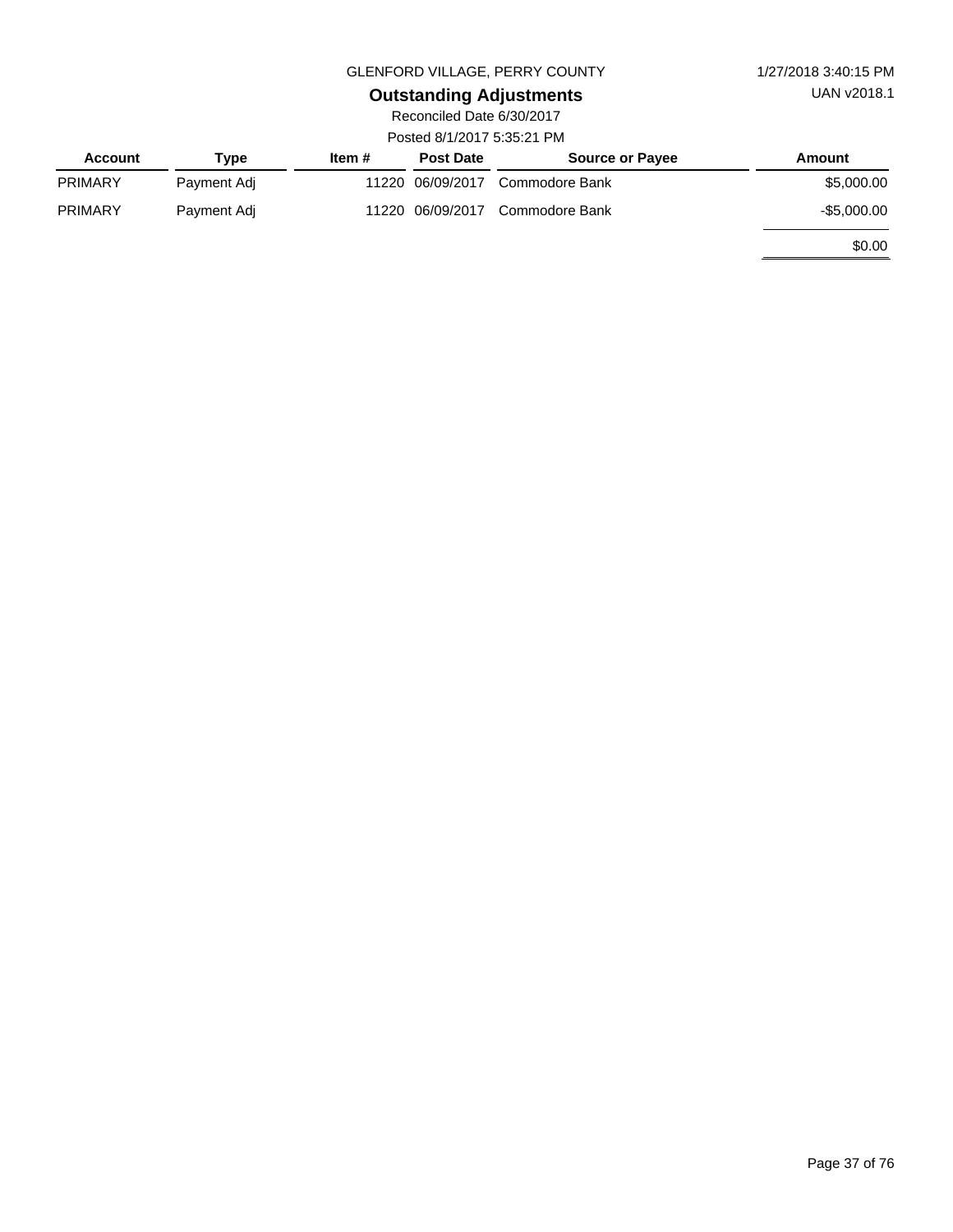**Outstanding Adjustments**

Reconciled Date 6/30/2017

Posted 8/1/2017 5:35:21 PM

| <b>Account</b> | Type        | Item # | <b>Post Date</b> | <b>Source or Payee</b> | Amount       |
|----------------|-------------|--------|------------------|------------------------|--------------|
| <b>PRIMARY</b> | Payment Adj |        | 11220 06/09/2017 | Commodore Bank         | \$5,000.00   |
| <b>PRIMARY</b> | Payment Adj |        | 11220 06/09/2017 | Commodore Bank         | $-$5,000.00$ |
|                |             |        |                  |                        | \$0.00       |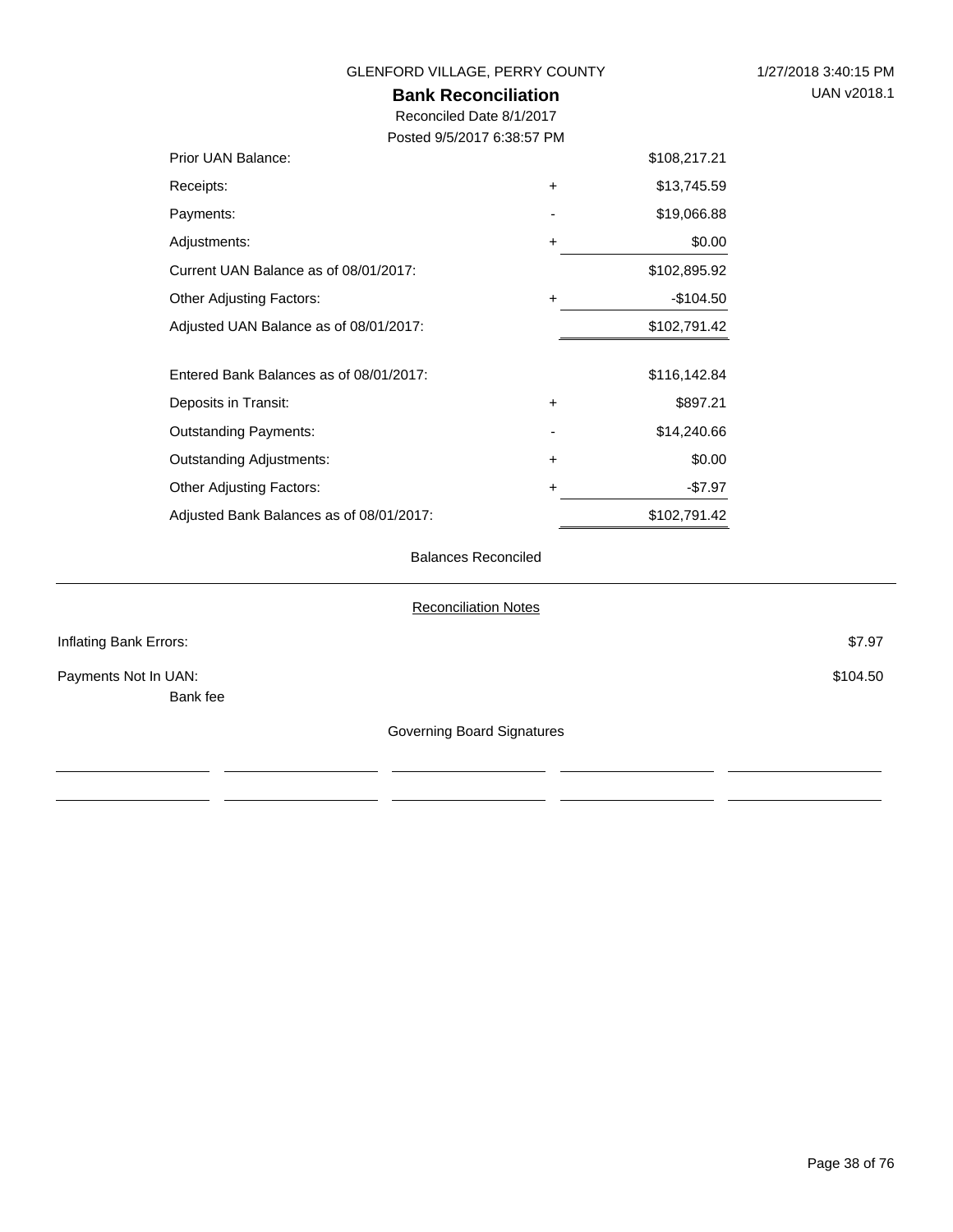| GLENFORD VILLAGE, PERRY COUNTY           |           |              | 1/27/2018 |
|------------------------------------------|-----------|--------------|-----------|
| <b>Bank Reconciliation</b>               |           |              | U/        |
| Reconciled Date 8/1/2017                 |           |              |           |
| Posted 9/5/2017 6:38:57 PM               |           |              |           |
| Prior UAN Balance:                       |           | \$108,217.21 |           |
| Receipts:                                | $\ddot{}$ | \$13,745.59  |           |
| Payments:                                |           | \$19,066.88  |           |
| Adjustments:                             | $\ddot{}$ | \$0.00       |           |
| Current UAN Balance as of 08/01/2017:    |           | \$102,895.92 |           |
| <b>Other Adjusting Factors:</b>          | $\pm$     | $-$104.50$   |           |
| Adjusted UAN Balance as of 08/01/2017:   |           | \$102,791.42 |           |
| Entered Bank Balances as of 08/01/2017:  |           | \$116,142.84 |           |
| Deposits in Transit:                     | $\ddot{}$ | \$897.21     |           |
| <b>Outstanding Payments:</b>             |           | \$14,240.66  |           |
| <b>Outstanding Adjustments:</b>          | $\ddot{}$ | \$0.00       |           |
| <b>Other Adjusting Factors:</b>          | $\ddot{}$ | $-\$7.97$    |           |
| Adjusted Bank Balances as of 08/01/2017: |           | \$102,791.42 |           |

### Balances Reconciled

|                                  | <b>Reconciliation Notes</b> |          |
|----------------------------------|-----------------------------|----------|
| Inflating Bank Errors:           |                             | \$7.97   |
| Payments Not In UAN:<br>Bank fee |                             | \$104.50 |
|                                  | Governing Board Signatures  |          |
|                                  |                             |          |

J.

 $\overline{\phantom{a}}$ 

 $\overline{\phantom{a}}$ 

 $\overline{a}$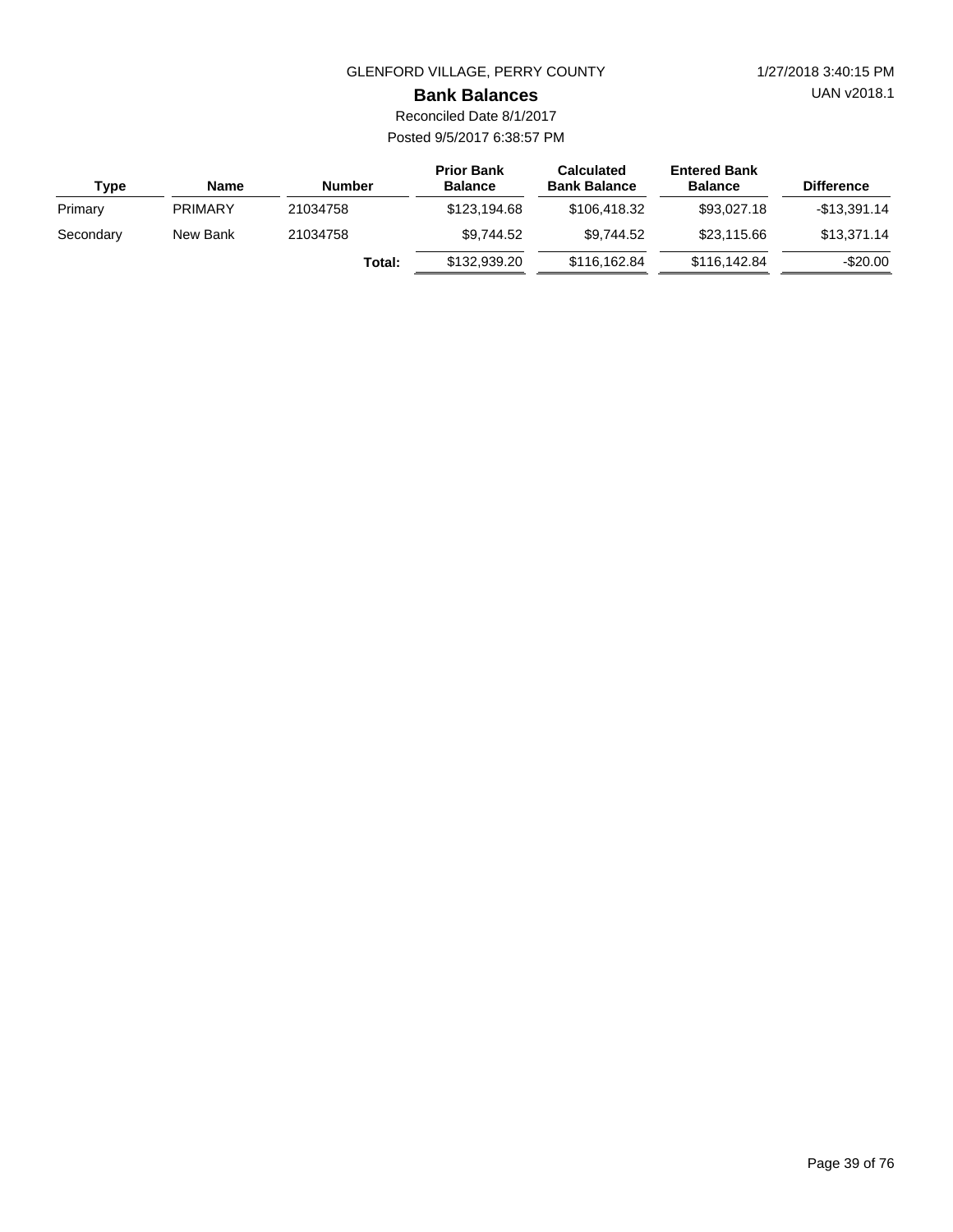UAN v2018.1

### **Bank Balances**

| <b>Type</b> | Name           | Number   | <b>Prior Bank</b><br><b>Balance</b> | <b>Calculated</b><br><b>Bank Balance</b> | <b>Entered Bank</b><br><b>Balance</b> | <b>Difference</b> |
|-------------|----------------|----------|-------------------------------------|------------------------------------------|---------------------------------------|-------------------|
| Primary     | <b>PRIMARY</b> | 21034758 | \$123,194,68                        | \$106,418,32                             | \$93.027.18                           | $-$13,391.14$     |
| Secondary   | New Bank       | 21034758 | \$9,744.52                          | \$9,744.52                               | \$23,115.66                           | \$13,371.14       |
|             |                | Total:   | \$132,939.20                        | \$116,162.84                             | \$116,142.84                          | $-$20.00$         |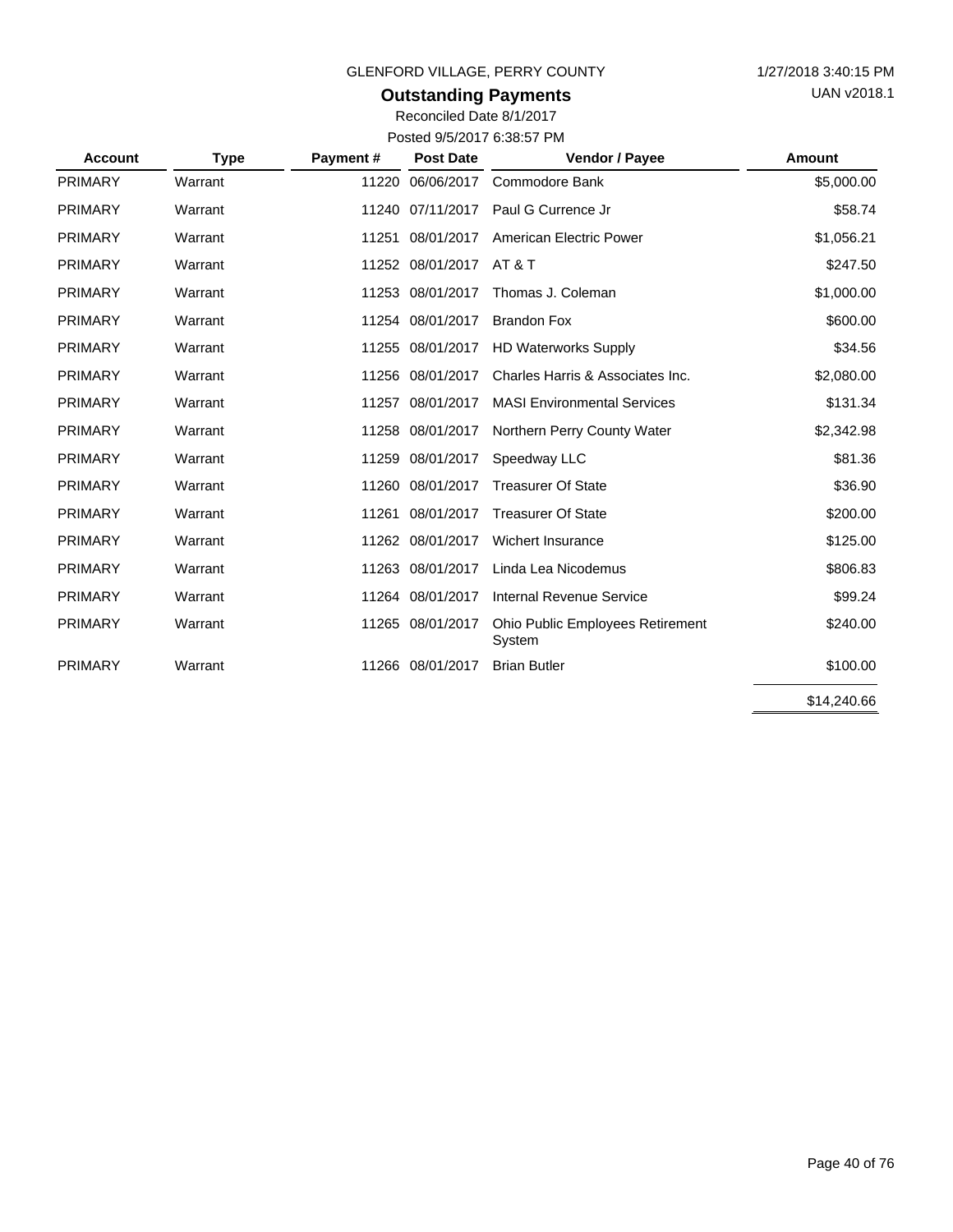# **Outstanding Payments**

Reconciled Date 8/1/2017

| <b>Account</b> | <b>Type</b> | Payment# | <b>Post Date</b> | Vendor / Payee                             | <b>Amount</b> |
|----------------|-------------|----------|------------------|--------------------------------------------|---------------|
| <b>PRIMARY</b> | Warrant     | 11220    | 06/06/2017       | Commodore Bank                             | \$5,000.00    |
| <b>PRIMARY</b> | Warrant     |          | 11240 07/11/2017 | Paul G Currence Jr                         | \$58.74       |
| PRIMARY        | Warrant     | 11251    | 08/01/2017       | American Electric Power                    | \$1,056.21    |
| <b>PRIMARY</b> | Warrant     |          | 11252 08/01/2017 | AT&T                                       | \$247.50      |
| <b>PRIMARY</b> | Warrant     |          | 11253 08/01/2017 | Thomas J. Coleman                          | \$1,000.00    |
| <b>PRIMARY</b> | Warrant     |          | 11254 08/01/2017 | <b>Brandon Fox</b>                         | \$600.00      |
| <b>PRIMARY</b> | Warrant     | 11255    | 08/01/2017       | <b>HD Waterworks Supply</b>                | \$34.56       |
| <b>PRIMARY</b> | Warrant     |          | 11256 08/01/2017 | Charles Harris & Associates Inc.           | \$2,080.00    |
| <b>PRIMARY</b> | Warrant     | 11257    | 08/01/2017       | <b>MASI Environmental Services</b>         | \$131.34      |
| <b>PRIMARY</b> | Warrant     | 11258    | 08/01/2017       | Northern Perry County Water                | \$2,342.98    |
| <b>PRIMARY</b> | Warrant     |          | 11259 08/01/2017 | Speedway LLC                               | \$81.36       |
| <b>PRIMARY</b> | Warrant     | 11260    | 08/01/2017       | <b>Treasurer Of State</b>                  | \$36.90       |
| PRIMARY        | Warrant     | 11261    | 08/01/2017       | <b>Treasurer Of State</b>                  | \$200.00      |
| PRIMARY        | Warrant     |          | 11262 08/01/2017 | <b>Wichert Insurance</b>                   | \$125.00      |
| <b>PRIMARY</b> | Warrant     |          | 11263 08/01/2017 | Linda Lea Nicodemus                        | \$806.83      |
| PRIMARY        | Warrant     |          | 11264 08/01/2017 | Internal Revenue Service                   | \$99.24       |
| <b>PRIMARY</b> | Warrant     |          | 11265 08/01/2017 | Ohio Public Employees Retirement<br>System | \$240.00      |
| PRIMARY        | Warrant     |          | 11266 08/01/2017 | <b>Brian Butler</b>                        | \$100.00      |
|                |             |          |                  |                                            | \$14,240.66   |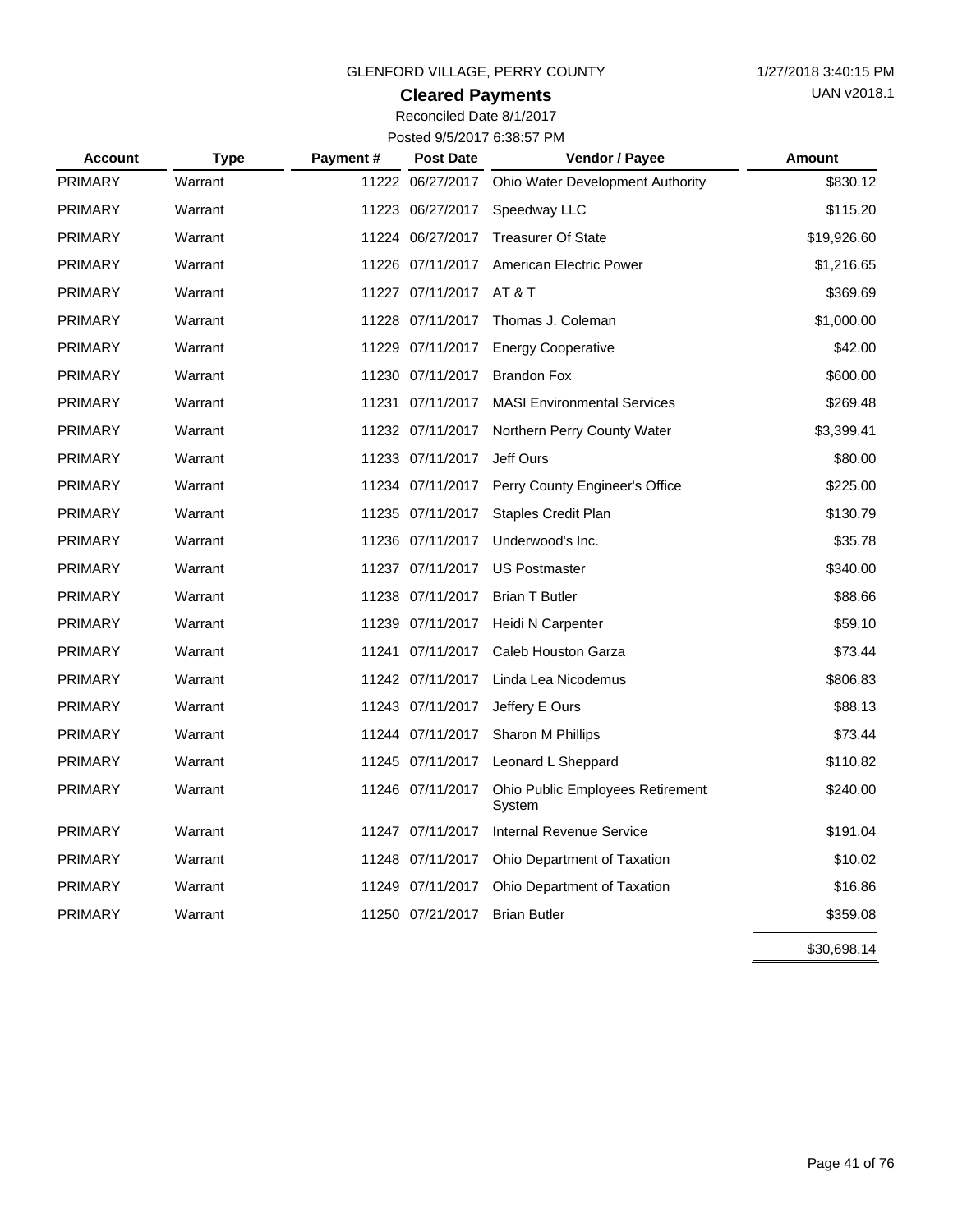# Reconciled Date 8/1/2017

Posted 9/5/2017 6:38:57 PM

| Account        | Type    | Payment# | <b>Post Date</b> | Vendor / Payee                             | <b>Amount</b> |
|----------------|---------|----------|------------------|--------------------------------------------|---------------|
| PRIMARY        | Warrant |          | 11222 06/27/2017 | <b>Ohio Water Development Authority</b>    | \$830.12      |
| <b>PRIMARY</b> | Warrant |          | 11223 06/27/2017 | Speedway LLC                               | \$115.20      |
| <b>PRIMARY</b> | Warrant |          | 11224 06/27/2017 | <b>Treasurer Of State</b>                  | \$19,926.60   |
| <b>PRIMARY</b> | Warrant |          | 11226 07/11/2017 | American Electric Power                    | \$1,216.65    |
| <b>PRIMARY</b> | Warrant |          | 11227 07/11/2017 | <b>AT &amp; T</b>                          | \$369.69      |
| <b>PRIMARY</b> | Warrant |          | 11228 07/11/2017 | Thomas J. Coleman                          | \$1,000.00    |
| <b>PRIMARY</b> | Warrant |          | 11229 07/11/2017 | <b>Energy Cooperative</b>                  | \$42.00       |
| <b>PRIMARY</b> | Warrant |          | 11230 07/11/2017 | <b>Brandon Fox</b>                         | \$600.00      |
| <b>PRIMARY</b> | Warrant |          | 11231 07/11/2017 | <b>MASI Environmental Services</b>         | \$269.48      |
| <b>PRIMARY</b> | Warrant |          | 11232 07/11/2017 | Northern Perry County Water                | \$3,399.41    |
| <b>PRIMARY</b> | Warrant |          | 11233 07/11/2017 | Jeff Ours                                  | \$80.00       |
| <b>PRIMARY</b> | Warrant |          | 11234 07/11/2017 | Perry County Engineer's Office             | \$225.00      |
| <b>PRIMARY</b> | Warrant |          | 11235 07/11/2017 | Staples Credit Plan                        | \$130.79      |
| <b>PRIMARY</b> | Warrant |          | 11236 07/11/2017 | Underwood's Inc.                           | \$35.78       |
| <b>PRIMARY</b> | Warrant |          | 11237 07/11/2017 | <b>US Postmaster</b>                       | \$340.00      |
| <b>PRIMARY</b> | Warrant |          | 11238 07/11/2017 | <b>Brian T Butler</b>                      | \$88.66       |
| <b>PRIMARY</b> | Warrant |          | 11239 07/11/2017 | Heidi N Carpenter                          | \$59.10       |
| <b>PRIMARY</b> | Warrant |          | 11241 07/11/2017 | <b>Caleb Houston Garza</b>                 | \$73.44       |
| <b>PRIMARY</b> | Warrant |          | 11242 07/11/2017 | Linda Lea Nicodemus                        | \$806.83      |
| <b>PRIMARY</b> | Warrant |          | 11243 07/11/2017 | Jeffery E Ours                             | \$88.13       |
| <b>PRIMARY</b> | Warrant |          | 11244 07/11/2017 | Sharon M Phillips                          | \$73.44       |
| <b>PRIMARY</b> | Warrant |          | 11245 07/11/2017 | Leonard L Sheppard                         | \$110.82      |
| <b>PRIMARY</b> | Warrant |          | 11246 07/11/2017 | Ohio Public Employees Retirement<br>System | \$240.00      |
| <b>PRIMARY</b> | Warrant |          | 11247 07/11/2017 | <b>Internal Revenue Service</b>            | \$191.04      |
| <b>PRIMARY</b> | Warrant |          | 11248 07/11/2017 | Ohio Department of Taxation                | \$10.02       |
| <b>PRIMARY</b> | Warrant |          | 11249 07/11/2017 | Ohio Department of Taxation                | \$16.86       |
| <b>PRIMARY</b> | Warrant |          | 11250 07/21/2017 | <b>Brian Butler</b>                        | \$359.08      |
|                |         |          |                  |                                            | \$30.698.14   |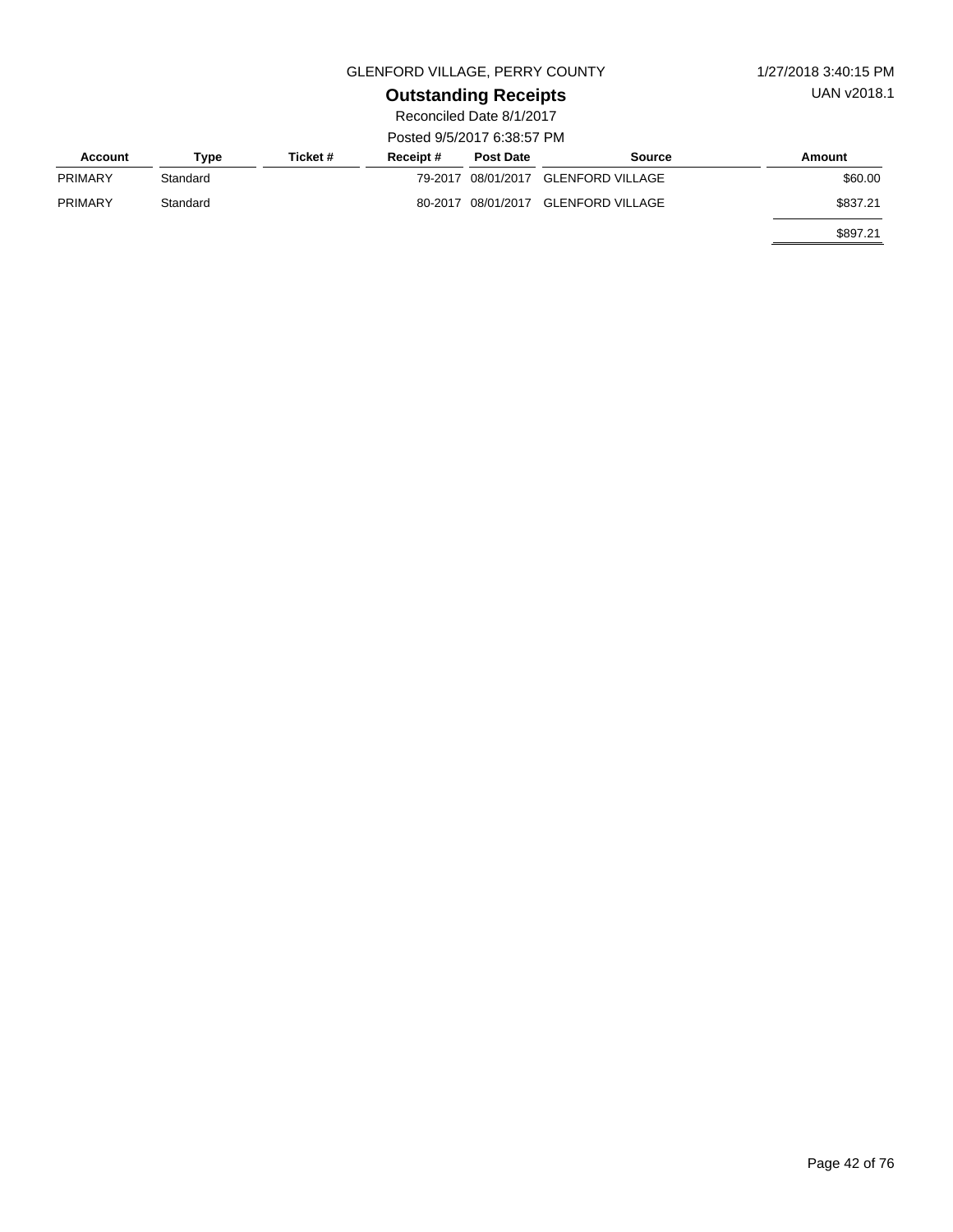UAN v2018.1

## GLENFORD VILLAGE, PERRY COUNTY 1/27/2018 3:40:15 PM

# **Outstanding Receipts**

| PUSICU 9/0/2017 0.30.07 PIVI |          |          |          |                    |                  |          |
|------------------------------|----------|----------|----------|--------------------|------------------|----------|
| Account                      | Type     | Ticket # | Receipt# | <b>Post Date</b>   | Source           | Amount   |
| <b>PRIMARY</b>               | Standard |          |          | 79-2017 08/01/2017 | GLENFORD VILLAGE | \$60.00  |
| <b>PRIMARY</b>               | Standard |          |          | 80-2017 08/01/2017 | GLENFORD VILLAGE | \$837.21 |
|                              |          |          |          |                    |                  | \$897.21 |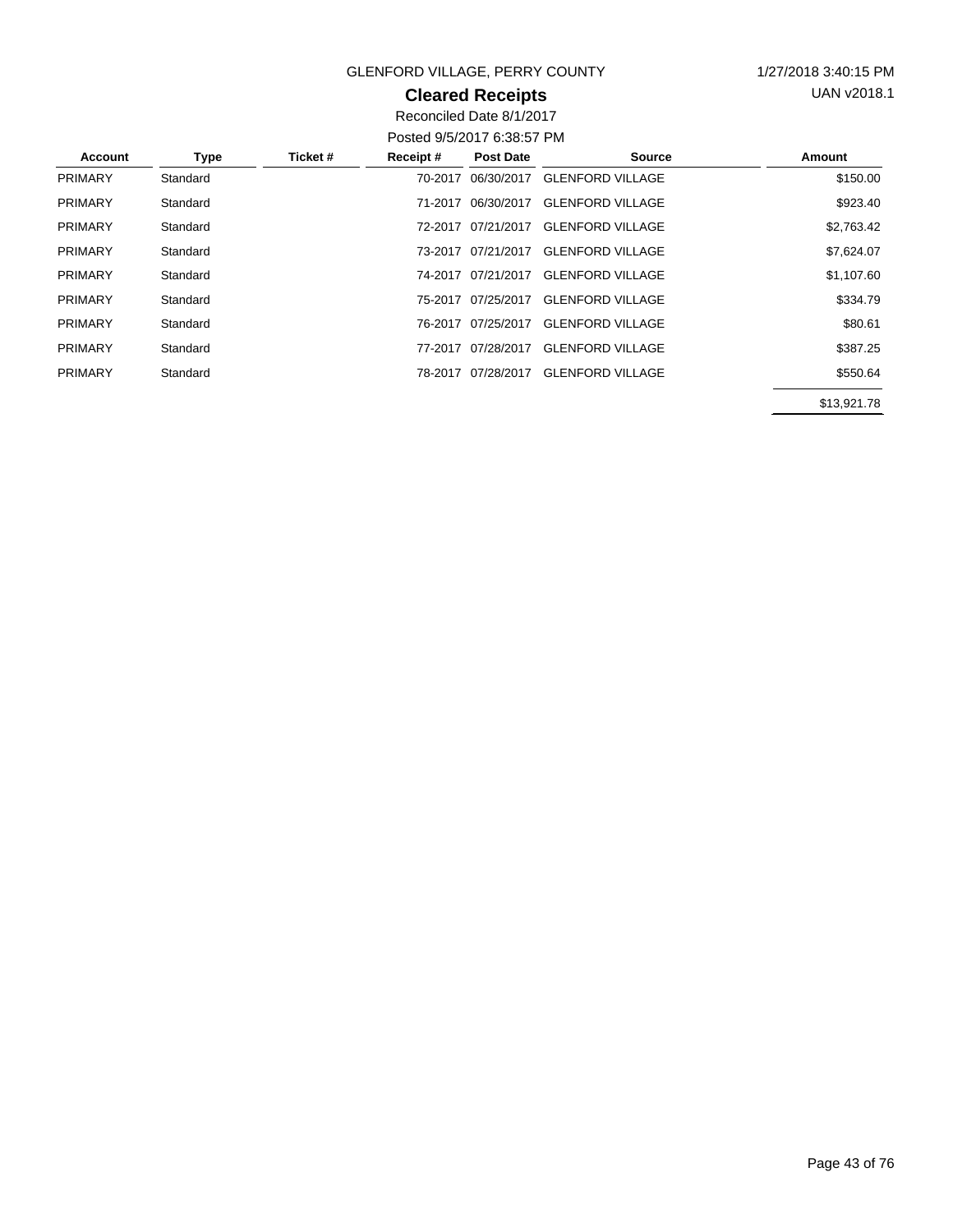## **Cleared Receipts**

UAN v2018.1

| Account        | Type     | Ticket # | Receipt# | <b>Post Date</b>   | <b>Source</b>           | Amount      |  |
|----------------|----------|----------|----------|--------------------|-------------------------|-------------|--|
| <b>PRIMARY</b> | Standard |          | 70-2017  | 06/30/2017         | <b>GLENFORD VILLAGE</b> | \$150.00    |  |
| <b>PRIMARY</b> | Standard |          | 71-2017  | 06/30/2017         | <b>GLENFORD VILLAGE</b> | \$923.40    |  |
| <b>PRIMARY</b> | Standard |          |          | 72-2017 07/21/2017 | <b>GLENFORD VILLAGE</b> | \$2,763.42  |  |
| <b>PRIMARY</b> | Standard |          | 73-2017  | 07/21/2017         | <b>GLENFORD VILLAGE</b> | \$7,624.07  |  |
| <b>PRIMARY</b> | Standard |          |          | 74-2017 07/21/2017 | <b>GLENFORD VILLAGE</b> | \$1,107.60  |  |
| <b>PRIMARY</b> | Standard |          |          | 75-2017 07/25/2017 | <b>GLENFORD VILLAGE</b> | \$334.79    |  |
| <b>PRIMARY</b> | Standard |          | 76-2017  | 07/25/2017         | <b>GLENFORD VILLAGE</b> | \$80.61     |  |
| <b>PRIMARY</b> | Standard |          |          | 77-2017 07/28/2017 | <b>GLENFORD VILLAGE</b> | \$387.25    |  |
| <b>PRIMARY</b> | Standard |          | 78-2017  | 07/28/2017         | <b>GLENFORD VILLAGE</b> | \$550.64    |  |
|                |          |          |          |                    |                         | \$13.921.78 |  |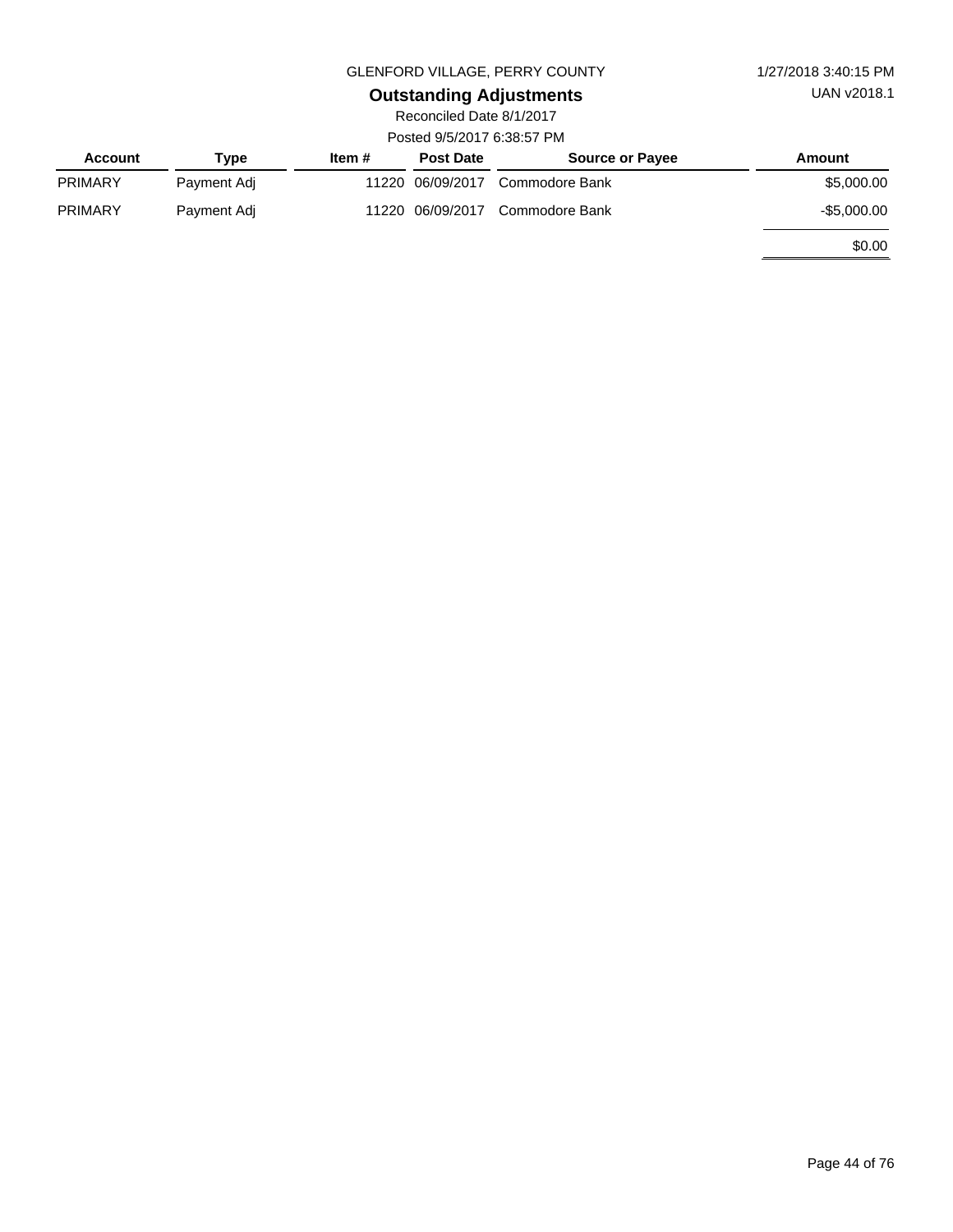| <b>GLENFORD VILLAGE, PERRY COUNTY</b> | 1/27/2018 3:40:15 PM |
|---------------------------------------|----------------------|

UAN v2018.1

# **Outstanding Adjustments**

| <b>Account</b> | Type        | Item # | <b>Post Date</b> | <b>Source or Payee</b> | Amount       |
|----------------|-------------|--------|------------------|------------------------|--------------|
| <b>PRIMARY</b> | Payment Adj |        | 11220 06/09/2017 | Commodore Bank         | \$5,000.00   |
| <b>PRIMARY</b> | Payment Adj |        | 11220 06/09/2017 | Commodore Bank         | $-$5,000.00$ |
|                |             |        |                  |                        | \$0.00       |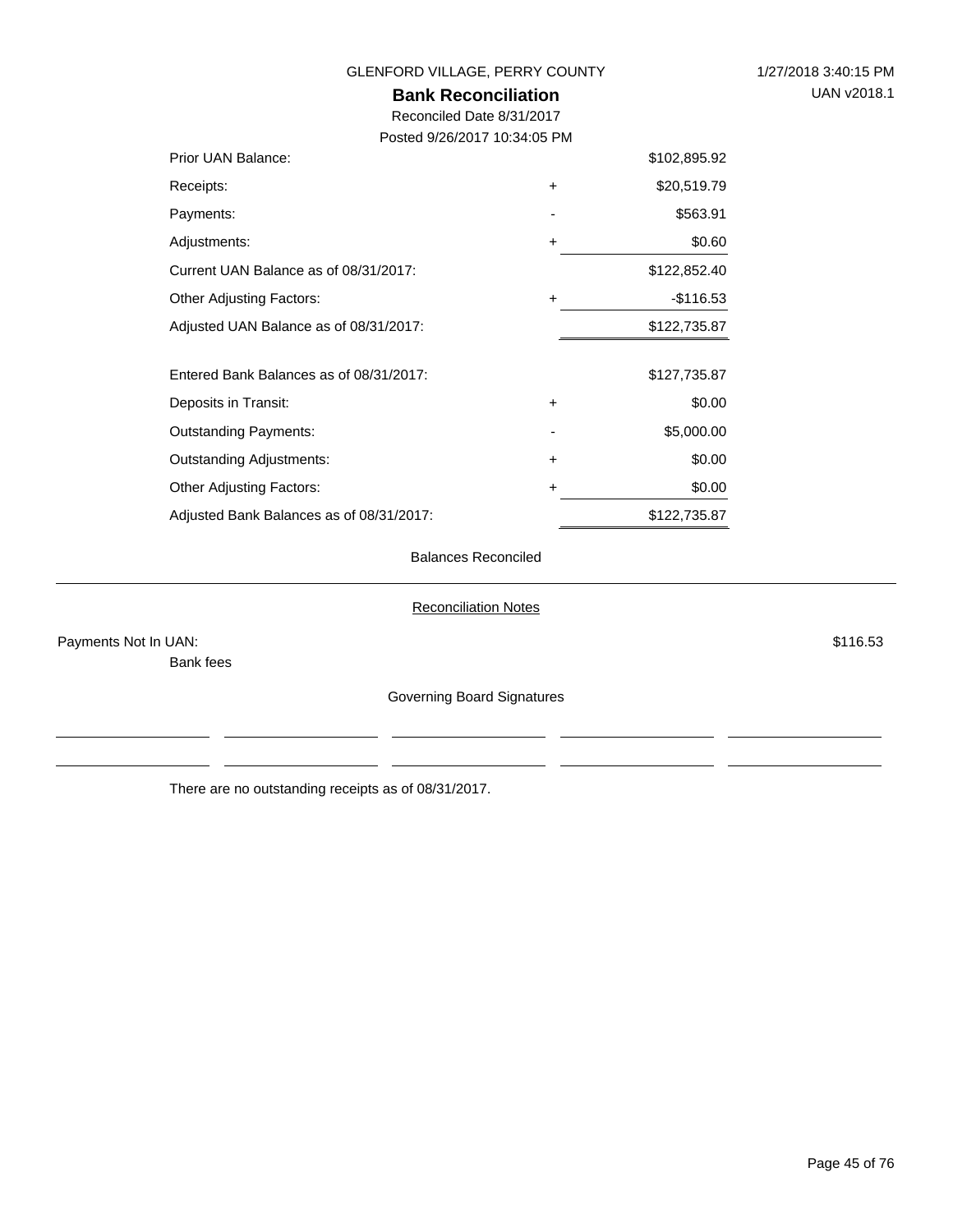| 1/27/2018 3:40:15 PM |
|----------------------|
| UAN v2018.1          |

#### GLENFORD VILLAGE, PERRY COUNTY

#### **Bank Reconciliation** Reconciled Date 8/31/2017

Posted 9/26/2017 10:34:05 PM

| Prior UAN Balance:                       |           | \$102,895.92 |
|------------------------------------------|-----------|--------------|
| Receipts:                                | $\ddot{}$ | \$20,519.79  |
| Payments:                                |           | \$563.91     |
| Adjustments:                             | $\ddot{}$ | \$0.60       |
| Current UAN Balance as of 08/31/2017:    |           | \$122,852.40 |
| <b>Other Adjusting Factors:</b>          | +         | $-$116.53$   |
| Adjusted UAN Balance as of 08/31/2017:   |           | \$122,735.87 |
|                                          |           |              |
| Entered Bank Balances as of 08/31/2017:  |           | \$127,735.87 |
| Deposits in Transit:                     | $\ddot{}$ | \$0.00       |
| <b>Outstanding Payments:</b>             |           | \$5,000.00   |
| <b>Outstanding Adjustments:</b>          | $\ddot{}$ | \$0.00       |
| <b>Other Adjusting Factors:</b>          | +         | \$0.00       |
| Adjusted Bank Balances as of 08/31/2017: |           | \$122,735.87 |

#### Balances Reconciled

Reconciliation Notes

Payments Not In UAN: \$116.53

Bank fees

Governing Board Signatures

There are no outstanding receipts as of 08/31/2017.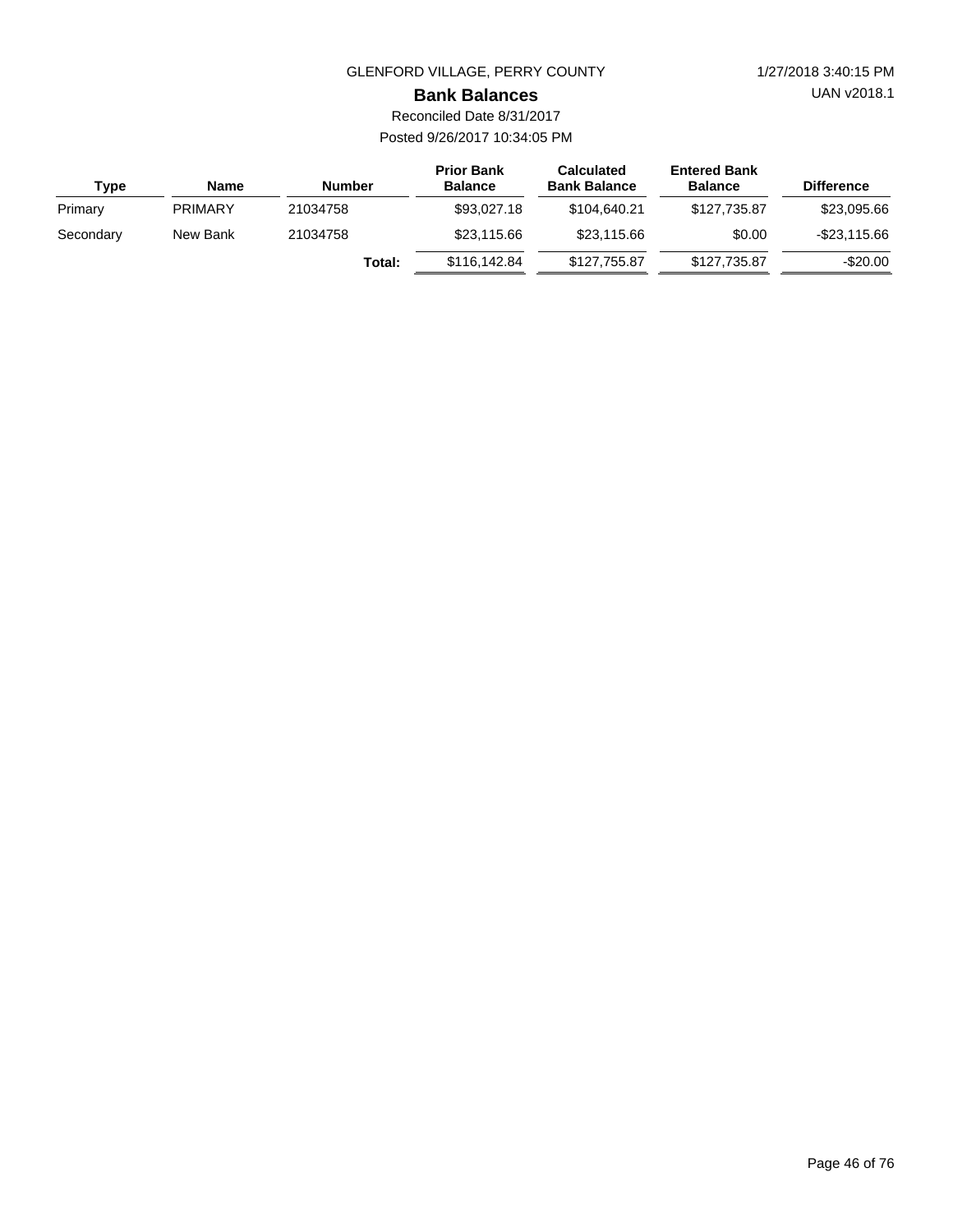UAN v2018.1

### **Bank Balances**

| <b>Type</b> | Name           | <b>Number</b> | <b>Prior Bank</b><br><b>Balance</b> | <b>Calculated</b><br><b>Bank Balance</b> | <b>Entered Bank</b><br><b>Balance</b> | <b>Difference</b> |
|-------------|----------------|---------------|-------------------------------------|------------------------------------------|---------------------------------------|-------------------|
| Primary     | <b>PRIMARY</b> | 21034758      | \$93,027.18                         | \$104.640.21                             | \$127.735.87                          | \$23,095.66       |
| Secondary   | New Bank       | 21034758      | \$23,115.66                         | \$23,115,66                              | \$0.00                                | $-$ \$23,115.66   |
|             |                | Total:        | \$116,142,84                        | \$127.755.87                             | \$127,735.87                          | $-$20.00$         |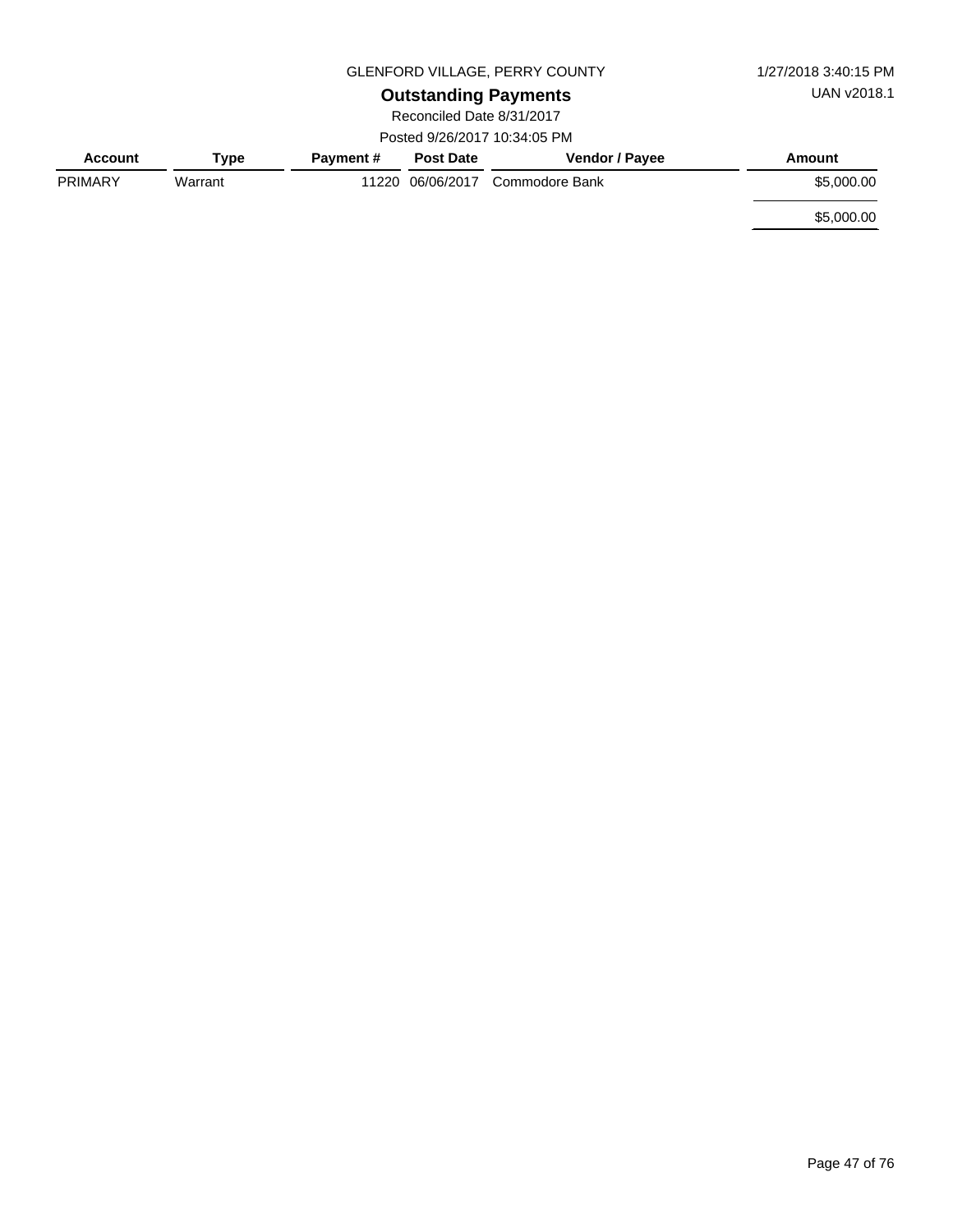| Type    | <b>Payment #</b> | <b>Post Date</b> | <b>Vendor / Payee</b> | Amount                                                                                                                            |
|---------|------------------|------------------|-----------------------|-----------------------------------------------------------------------------------------------------------------------------------|
| Warrant |                  |                  | Commodore Bank        | \$5,000.00                                                                                                                        |
|         |                  |                  | 11220 06/06/2017      | <b>GLENFORD VILLAGE, PERRY COUNTY</b><br><b>Outstanding Payments</b><br>Reconciled Date 8/31/2017<br>Posted 9/26/2017 10:34:05 PM |

\$5,000.00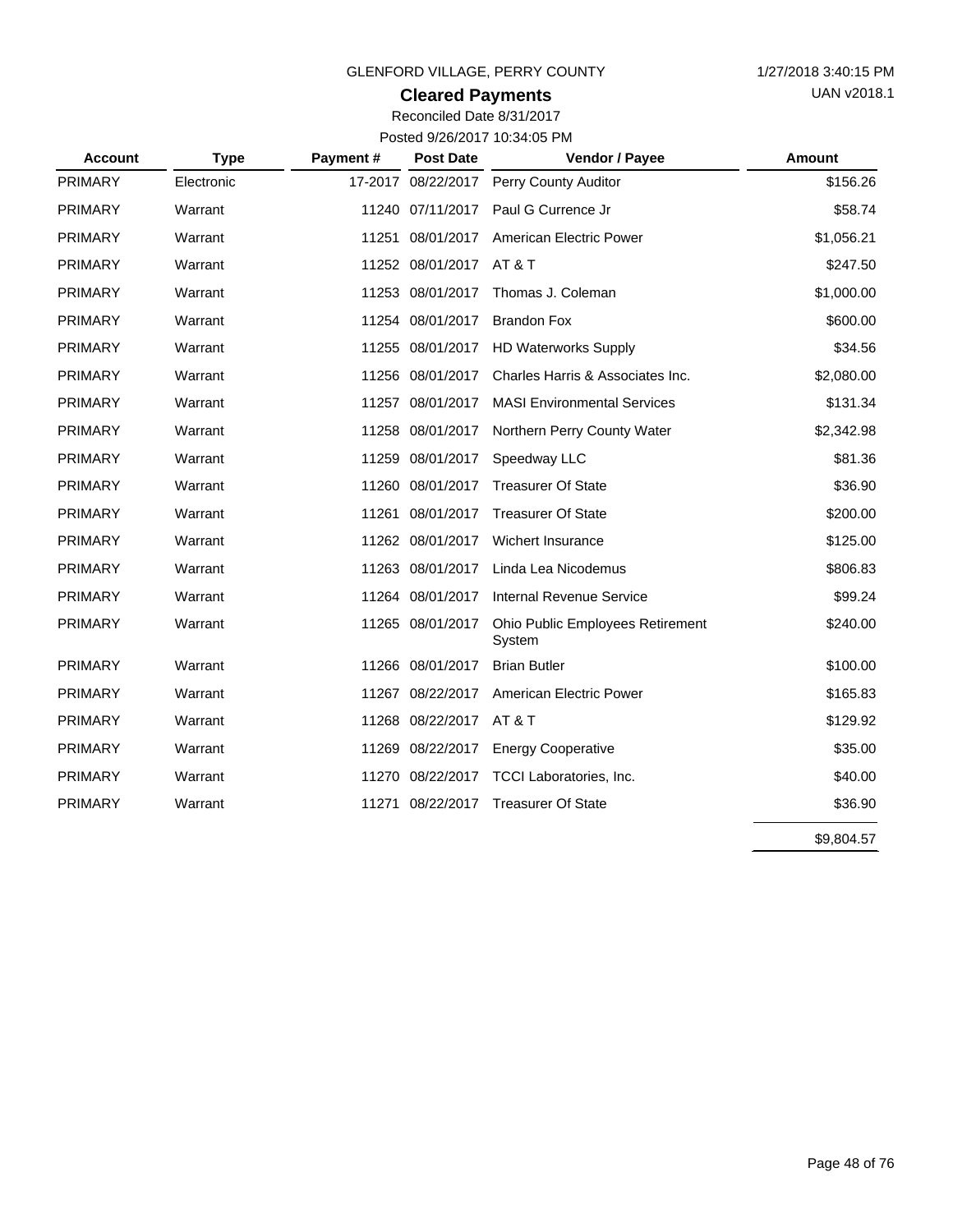## **Cleared Payments**

| <b>Account</b> | <b>Type</b> | Payment# | <b>Post Date</b>   | Vendor / Payee                                    | Amount     |
|----------------|-------------|----------|--------------------|---------------------------------------------------|------------|
| <b>PRIMARY</b> | Electronic  |          | 17-2017 08/22/2017 | Perry County Auditor                              | \$156.26   |
| <b>PRIMARY</b> | Warrant     |          | 11240 07/11/2017   | Paul G Currence Jr                                | \$58.74    |
| <b>PRIMARY</b> | Warrant     |          | 11251 08/01/2017   | American Electric Power                           | \$1,056.21 |
| <b>PRIMARY</b> | Warrant     |          | 11252 08/01/2017   | <b>AT &amp; T</b>                                 | \$247.50   |
| <b>PRIMARY</b> | Warrant     |          | 11253 08/01/2017   | Thomas J. Coleman                                 | \$1,000.00 |
| <b>PRIMARY</b> | Warrant     |          | 11254 08/01/2017   | <b>Brandon Fox</b>                                | \$600.00   |
| <b>PRIMARY</b> | Warrant     |          | 11255 08/01/2017   | <b>HD Waterworks Supply</b>                       | \$34.56    |
| <b>PRIMARY</b> | Warrant     |          | 11256 08/01/2017   | Charles Harris & Associates Inc.                  | \$2,080.00 |
| <b>PRIMARY</b> | Warrant     |          | 11257 08/01/2017   | <b>MASI Environmental Services</b>                | \$131.34   |
| <b>PRIMARY</b> | Warrant     |          | 11258 08/01/2017   | Northern Perry County Water                       | \$2,342.98 |
| <b>PRIMARY</b> | Warrant     |          | 11259 08/01/2017   | Speedway LLC                                      | \$81.36    |
| <b>PRIMARY</b> | Warrant     |          | 11260 08/01/2017   | <b>Treasurer Of State</b>                         | \$36.90    |
| <b>PRIMARY</b> | Warrant     |          | 11261 08/01/2017   | <b>Treasurer Of State</b>                         | \$200.00   |
| <b>PRIMARY</b> | Warrant     |          | 11262 08/01/2017   | <b>Wichert Insurance</b>                          | \$125.00   |
| <b>PRIMARY</b> | Warrant     |          | 11263 08/01/2017   | Linda Lea Nicodemus                               | \$806.83   |
| <b>PRIMARY</b> | Warrant     |          | 11264 08/01/2017   | <b>Internal Revenue Service</b>                   | \$99.24    |
| <b>PRIMARY</b> | Warrant     |          | 11265 08/01/2017   | <b>Ohio Public Employees Retirement</b><br>System | \$240.00   |
| <b>PRIMARY</b> | Warrant     |          | 11266 08/01/2017   | <b>Brian Butler</b>                               | \$100.00   |
| <b>PRIMARY</b> | Warrant     |          | 11267 08/22/2017   | American Electric Power                           | \$165.83   |
| <b>PRIMARY</b> | Warrant     |          | 11268 08/22/2017   | <b>AT &amp; T</b>                                 | \$129.92   |
| <b>PRIMARY</b> | Warrant     |          | 11269 08/22/2017   | <b>Energy Cooperative</b>                         | \$35.00    |
| <b>PRIMARY</b> | Warrant     |          | 11270 08/22/2017   | <b>TCCI Laboratories, Inc.</b>                    | \$40.00    |
| <b>PRIMARY</b> | Warrant     |          | 11271 08/22/2017   | <b>Treasurer Of State</b>                         | \$36.90    |
|                |             |          |                    |                                                   | \$9,804.57 |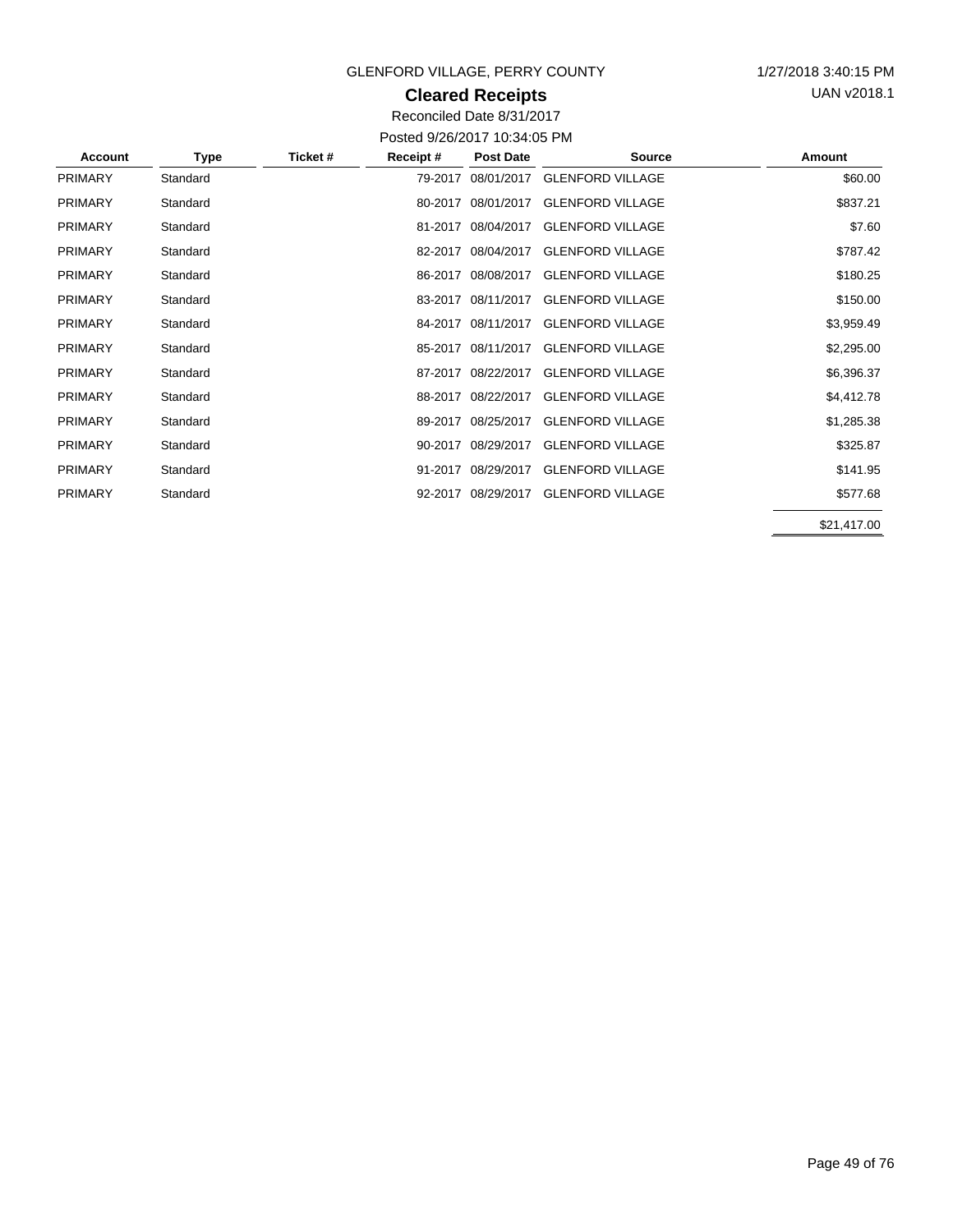## **Cleared Receipts**

UAN v2018.1

| <b>Account</b> | Type     | Ticket # | Receipt# | <b>Post Date</b>   | <b>Source</b>                       | Amount      |
|----------------|----------|----------|----------|--------------------|-------------------------------------|-------------|
| PRIMARY        | Standard |          | 79-2017  | 08/01/2017         | <b>GLENFORD VILLAGE</b>             | \$60.00     |
| <b>PRIMARY</b> | Standard |          | 80-2017  | 08/01/2017         | <b>GLENFORD VILLAGE</b>             | \$837.21    |
| <b>PRIMARY</b> | Standard |          | 81-2017  | 08/04/2017         | <b>GLENFORD VILLAGE</b>             | \$7.60      |
| <b>PRIMARY</b> | Standard |          | 82-2017  | 08/04/2017         | <b>GLENFORD VILLAGE</b>             | \$787.42    |
| <b>PRIMARY</b> | Standard |          |          | 86-2017 08/08/2017 | <b>GLENFORD VILLAGE</b>             | \$180.25    |
| <b>PRIMARY</b> | Standard |          | 83-2017  | 08/11/2017         | <b>GLENFORD VILLAGE</b>             | \$150.00    |
| <b>PRIMARY</b> | Standard |          | 84-2017  | 08/11/2017         | <b>GLENFORD VILLAGE</b>             | \$3,959.49  |
| <b>PRIMARY</b> | Standard |          |          | 85-2017 08/11/2017 | <b>GLENFORD VILLAGE</b>             | \$2,295.00  |
| <b>PRIMARY</b> | Standard |          | 87-2017  | 08/22/2017         | <b>GLENFORD VILLAGE</b>             | \$6,396.37  |
| <b>PRIMARY</b> | Standard |          | 88-2017  | 08/22/2017         | <b>GLENFORD VILLAGE</b>             | \$4,412.78  |
| <b>PRIMARY</b> | Standard |          |          | 89-2017 08/25/2017 | <b>GLENFORD VILLAGE</b>             | \$1,285.38  |
| <b>PRIMARY</b> | Standard |          | 90-2017  | 08/29/2017         | <b>GLENFORD VILLAGE</b>             | \$325.87    |
| <b>PRIMARY</b> | Standard |          | 91-2017  | 08/29/2017         | <b>GLENFORD VILLAGE</b>             | \$141.95    |
| <b>PRIMARY</b> | Standard |          |          |                    | 92-2017 08/29/2017 GLENFORD VILLAGE | \$577.68    |
|                |          |          |          |                    |                                     | \$21,417.00 |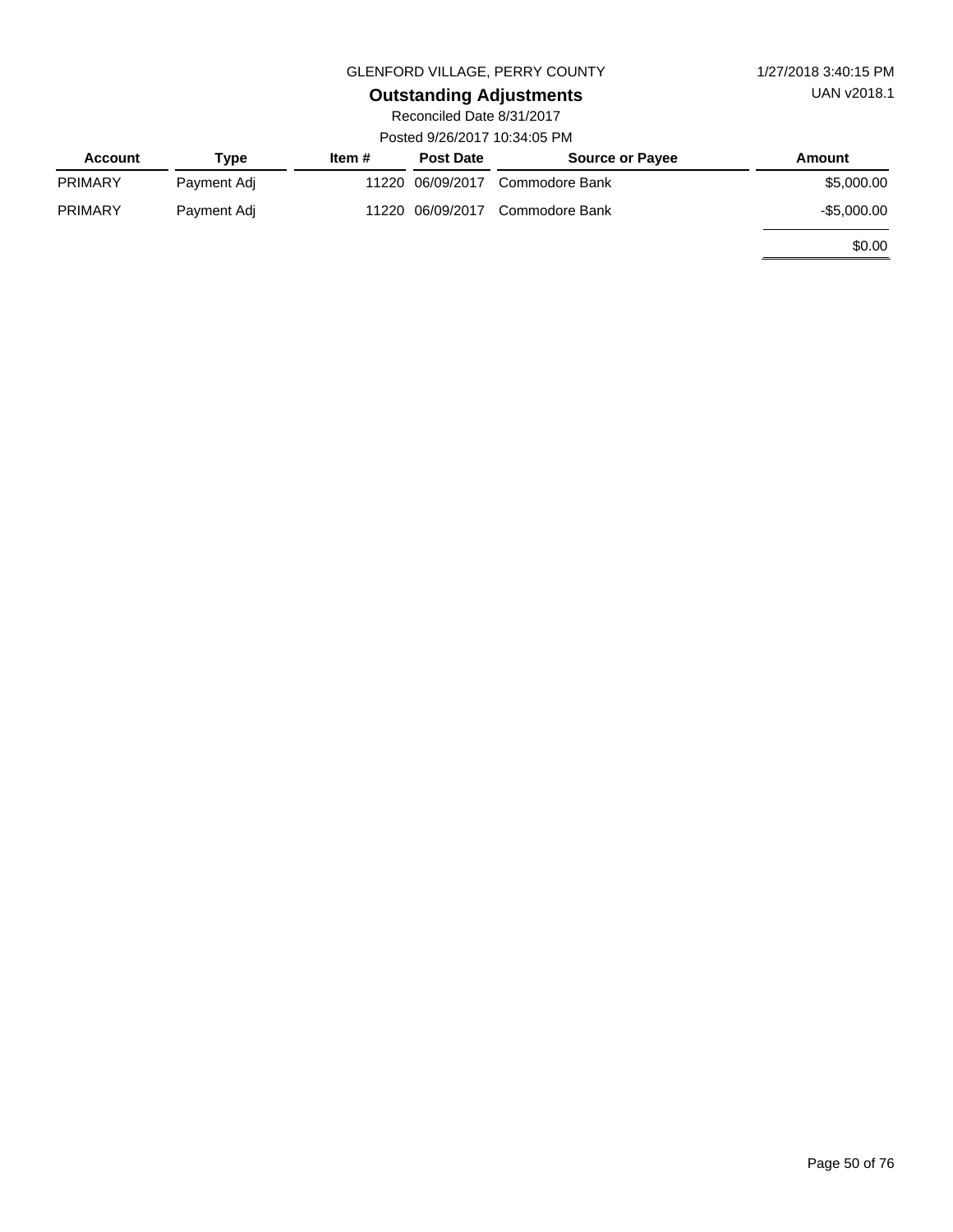| <b>GLENFORD VILLAGE, PERRY COUNTY</b> | 1/27/2018 3:40:15 PM |
|---------------------------------------|----------------------|
|---------------------------------------|----------------------|

UAN v2018.1

# **Outstanding Adjustments**

| <b>Account</b> | Type        | Item # | <b>Post Date</b> | <b>Source or Payee</b> | Amount       |
|----------------|-------------|--------|------------------|------------------------|--------------|
| <b>PRIMARY</b> | Payment Adj |        | 11220 06/09/2017 | Commodore Bank         | \$5,000.00   |
| <b>PRIMARY</b> | Payment Adj |        | 11220 06/09/2017 | Commodore Bank         | $-$5,000.00$ |
|                |             |        |                  |                        | \$0.00       |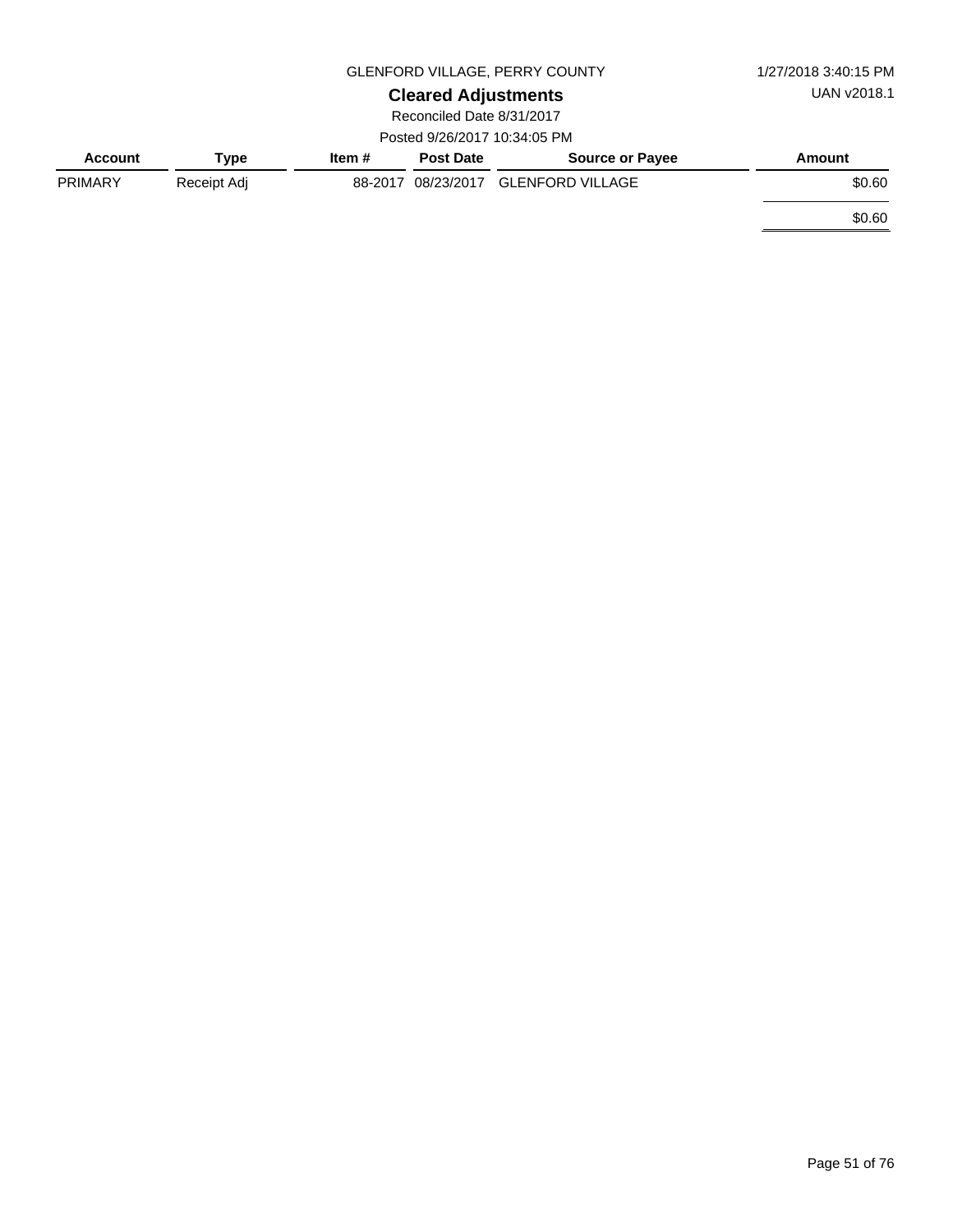|                              | <b>GLENFORD VILLAGE, PERRY COUNTY</b>                                  |         |            |                         |        |  |  |
|------------------------------|------------------------------------------------------------------------|---------|------------|-------------------------|--------|--|--|
|                              | UAN v2018.1                                                            |         |            |                         |        |  |  |
| Reconciled Date 8/31/2017    |                                                                        |         |            |                         |        |  |  |
| Posted 9/26/2017 10:34:05 PM |                                                                        |         |            |                         |        |  |  |
| <b>Account</b>               | <b>Source or Payee</b><br><b>Post Date</b><br>Item #<br>Type<br>Amount |         |            |                         |        |  |  |
| <b>PRIMARY</b>               | Receipt Adj                                                            | 88-2017 | 08/23/2017 | <b>GLENFORD VILLAGE</b> | \$0.60 |  |  |

\$0.60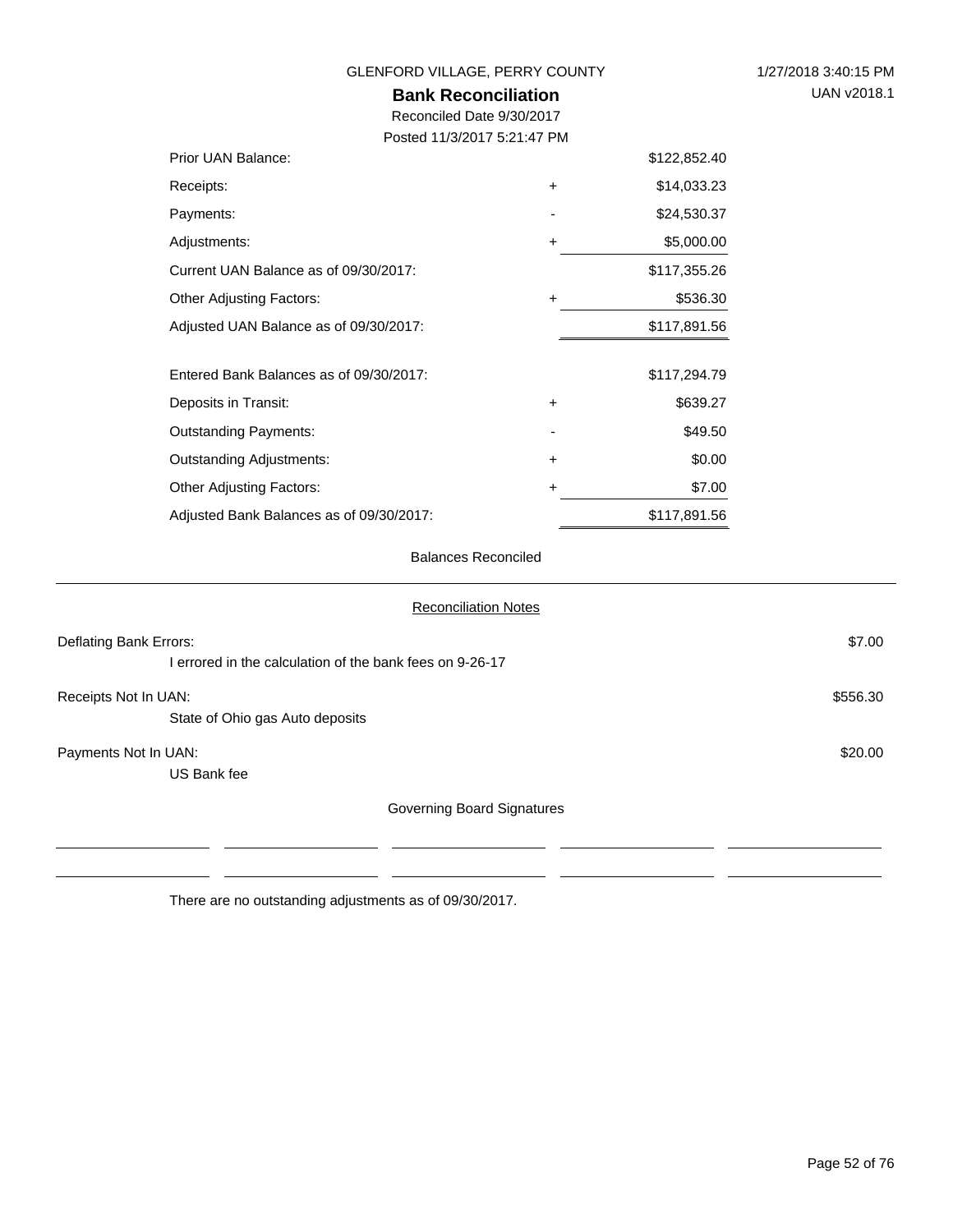| GLENFORD VILLAGE, PERRY COUNTY<br><b>Bank Reconciliation</b><br>Reconciled Date 9/30/2017 | 1/27/2018 3:40:15 PM<br>UAN v2018.1 |              |  |
|-------------------------------------------------------------------------------------------|-------------------------------------|--------------|--|
| Posted 11/3/2017 5:21:47 PM                                                               |                                     |              |  |
| Prior UAN Balance:                                                                        |                                     | \$122,852.40 |  |
| Receipts:                                                                                 | $\ddot{}$                           | \$14,033.23  |  |
| Payments:                                                                                 |                                     | \$24,530.37  |  |
| Adjustments:                                                                              | +                                   | \$5,000.00   |  |
| Current UAN Balance as of 09/30/2017:                                                     |                                     | \$117,355.26 |  |
| <b>Other Adjusting Factors:</b>                                                           | $\ddot{}$                           | \$536.30     |  |
| Adjusted UAN Balance as of 09/30/2017:                                                    |                                     | \$117,891.56 |  |
| Entered Bank Balances as of 09/30/2017:                                                   |                                     | \$117,294.79 |  |
| Deposits in Transit:                                                                      | +                                   | \$639.27     |  |
| <b>Outstanding Payments:</b>                                                              |                                     | \$49.50      |  |
| <b>Outstanding Adjustments:</b>                                                           | +                                   | \$0.00       |  |
| <b>Other Adjusting Factors:</b>                                                           | +                                   | \$7.00       |  |
| Adjusted Bank Balances as of 09/30/2017:                                                  |                                     | \$117,891.56 |  |

## Balances Reconciled

#### Reconciliation Notes

| Deflating Bank Errors:                                   | \$7.00   |
|----------------------------------------------------------|----------|
| l errored in the calculation of the bank fees on 9-26-17 |          |
| Receipts Not In UAN:                                     | \$556.30 |
| State of Ohio gas Auto deposits                          |          |
| Payments Not In UAN:                                     | \$20.00  |
| US Bank fee                                              |          |
| Governing Board Signatures                               |          |

There are no outstanding adjustments as of 09/30/2017.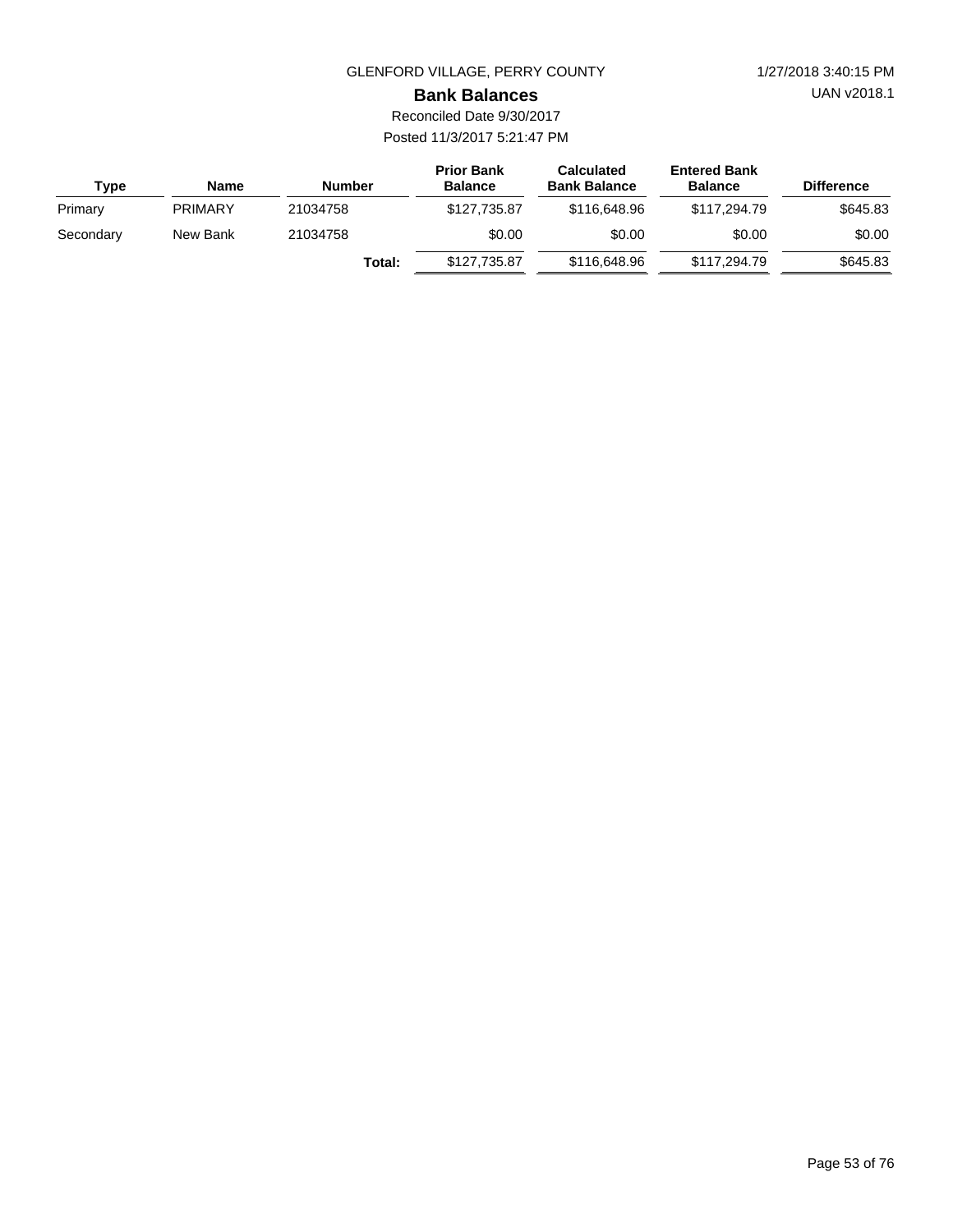UAN v2018.1

### **Bank Balances**

| <b>Type</b> | <b>Name</b>    | <b>Number</b> | <b>Prior Bank</b><br><b>Balance</b> | <b>Calculated</b><br><b>Bank Balance</b> | <b>Entered Bank</b><br><b>Balance</b> | <b>Difference</b> |
|-------------|----------------|---------------|-------------------------------------|------------------------------------------|---------------------------------------|-------------------|
| Primary     | <b>PRIMARY</b> | 21034758      | \$127,735.87                        | \$116,648.96                             | \$117.294.79                          | \$645.83          |
| Secondary   | New Bank       | 21034758      | \$0.00                              | \$0.00                                   | \$0.00                                | \$0.00            |
|             |                | Total:        | \$127.735.87                        | \$116,648.96                             | \$117.294.79                          | \$645.83          |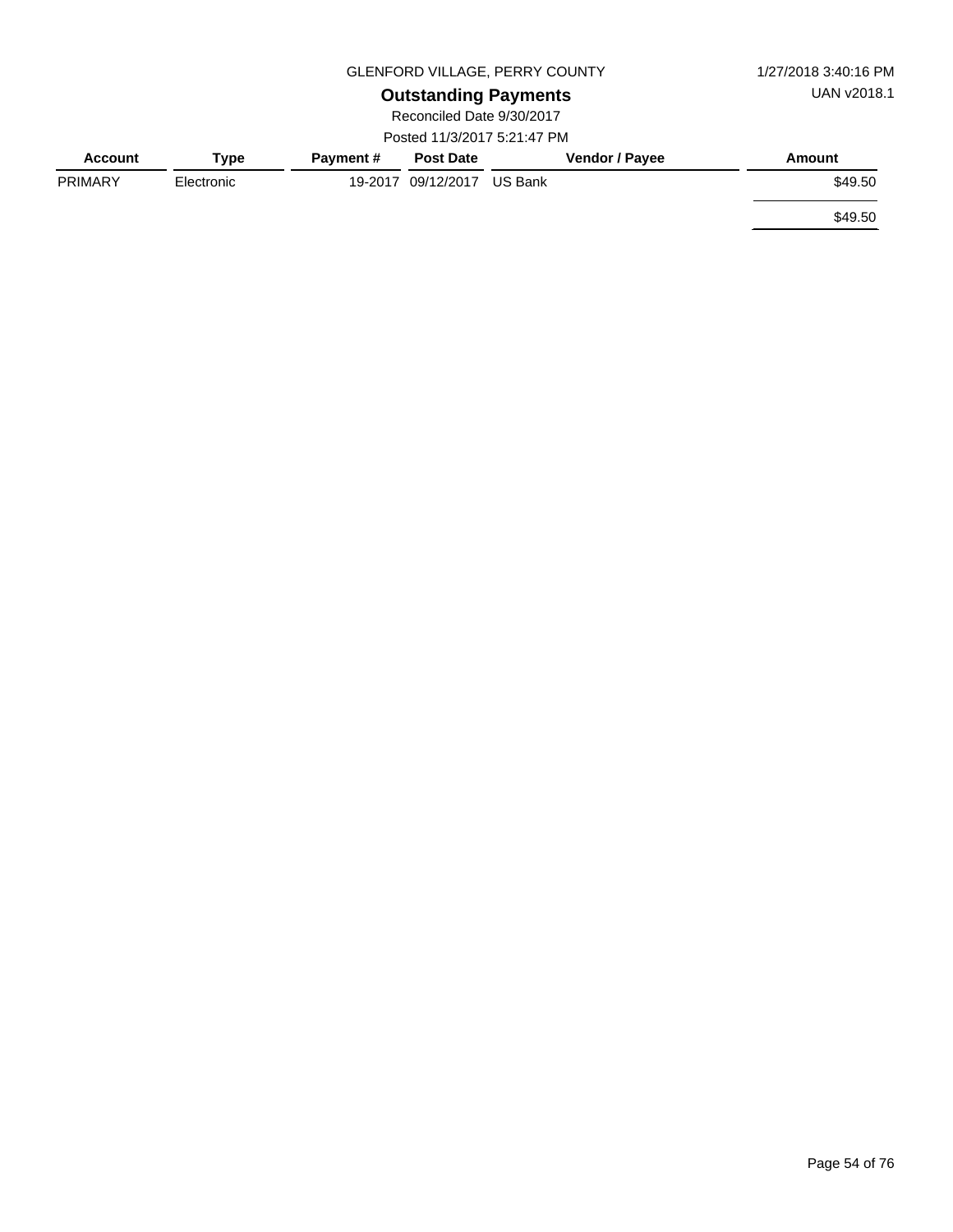| <b>PRIMARY</b> | Electronic                |                      | 19-2017 09/12/2017 | US Bank                     | \$49.50 |  |  |  |
|----------------|---------------------------|----------------------|--------------------|-----------------------------|---------|--|--|--|
| <b>Account</b> | Type                      | <b>Payment #</b>     | <b>Post Date</b>   | <b>Vendor / Payee</b>       | Amount  |  |  |  |
|                |                           |                      |                    | Posted 11/3/2017 5:21:47 PM |         |  |  |  |
|                | Reconciled Date 9/30/2017 |                      |                    |                             |         |  |  |  |
|                | UAN v2018.1               |                      |                    |                             |         |  |  |  |
|                |                           | 1/27/2018 3:40:16 PM |                    |                             |         |  |  |  |

\$49.50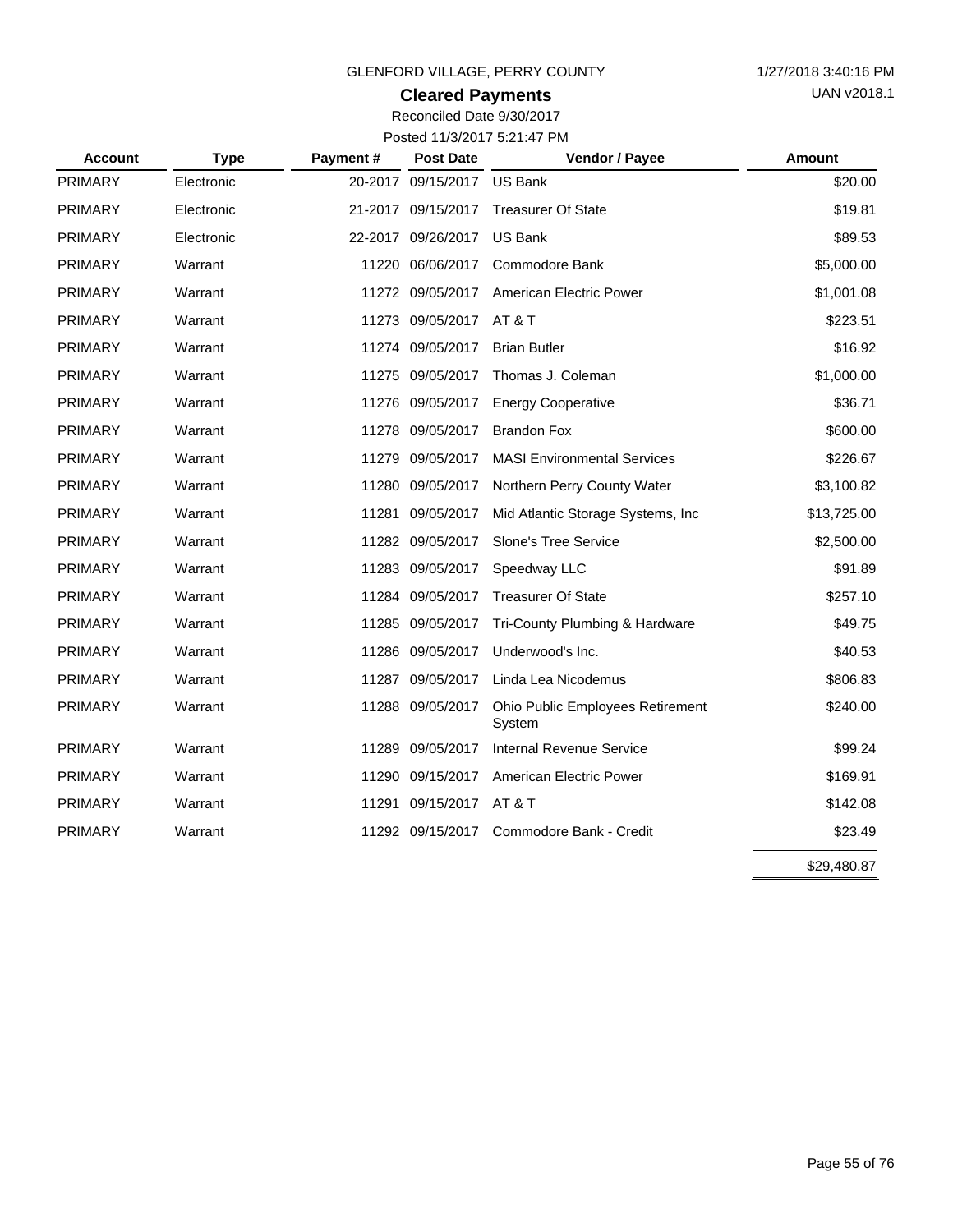## **Cleared Payments**

| <b>Account</b> | <b>Type</b> | Payment# | <b>Post Date</b>   | Vendor / Payee                             | <b>Amount</b> |
|----------------|-------------|----------|--------------------|--------------------------------------------|---------------|
| <b>PRIMARY</b> | Electronic  |          | 20-2017 09/15/2017 | <b>US Bank</b>                             | \$20.00       |
| <b>PRIMARY</b> | Electronic  |          | 21-2017 09/15/2017 | <b>Treasurer Of State</b>                  | \$19.81       |
| <b>PRIMARY</b> | Electronic  |          | 22-2017 09/26/2017 | <b>US Bank</b>                             | \$89.53       |
| <b>PRIMARY</b> | Warrant     |          | 11220 06/06/2017   | Commodore Bank                             | \$5,000.00    |
| <b>PRIMARY</b> | Warrant     |          | 11272 09/05/2017   | American Electric Power                    | \$1,001.08    |
| <b>PRIMARY</b> | Warrant     |          | 11273 09/05/2017   | <b>AT &amp; T</b>                          | \$223.51      |
| <b>PRIMARY</b> | Warrant     |          | 11274 09/05/2017   | <b>Brian Butler</b>                        | \$16.92       |
| <b>PRIMARY</b> | Warrant     |          | 11275 09/05/2017   | Thomas J. Coleman                          | \$1,000.00    |
| <b>PRIMARY</b> | Warrant     |          | 11276 09/05/2017   | <b>Energy Cooperative</b>                  | \$36.71       |
| <b>PRIMARY</b> | Warrant     |          | 11278 09/05/2017   | <b>Brandon Fox</b>                         | \$600.00      |
| <b>PRIMARY</b> | Warrant     |          | 11279 09/05/2017   | <b>MASI Environmental Services</b>         | \$226.67      |
| <b>PRIMARY</b> | Warrant     |          | 11280 09/05/2017   | Northern Perry County Water                | \$3,100.82    |
| <b>PRIMARY</b> | Warrant     |          | 11281 09/05/2017   | Mid Atlantic Storage Systems, Inc          | \$13,725.00   |
| <b>PRIMARY</b> | Warrant     |          | 11282 09/05/2017   | Slone's Tree Service                       | \$2,500.00    |
| <b>PRIMARY</b> | Warrant     |          | 11283 09/05/2017   | Speedway LLC                               | \$91.89       |
| <b>PRIMARY</b> | Warrant     |          | 11284 09/05/2017   | <b>Treasurer Of State</b>                  | \$257.10      |
| <b>PRIMARY</b> | Warrant     |          | 11285 09/05/2017   | Tri-County Plumbing & Hardware             | \$49.75       |
| <b>PRIMARY</b> | Warrant     |          | 11286 09/05/2017   | Underwood's Inc.                           | \$40.53       |
| <b>PRIMARY</b> | Warrant     |          | 11287 09/05/2017   | Linda Lea Nicodemus                        | \$806.83      |
| <b>PRIMARY</b> | Warrant     |          | 11288 09/05/2017   | Ohio Public Employees Retirement<br>System | \$240.00      |
| <b>PRIMARY</b> | Warrant     | 11289    | 09/05/2017         | Internal Revenue Service                   | \$99.24       |
| <b>PRIMARY</b> | Warrant     |          | 11290 09/15/2017   | American Electric Power                    | \$169.91      |
| <b>PRIMARY</b> | Warrant     |          | 11291 09/15/2017   | AT & T                                     | \$142.08      |
| <b>PRIMARY</b> | Warrant     |          | 11292 09/15/2017   | Commodore Bank - Credit                    | \$23.49       |
|                |             |          |                    |                                            | \$29,480.87   |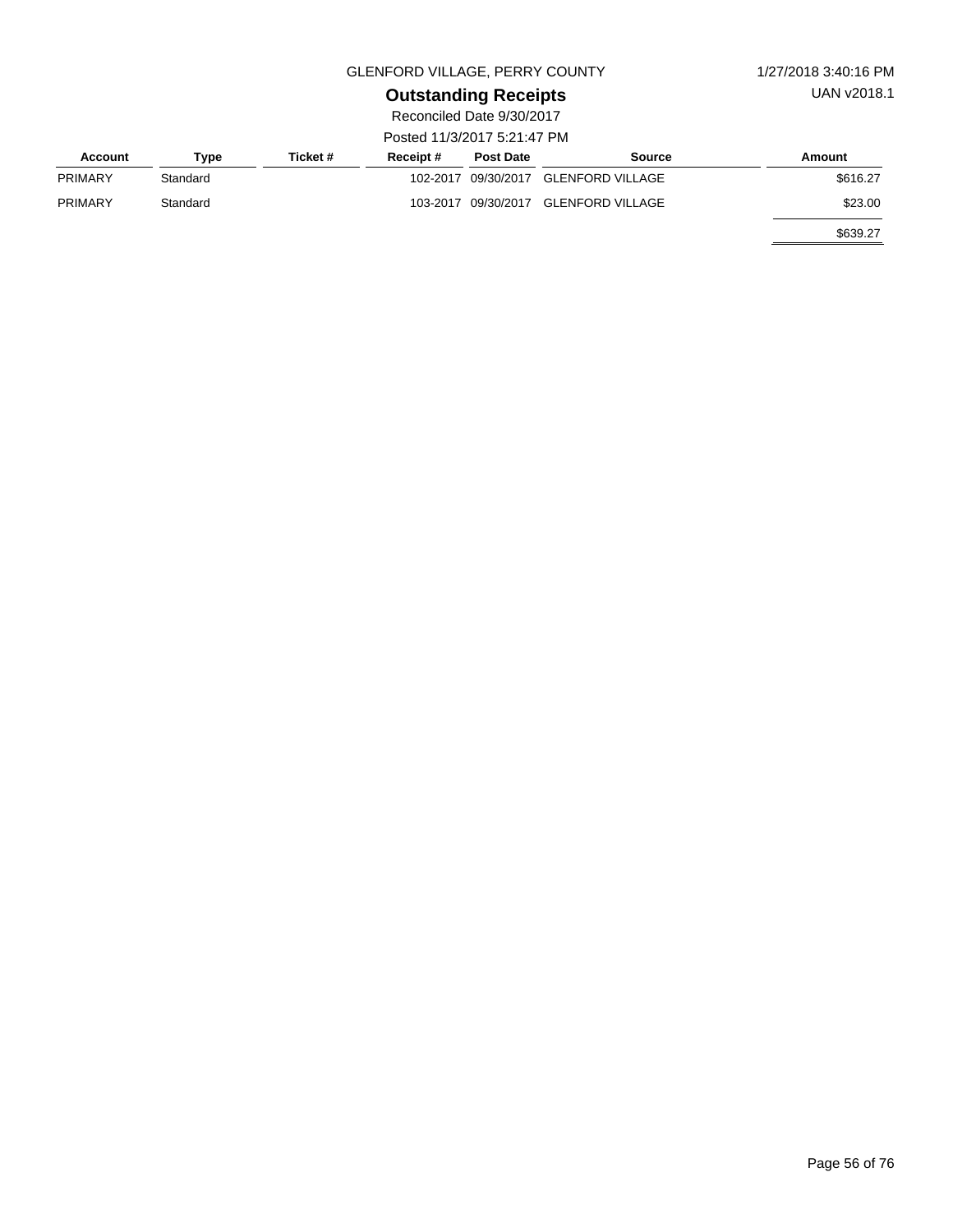UAN v2018.1

# **Outstanding Receipts**

|                |          |          | $\sim$ 103100 11/9/2017 -0.21.47 1110 |                  |                         |          |
|----------------|----------|----------|---------------------------------------|------------------|-------------------------|----------|
| Account        | Type     | Ticket # | Receipt#                              | <b>Post Date</b> | Source                  | Amount   |
| <b>PRIMARY</b> | Standard |          | 102-2017                              | 09/30/2017       | <b>GLENFORD VILLAGE</b> | \$616.27 |
| <b>PRIMARY</b> | Standard |          | 103-2017                              | 09/30/2017       | GLENFORD VILLAGE        | \$23.00  |
|                |          |          |                                       |                  |                         | \$639.27 |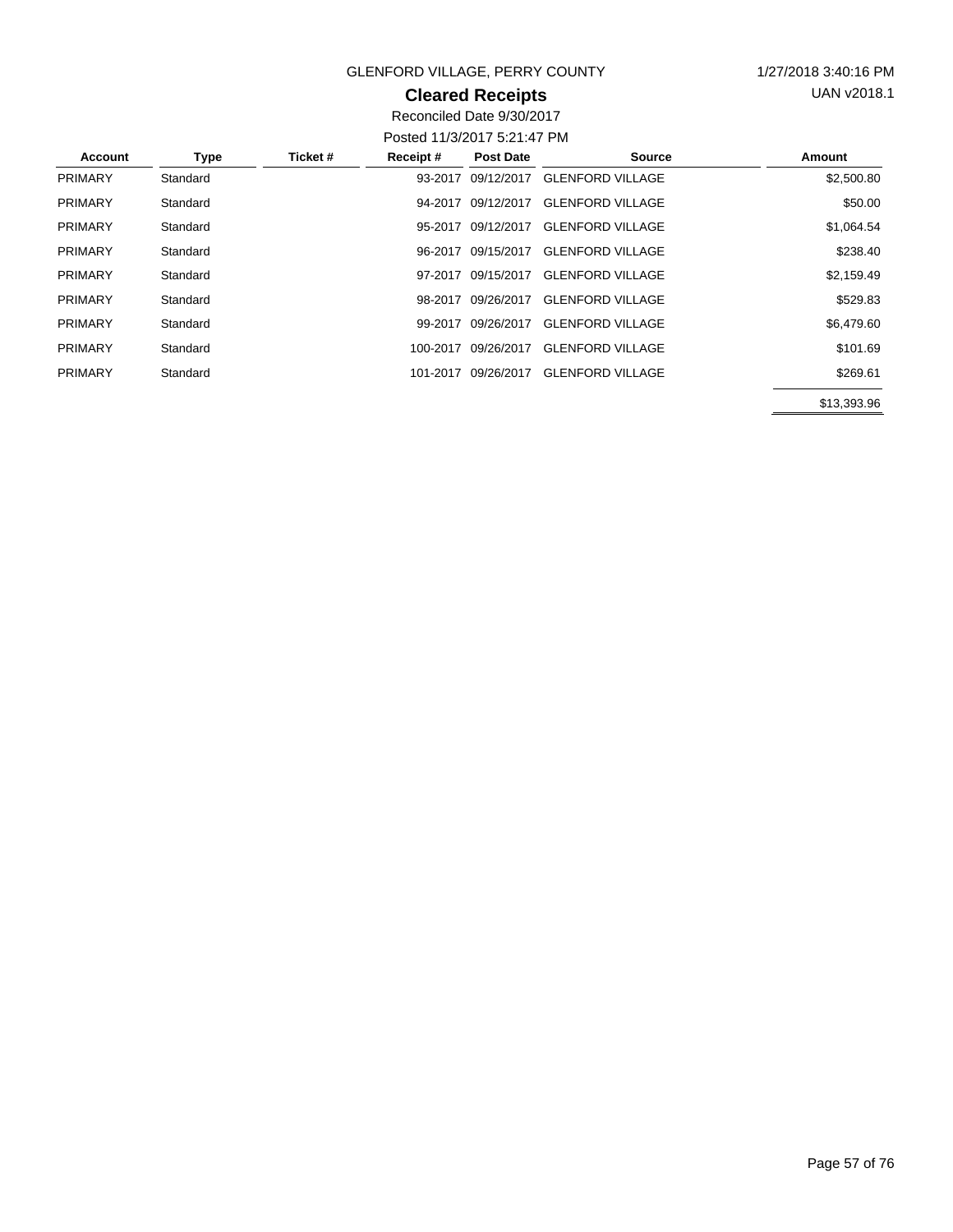## **Cleared Receipts**

UAN v2018.1

| <b>Account</b> | Type     | Ticket # | Receipt# | <b>Post Date</b> | <b>Source</b>           | Amount      |
|----------------|----------|----------|----------|------------------|-------------------------|-------------|
| <b>PRIMARY</b> | Standard |          | 93-2017  | 09/12/2017       | <b>GLENFORD VILLAGE</b> | \$2,500.80  |
| <b>PRIMARY</b> | Standard |          | 94-2017  | 09/12/2017       | <b>GLENFORD VILLAGE</b> | \$50.00     |
| <b>PRIMARY</b> | Standard |          | 95-2017  | 09/12/2017       | <b>GLENFORD VILLAGE</b> | \$1,064.54  |
| <b>PRIMARY</b> | Standard |          | 96-2017  | 09/15/2017       | <b>GLENFORD VILLAGE</b> | \$238.40    |
| <b>PRIMARY</b> | Standard |          | 97-2017  | 09/15/2017       | <b>GLENFORD VILLAGE</b> | \$2,159.49  |
| <b>PRIMARY</b> | Standard |          | 98-2017  | 09/26/2017       | <b>GLENFORD VILLAGE</b> | \$529.83    |
| <b>PRIMARY</b> | Standard |          | 99-2017  | 09/26/2017       | <b>GLENFORD VILLAGE</b> | \$6,479.60  |
| <b>PRIMARY</b> | Standard |          | 100-2017 | 09/26/2017       | <b>GLENFORD VILLAGE</b> | \$101.69    |
| <b>PRIMARY</b> | Standard |          | 101-2017 | 09/26/2017       | <b>GLENFORD VILLAGE</b> | \$269.61    |
|                |          |          |          |                  |                         | \$13,393.96 |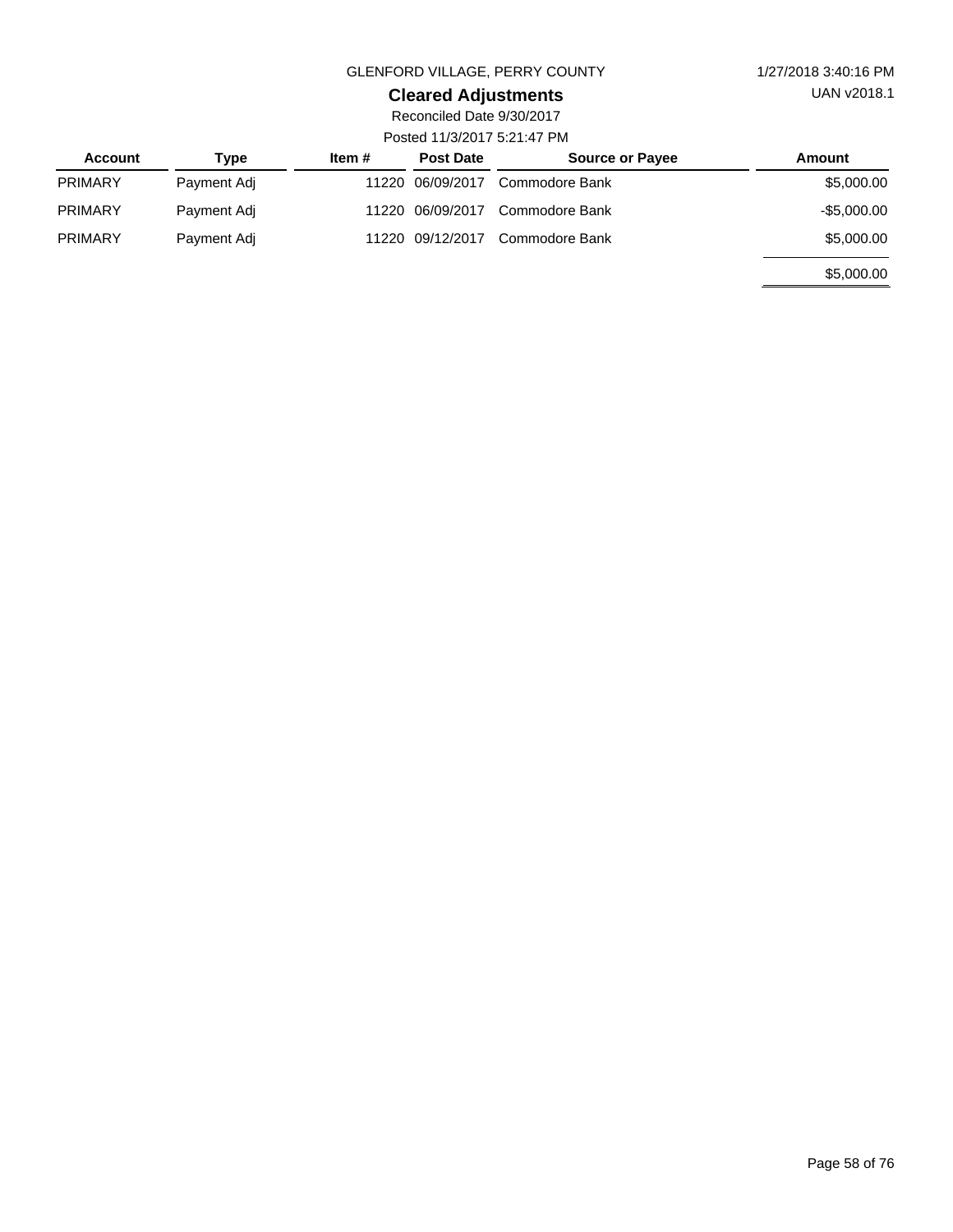# **Cleared Adjustments**

| <b>Account</b> | Type        | Item # | <b>Post Date</b> | <b>Source or Payee</b> | Amount       |  |
|----------------|-------------|--------|------------------|------------------------|--------------|--|
| <b>PRIMARY</b> | Payment Adj |        | 11220 06/09/2017 | Commodore Bank         | \$5,000.00   |  |
| <b>PRIMARY</b> | Payment Adj |        | 11220 06/09/2017 | Commodore Bank         | $-$5,000.00$ |  |
| <b>PRIMARY</b> | Payment Adj |        | 11220 09/12/2017 | Commodore Bank         | \$5,000.00   |  |
|                |             |        |                  |                        | \$5,000.00   |  |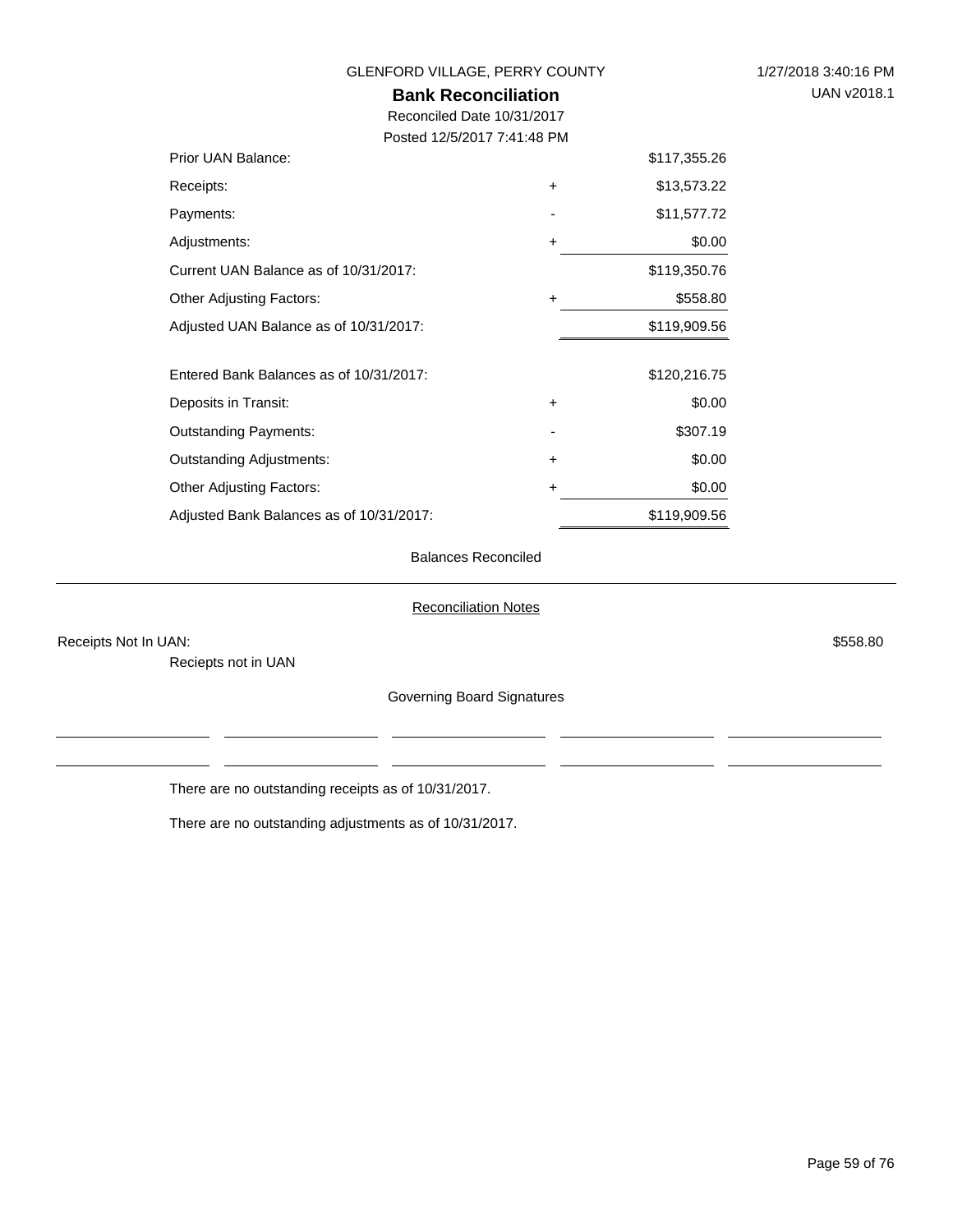| <b>GLENFORD VILLAGE, PERRY COUNTY</b>    |           |              | 1/2 |
|------------------------------------------|-----------|--------------|-----|
| <b>Bank Reconciliation</b>               |           |              |     |
| Reconciled Date 10/31/2017               |           |              |     |
| Posted 12/5/2017 7:41:48 PM              |           |              |     |
| Prior UAN Balance:                       |           | \$117,355.26 |     |
| Receipts:                                | $\ddot{}$ | \$13,573.22  |     |
| Payments:                                |           | \$11,577.72  |     |
| Adjustments:                             | +         | \$0.00       |     |
| Current UAN Balance as of 10/31/2017:    |           | \$119,350.76 |     |
| <b>Other Adjusting Factors:</b>          | +         | \$558.80     |     |
| Adjusted UAN Balance as of 10/31/2017:   |           | \$119,909.56 |     |
| Entered Bank Balances as of 10/31/2017:  |           | \$120,216.75 |     |
| Deposits in Transit:                     | +         | \$0.00       |     |
| <b>Outstanding Payments:</b>             |           | \$307.19     |     |
| <b>Outstanding Adjustments:</b>          | +         | \$0.00       |     |
| <b>Other Adjusting Factors:</b>          | +         | \$0.00       |     |
| Adjusted Bank Balances as of 10/31/2017: |           | \$119,909.56 |     |

#### Balances Reconciled

#### Reconciliation Notes

Receipts Not In UAN: \$558.80

Reciepts not in UAN

Governing Board Signatures

There are no outstanding receipts as of 10/31/2017.

There are no outstanding adjustments as of 10/31/2017.

| e are no outstanding adjustments as of 10/31/20 |  |  |
|-------------------------------------------------|--|--|
|                                                 |  |  |
|                                                 |  |  |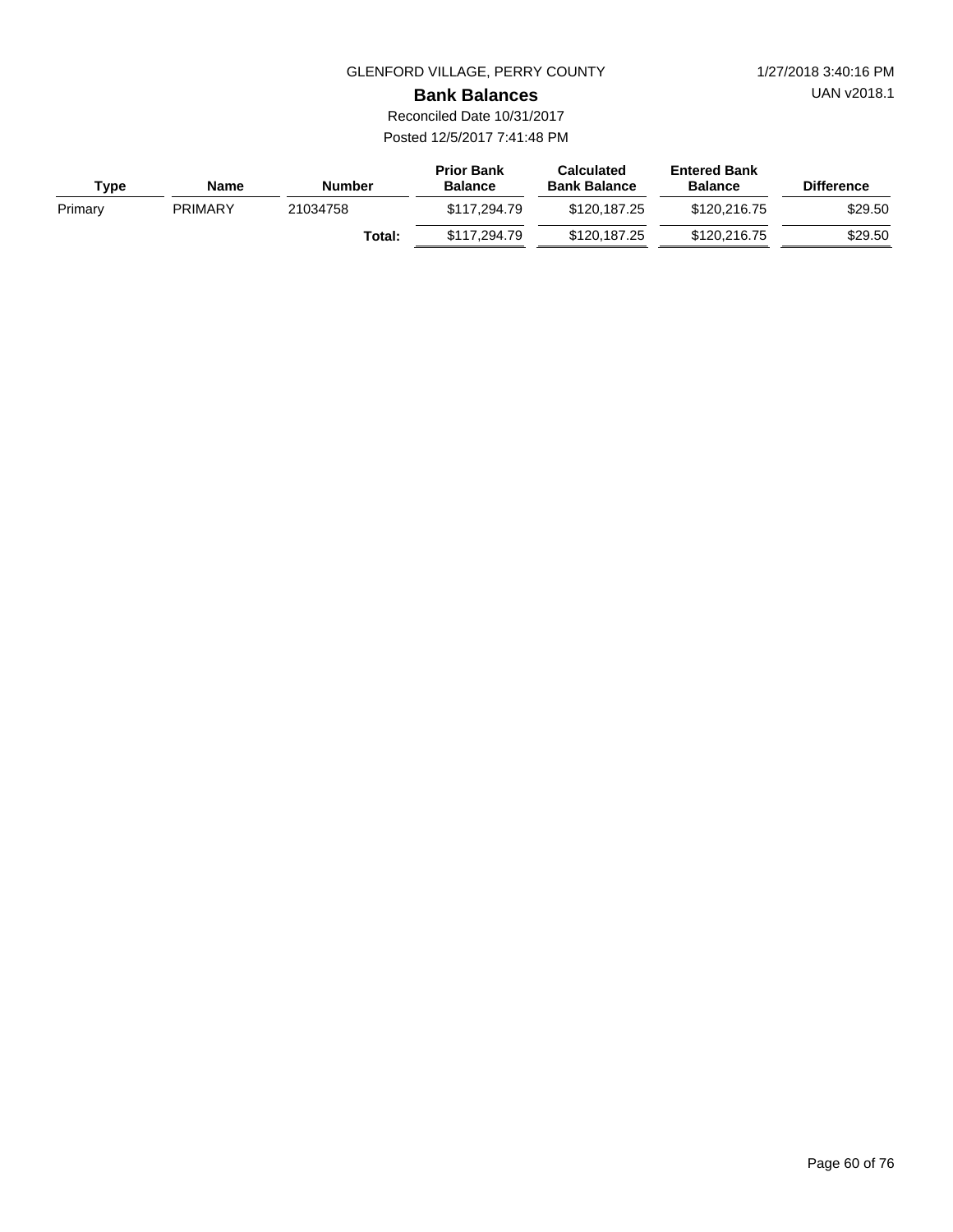UAN v2018.1

**Bank Balances**

| Type    | <b>Name</b>    | Number   | <b>Prior Bank</b><br><b>Balance</b> | <b>Calculated</b><br><b>Bank Balance</b> | <b>Entered Bank</b><br><b>Balance</b> | <b>Difference</b> |
|---------|----------------|----------|-------------------------------------|------------------------------------------|---------------------------------------|-------------------|
| Primary | <b>PRIMARY</b> | 21034758 | \$117.294.79                        | \$120,187,25                             | \$120,216.75                          | \$29.50           |
|         |                | Total:   | \$117.294.79                        | \$120.187.25                             | \$120,216.75                          | \$29.50           |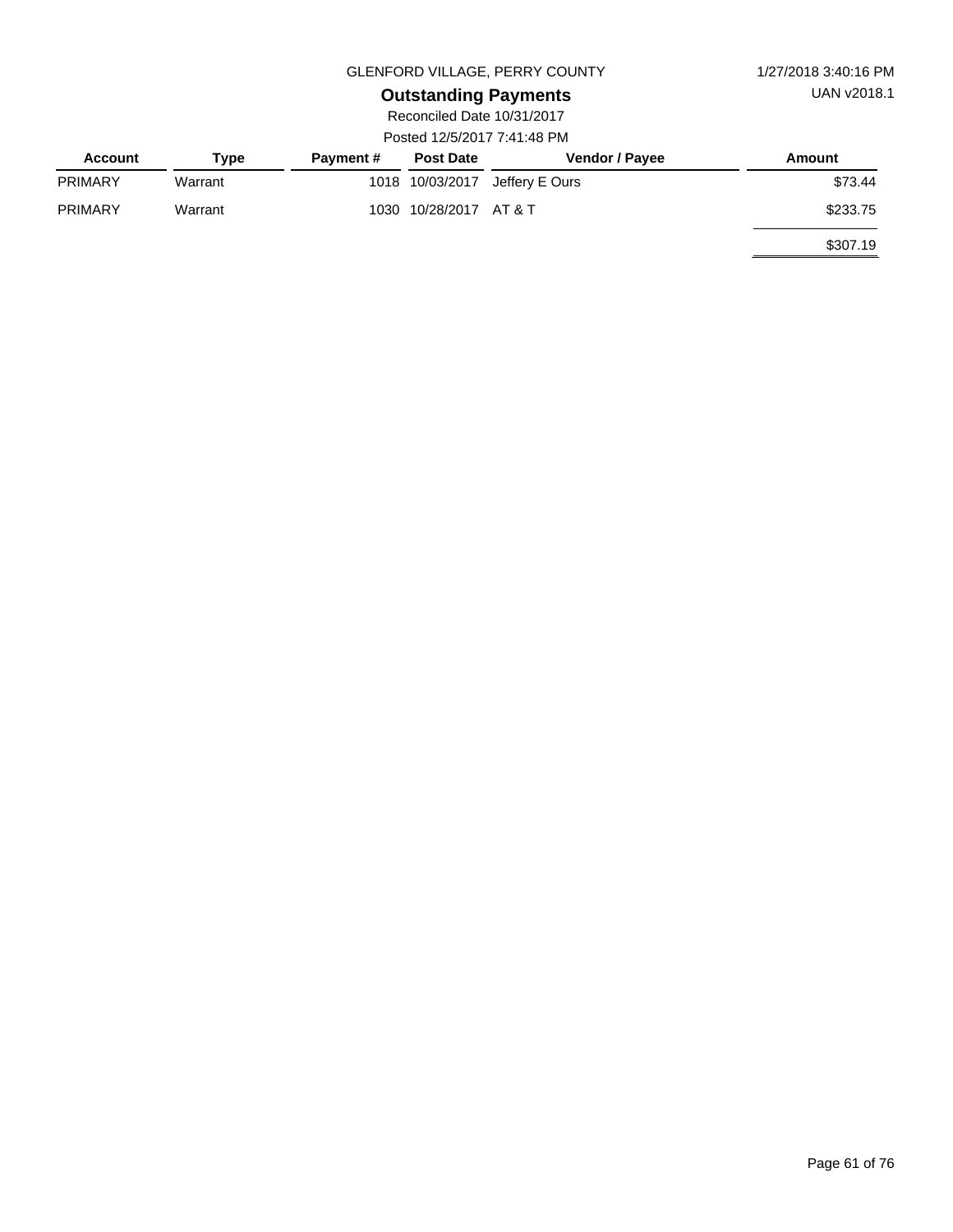| <b>GLENFORD VILLAGE, PERRY COUNTY</b> | 1/27/2018 3:40:16 PM |
|---------------------------------------|----------------------|
|                                       |                      |

UAN v2018.1

## **Outstanding Payments**

| Account        | Type    | <b>Payment #</b> | <b>Post Date</b> | <b>Vendor / Payee</b>          | Amount   |
|----------------|---------|------------------|------------------|--------------------------------|----------|
| <b>PRIMARY</b> | Warrant |                  |                  | 1018 10/03/2017 Jeffery E Ours | \$73.44  |
| <b>PRIMARY</b> | Warrant | 1030             | 10/28/2017 AT&T  |                                | \$233.75 |
|                |         |                  |                  |                                | \$307.19 |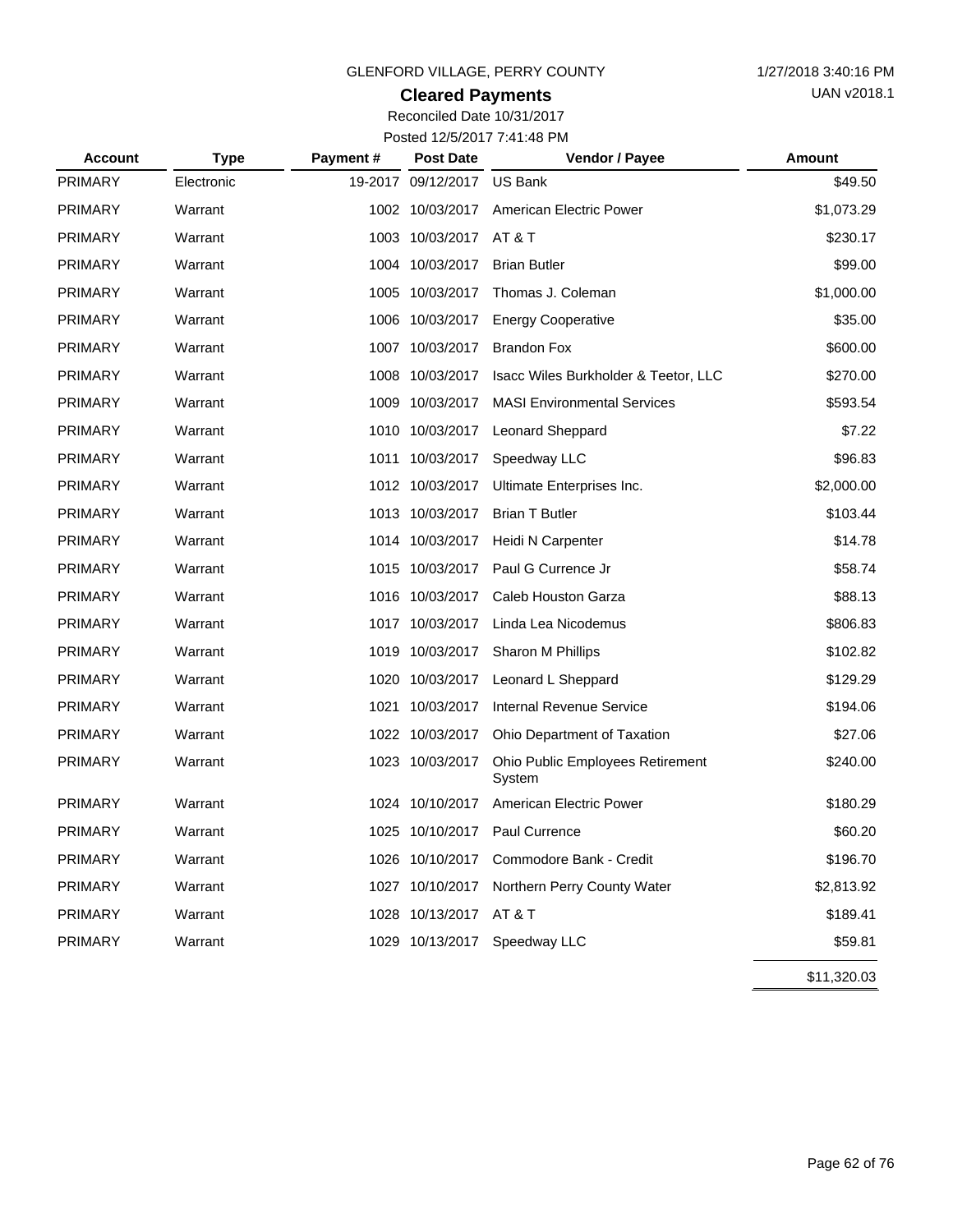## **Cleared Payments**

| <b>Account</b> | <b>Type</b> | Payment# | <b>Post Date</b>       | Vendor / Payee                             | <b>Amount</b> |
|----------------|-------------|----------|------------------------|--------------------------------------------|---------------|
| <b>PRIMARY</b> | Electronic  | 19-2017  | 09/12/2017             | <b>US Bank</b>                             | \$49.50       |
| <b>PRIMARY</b> | Warrant     |          | 1002 10/03/2017        | American Electric Power                    | \$1,073.29    |
| <b>PRIMARY</b> | Warrant     |          | 1003 10/03/2017        | AT & T                                     | \$230.17      |
| <b>PRIMARY</b> | Warrant     |          | 1004 10/03/2017        | <b>Brian Butler</b>                        | \$99.00       |
| <b>PRIMARY</b> | Warrant     |          | 1005 10/03/2017        | Thomas J. Coleman                          | \$1,000.00    |
| <b>PRIMARY</b> | Warrant     |          | 1006 10/03/2017        | <b>Energy Cooperative</b>                  | \$35.00       |
| <b>PRIMARY</b> | Warrant     |          | 1007 10/03/2017        | <b>Brandon Fox</b>                         | \$600.00      |
| <b>PRIMARY</b> | Warrant     | 1008     | 10/03/2017             | Isacc Wiles Burkholder & Teetor, LLC       | \$270.00      |
| <b>PRIMARY</b> | Warrant     | 1009     | 10/03/2017             | <b>MASI Environmental Services</b>         | \$593.54      |
| <b>PRIMARY</b> | Warrant     |          | 1010 10/03/2017        | <b>Leonard Sheppard</b>                    | \$7.22        |
| <b>PRIMARY</b> | Warrant     |          | 1011 10/03/2017        | Speedway LLC                               | \$96.83       |
| <b>PRIMARY</b> | Warrant     |          | 1012 10/03/2017        | Ultimate Enterprises Inc.                  | \$2,000.00    |
| <b>PRIMARY</b> | Warrant     |          | 1013 10/03/2017        | <b>Brian T Butler</b>                      | \$103.44      |
| <b>PRIMARY</b> | Warrant     |          | 1014 10/03/2017        | Heidi N Carpenter                          | \$14.78       |
| <b>PRIMARY</b> | Warrant     |          | 1015 10/03/2017        | Paul G Currence Jr                         | \$58.74       |
| <b>PRIMARY</b> | Warrant     |          | 1016 10/03/2017        | Caleb Houston Garza                        | \$88.13       |
| <b>PRIMARY</b> | Warrant     |          | 1017 10/03/2017        | Linda Lea Nicodemus                        | \$806.83      |
| <b>PRIMARY</b> | Warrant     |          | 1019 10/03/2017        | Sharon M Phillips                          | \$102.82      |
| <b>PRIMARY</b> | Warrant     |          | 1020 10/03/2017        | Leonard L Sheppard                         | \$129.29      |
| <b>PRIMARY</b> | Warrant     | 1021     | 10/03/2017             | <b>Internal Revenue Service</b>            | \$194.06      |
| <b>PRIMARY</b> | Warrant     |          | 1022 10/03/2017        | Ohio Department of Taxation                | \$27.06       |
| <b>PRIMARY</b> | Warrant     |          | 1023 10/03/2017        | Ohio Public Employees Retirement<br>System | \$240.00      |
| <b>PRIMARY</b> | Warrant     |          | 1024 10/10/2017        | American Electric Power                    | \$180.29      |
| <b>PRIMARY</b> | Warrant     |          | 1025 10/10/2017        | Paul Currence                              | \$60.20       |
| <b>PRIMARY</b> | Warrant     |          |                        | 1026 10/10/2017 Commodore Bank - Credit    | \$196.70      |
| PRIMARY        | Warrant     |          | 1027 10/10/2017        | Northern Perry County Water                | \$2,813.92    |
| <b>PRIMARY</b> | Warrant     |          | 1028 10/13/2017 AT & T |                                            | \$189.41      |
| PRIMARY        | Warrant     |          | 1029 10/13/2017        | Speedway LLC                               | \$59.81       |
|                |             |          |                        |                                            | \$11,320.03   |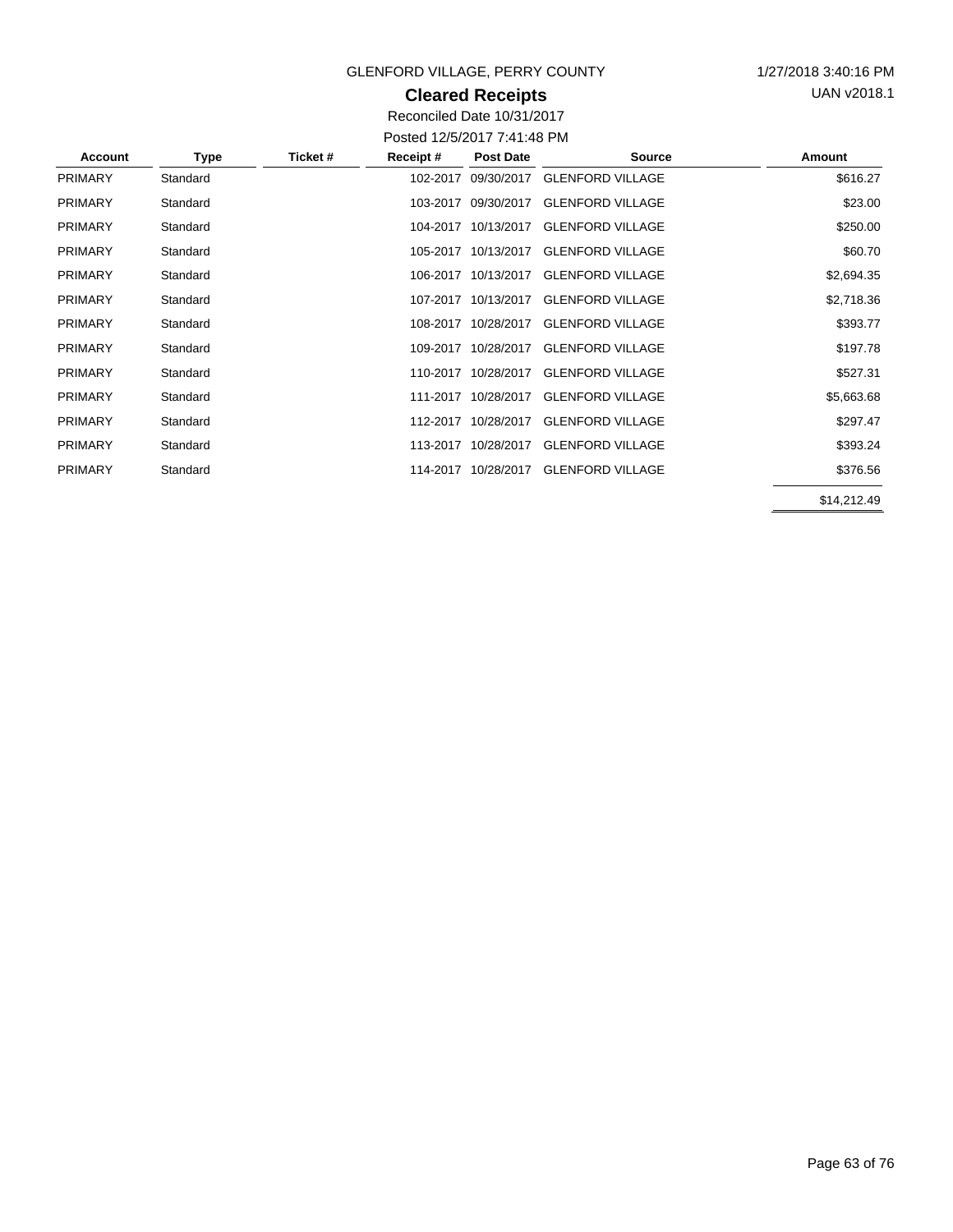## **Cleared Receipts**

UAN v2018.1

| <b>Account</b> | Type     | Ticket # | Receipt# | <b>Post Date</b>    | <b>Source</b>           | Amount      |
|----------------|----------|----------|----------|---------------------|-------------------------|-------------|
| <b>PRIMARY</b> | Standard |          | 102-2017 | 09/30/2017          | <b>GLENFORD VILLAGE</b> | \$616.27    |
| <b>PRIMARY</b> | Standard |          | 103-2017 | 09/30/2017          | <b>GLENFORD VILLAGE</b> | \$23.00     |
| <b>PRIMARY</b> | Standard |          |          | 104-2017 10/13/2017 | <b>GLENFORD VILLAGE</b> | \$250.00    |
| <b>PRIMARY</b> | Standard |          |          | 105-2017 10/13/2017 | <b>GLENFORD VILLAGE</b> | \$60.70     |
| <b>PRIMARY</b> | Standard |          |          | 106-2017 10/13/2017 | <b>GLENFORD VILLAGE</b> | \$2,694.35  |
| <b>PRIMARY</b> | Standard |          |          | 107-2017 10/13/2017 | <b>GLENFORD VILLAGE</b> | \$2,718.36  |
| <b>PRIMARY</b> | Standard |          |          | 108-2017 10/28/2017 | <b>GLENFORD VILLAGE</b> | \$393.77    |
| <b>PRIMARY</b> | Standard |          |          | 109-2017 10/28/2017 | <b>GLENFORD VILLAGE</b> | \$197.78    |
| <b>PRIMARY</b> | Standard |          |          | 110-2017 10/28/2017 | <b>GLENFORD VILLAGE</b> | \$527.31    |
| <b>PRIMARY</b> | Standard |          |          | 111-2017 10/28/2017 | <b>GLENFORD VILLAGE</b> | \$5,663.68  |
| <b>PRIMARY</b> | Standard |          |          | 112-2017 10/28/2017 | <b>GLENFORD VILLAGE</b> | \$297.47    |
| <b>PRIMARY</b> | Standard |          |          | 113-2017 10/28/2017 | <b>GLENFORD VILLAGE</b> | \$393.24    |
| <b>PRIMARY</b> | Standard |          |          | 114-2017 10/28/2017 | <b>GLENFORD VILLAGE</b> | \$376.56    |
|                |          |          |          |                     |                         | \$14,212.49 |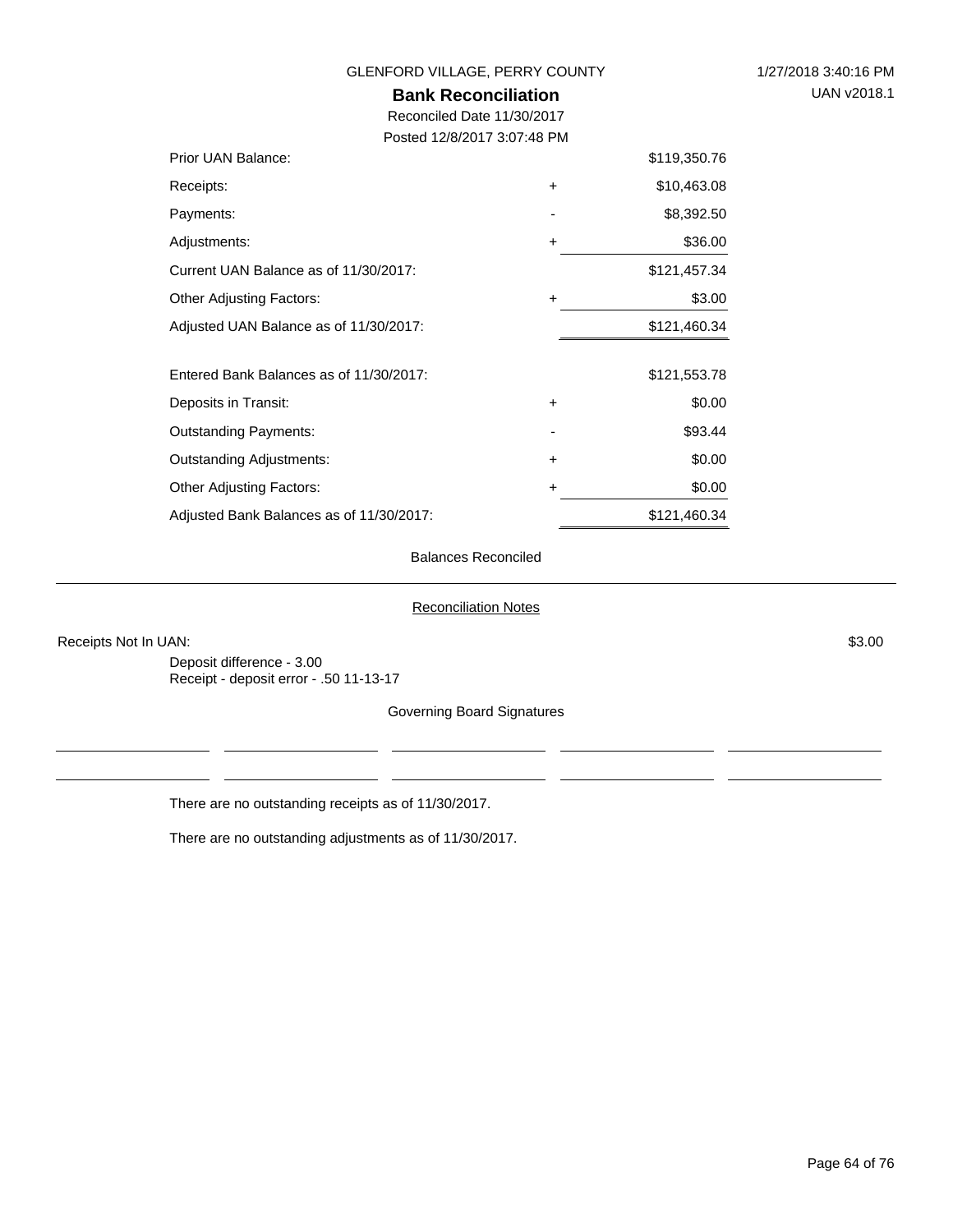# **Bank Reconciliation**

Reconciled Date 11/30/2017

Posted 12/8/2017 3:07:48 PM

| Prior UAN Balance:                       |           | \$119,350.76 |
|------------------------------------------|-----------|--------------|
| Receipts:                                | $\ddot{}$ | \$10,463.08  |
| Payments:                                |           | \$8,392.50   |
| Adjustments:                             | +         | \$36.00      |
| Current UAN Balance as of 11/30/2017:    |           | \$121,457.34 |
| Other Adjusting Factors:                 | +         | \$3.00       |
| Adjusted UAN Balance as of 11/30/2017:   |           | \$121,460.34 |
|                                          |           |              |
| Entered Bank Balances as of 11/30/2017:  |           | \$121,553.78 |
| Deposits in Transit:                     | $\ddot{}$ | \$0.00       |
| Outstanding Payments:                    |           | \$93.44      |
| <b>Outstanding Adjustments:</b>          | $\ddot{}$ | \$0.00       |
| Other Adjusting Factors:                 | +         | \$0.00       |
| Adjusted Bank Balances as of 11/30/2017: |           | \$121,460.34 |

#### Balances Reconciled

#### Reconciliation Notes

Receipts Not In UAN: \$3.00

Deposit difference - 3.00 Receipt - deposit error - .50 11-13-17

Governing Board Signatures

There are no outstanding receipts as of 11/30/2017.

There are no outstanding adjustments as of 11/30/2017.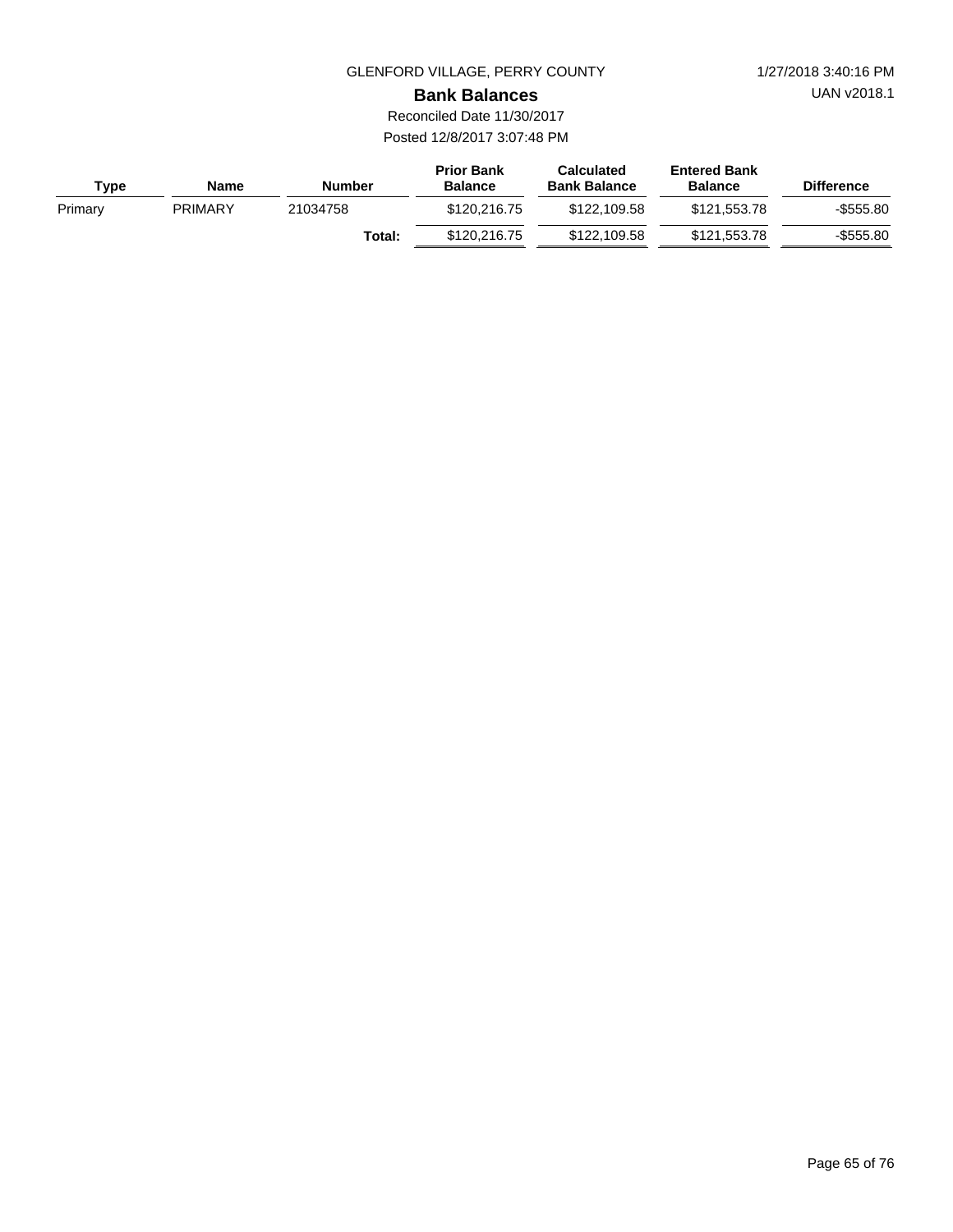UAN v2018.1

**Bank Balances**

Reconciled Date 11/30/2017 Posted 12/8/2017 3:07:48 PM

| Type    | Name           | <b>Number</b> | <b>Prior Bank</b><br><b>Balance</b> | <b>Calculated</b><br><b>Bank Balance</b> | <b>Entered Bank</b><br><b>Balance</b> | <b>Difference</b> |
|---------|----------------|---------------|-------------------------------------|------------------------------------------|---------------------------------------|-------------------|
| Primary | <b>PRIMARY</b> | 21034758      | \$120,216.75                        | \$122,109.58                             | \$121.553.78                          | -\$555.80         |
|         |                | Total:        | \$120,216.75                        | \$122,109.58                             | \$121.553.78                          | $-$ \$555.80      |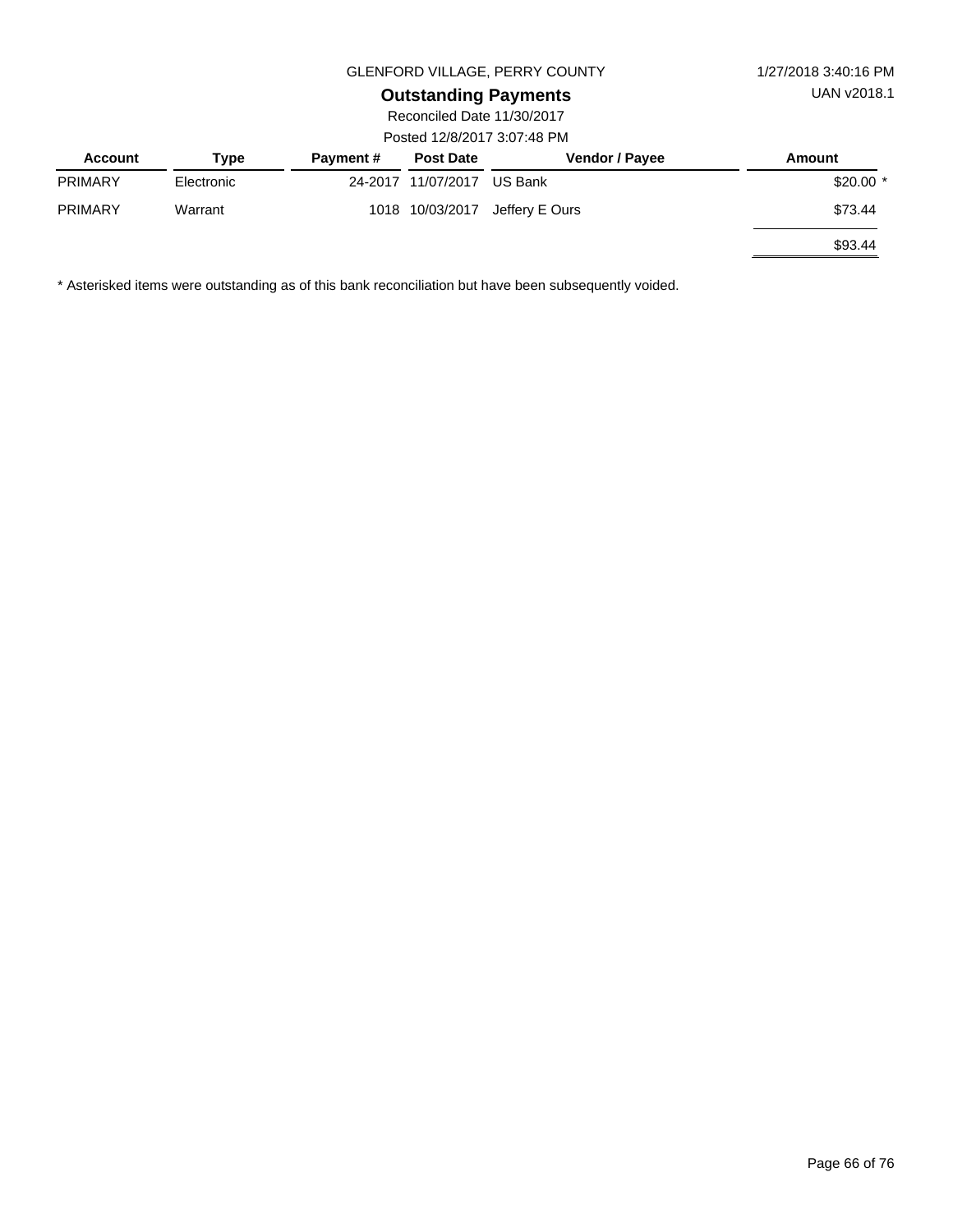# **Outstanding Payments**

Reconciled Date 11/30/2017 Posted 12/8/2017 3:07:48 PM

| <b>Account</b> | Tvpe       | <b>Payment #</b> | <b>Post Date</b>   | <b>Vendor / Payee</b> | Amount    |  |
|----------------|------------|------------------|--------------------|-----------------------|-----------|--|
| <b>PRIMARY</b> | Electronic |                  | 24-2017 11/07/2017 | US Bank               | $$20.00*$ |  |
| <b>PRIMARY</b> | Warrant    |                  | 1018 10/03/2017    | Jeffery E Ours        | \$73.44   |  |
|                |            |                  |                    |                       | \$93.44   |  |

\* Asterisked items were outstanding as of this bank reconciliation but have been subsequently voided.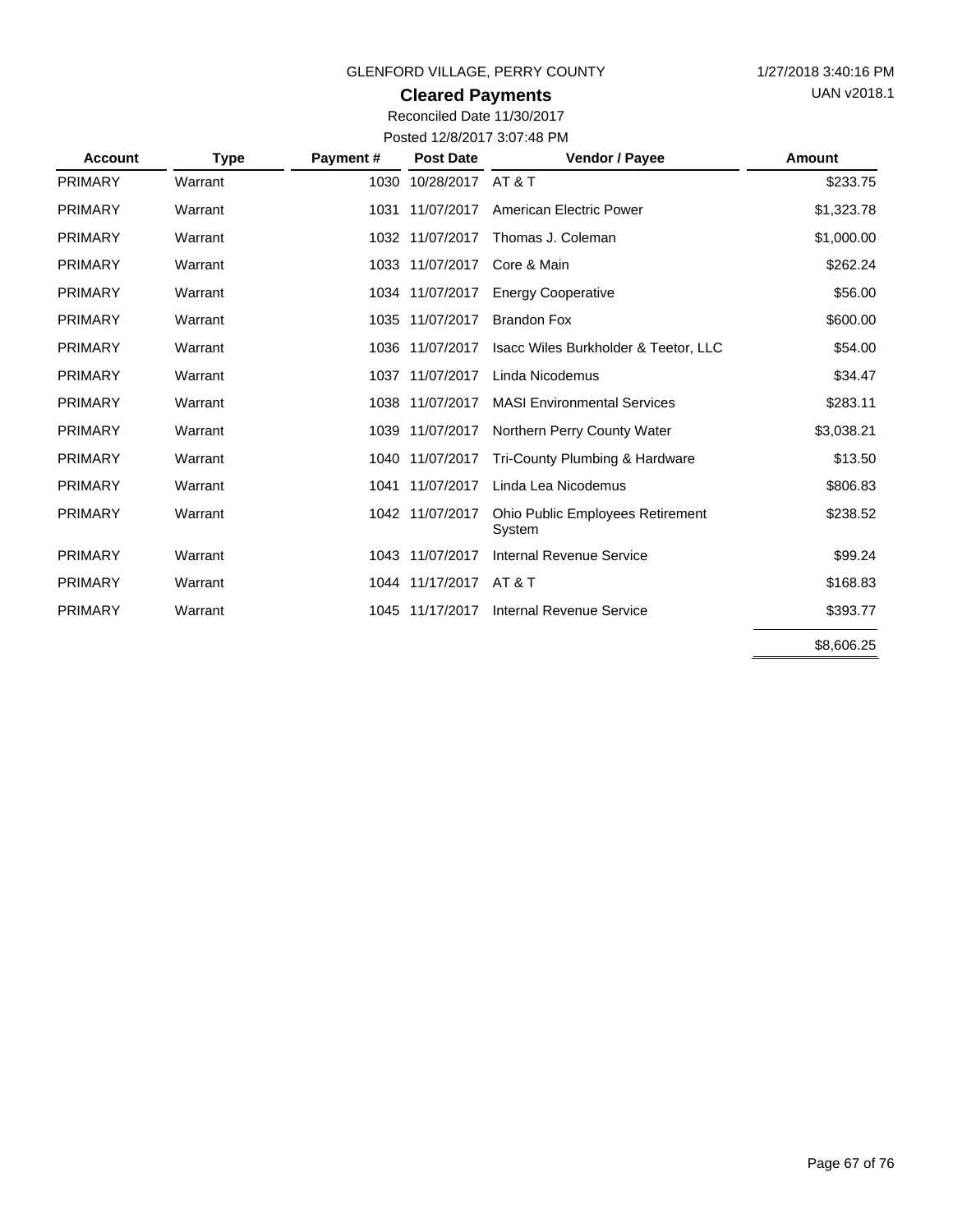## **Cleared Payments**

Reconciled Date 11/30/2017 Posted 12/8/2017 3:07:48 PM

| <b>Account</b> | <b>Type</b> | Payment# | <b>Post Date</b>  | Vendor / Payee                             | Amount     |
|----------------|-------------|----------|-------------------|--------------------------------------------|------------|
| <b>PRIMARY</b> | Warrant     | 1030     | 10/28/2017 AT & T |                                            | \$233.75   |
| <b>PRIMARY</b> | Warrant     |          | 1031 11/07/2017   | American Electric Power                    | \$1,323.78 |
| <b>PRIMARY</b> | Warrant     |          | 1032 11/07/2017   | Thomas J. Coleman                          | \$1,000.00 |
| <b>PRIMARY</b> | Warrant     |          | 1033 11/07/2017   | Core & Main                                | \$262.24   |
| <b>PRIMARY</b> | Warrant     |          | 1034 11/07/2017   | <b>Energy Cooperative</b>                  | \$56.00    |
| <b>PRIMARY</b> | Warrant     |          | 1035 11/07/2017   | <b>Brandon Fox</b>                         | \$600.00   |
| <b>PRIMARY</b> | Warrant     |          | 1036 11/07/2017   | Isacc Wiles Burkholder & Teetor, LLC       | \$54.00    |
| <b>PRIMARY</b> | Warrant     |          | 1037 11/07/2017   | Linda Nicodemus                            | \$34.47    |
| <b>PRIMARY</b> | Warrant     |          | 1038 11/07/2017   | <b>MASI Environmental Services</b>         | \$283.11   |
| <b>PRIMARY</b> | Warrant     |          | 1039 11/07/2017   | Northern Perry County Water                | \$3,038.21 |
| <b>PRIMARY</b> | Warrant     |          | 1040 11/07/2017   | Tri-County Plumbing & Hardware             | \$13.50    |
| <b>PRIMARY</b> | Warrant     |          | 1041 11/07/2017   | Linda Lea Nicodemus                        | \$806.83   |
| <b>PRIMARY</b> | Warrant     |          | 1042 11/07/2017   | Ohio Public Employees Retirement<br>System | \$238.52   |
| <b>PRIMARY</b> | Warrant     |          | 1043 11/07/2017   | Internal Revenue Service                   | \$99.24    |
| <b>PRIMARY</b> | Warrant     |          | 1044 11/17/2017   | AT & T                                     | \$168.83   |
| <b>PRIMARY</b> | Warrant     |          | 1045 11/17/2017   | Internal Revenue Service                   | \$393.77   |
|                |             |          |                   |                                            | \$8,606.25 |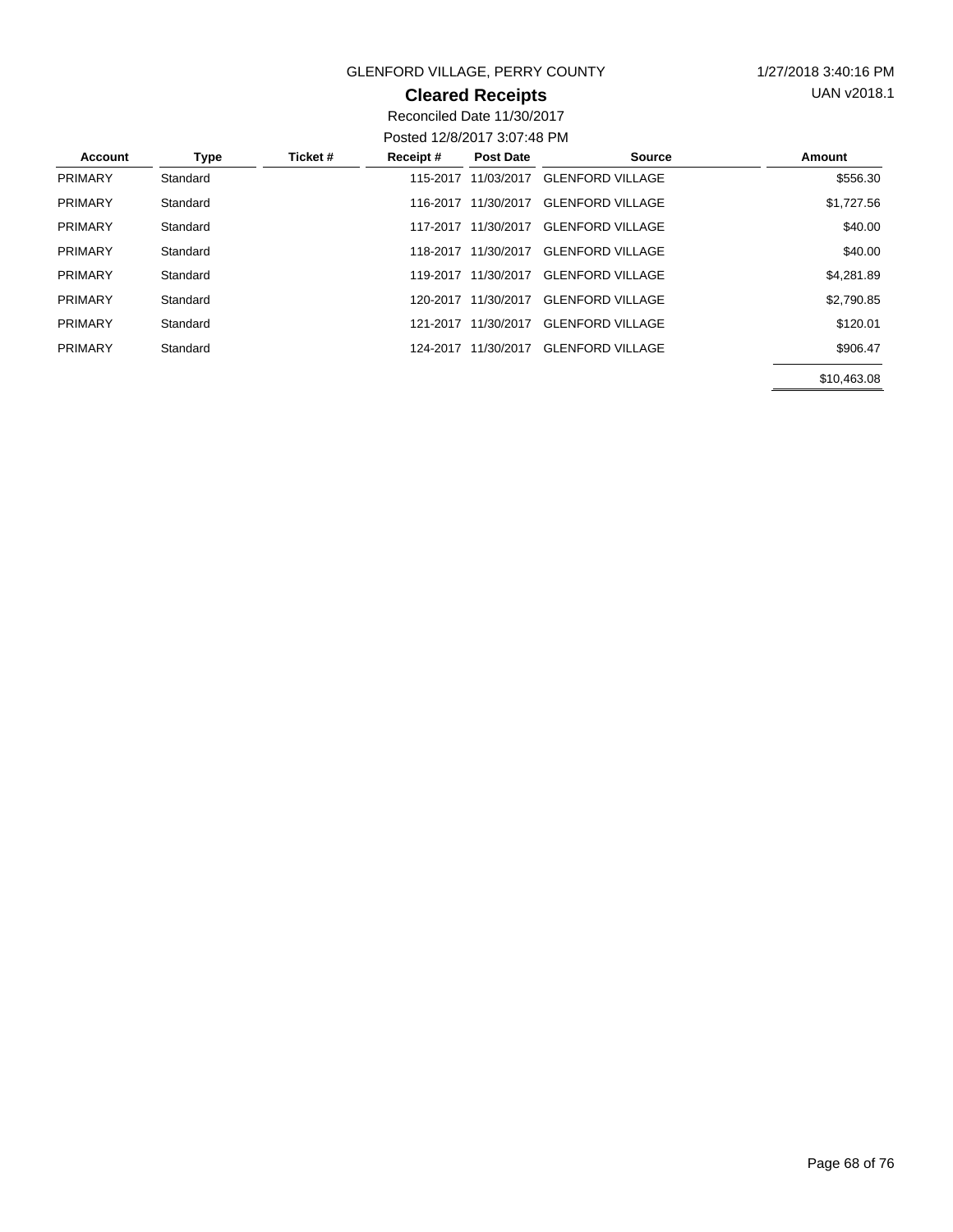## **Cleared Receipts**

UAN v2018.1

Reconciled Date 11/30/2017 Posted 12/8/2017 3:07:48 PM

| Account        | <b>Type</b> | Ticket # | Receipt# | <b>Post Date</b> | <b>Source</b>           | Amount      |
|----------------|-------------|----------|----------|------------------|-------------------------|-------------|
| PRIMARY        | Standard    |          | 115-2017 | 11/03/2017       | <b>GLENFORD VILLAGE</b> | \$556.30    |
| PRIMARY        | Standard    |          | 116-2017 | 11/30/2017       | <b>GLENFORD VILLAGE</b> | \$1,727.56  |
| <b>PRIMARY</b> | Standard    |          | 117-2017 | 11/30/2017       | <b>GLENFORD VILLAGE</b> | \$40.00     |
| PRIMARY        | Standard    |          | 118-2017 | 11/30/2017       | <b>GLENFORD VILLAGE</b> | \$40.00     |
| <b>PRIMARY</b> | Standard    |          | 119-2017 | 11/30/2017       | <b>GLENFORD VILLAGE</b> | \$4,281.89  |
| PRIMARY        | Standard    |          | 120-2017 | 11/30/2017       | <b>GLENFORD VILLAGE</b> | \$2,790.85  |
| PRIMARY        | Standard    |          | 121-2017 | 11/30/2017       | <b>GLENFORD VILLAGE</b> | \$120.01    |
| PRIMARY        | Standard    |          | 124-2017 | 11/30/2017       | <b>GLENFORD VILLAGE</b> | \$906.47    |
|                |             |          |          |                  |                         | \$10,463.08 |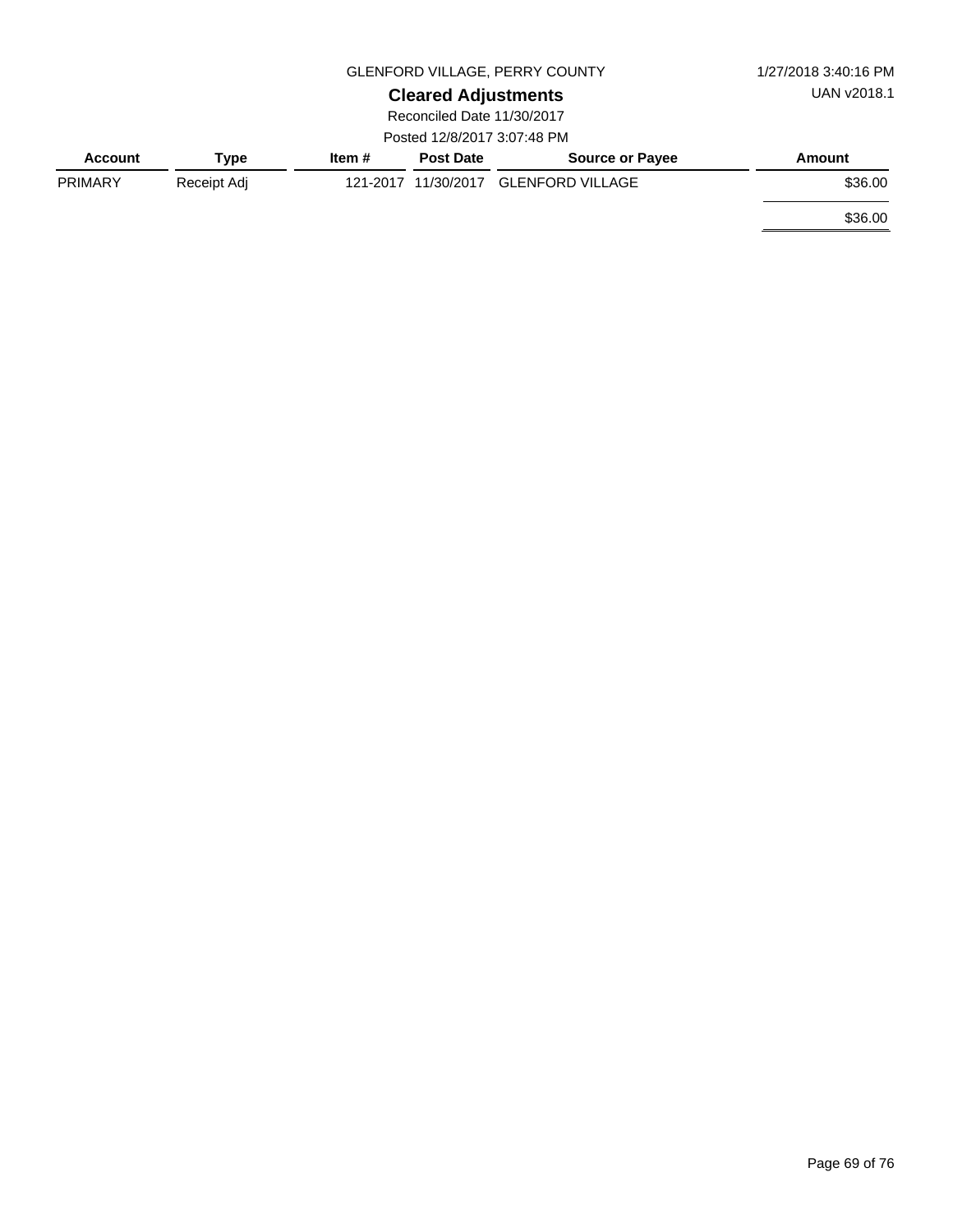|                            | GLENFORD VILLAGE, PERRY COUNTY |                                                      |                             | 1/27/2018 3:40:16 PM        |             |  |  |
|----------------------------|--------------------------------|------------------------------------------------------|-----------------------------|-----------------------------|-------------|--|--|
| <b>Cleared Adjustments</b> |                                |                                                      |                             |                             | UAN v2018.1 |  |  |
|                            |                                |                                                      | Reconciled Date 11/30/2017  |                             |             |  |  |
|                            |                                |                                                      | Posted 12/8/2017 3:07:48 PM |                             |             |  |  |
| <b>Account</b>             | Type                           | <b>Source or Payee</b><br>Item #<br><b>Post Date</b> |                             |                             |             |  |  |
| <b>PRIMARY</b>             | Receipt Adj                    | 121-2017                                             |                             | 11/30/2017 GLENFORD VILLAGE | \$36.00     |  |  |
|                            |                                |                                                      |                             |                             |             |  |  |

\$36.00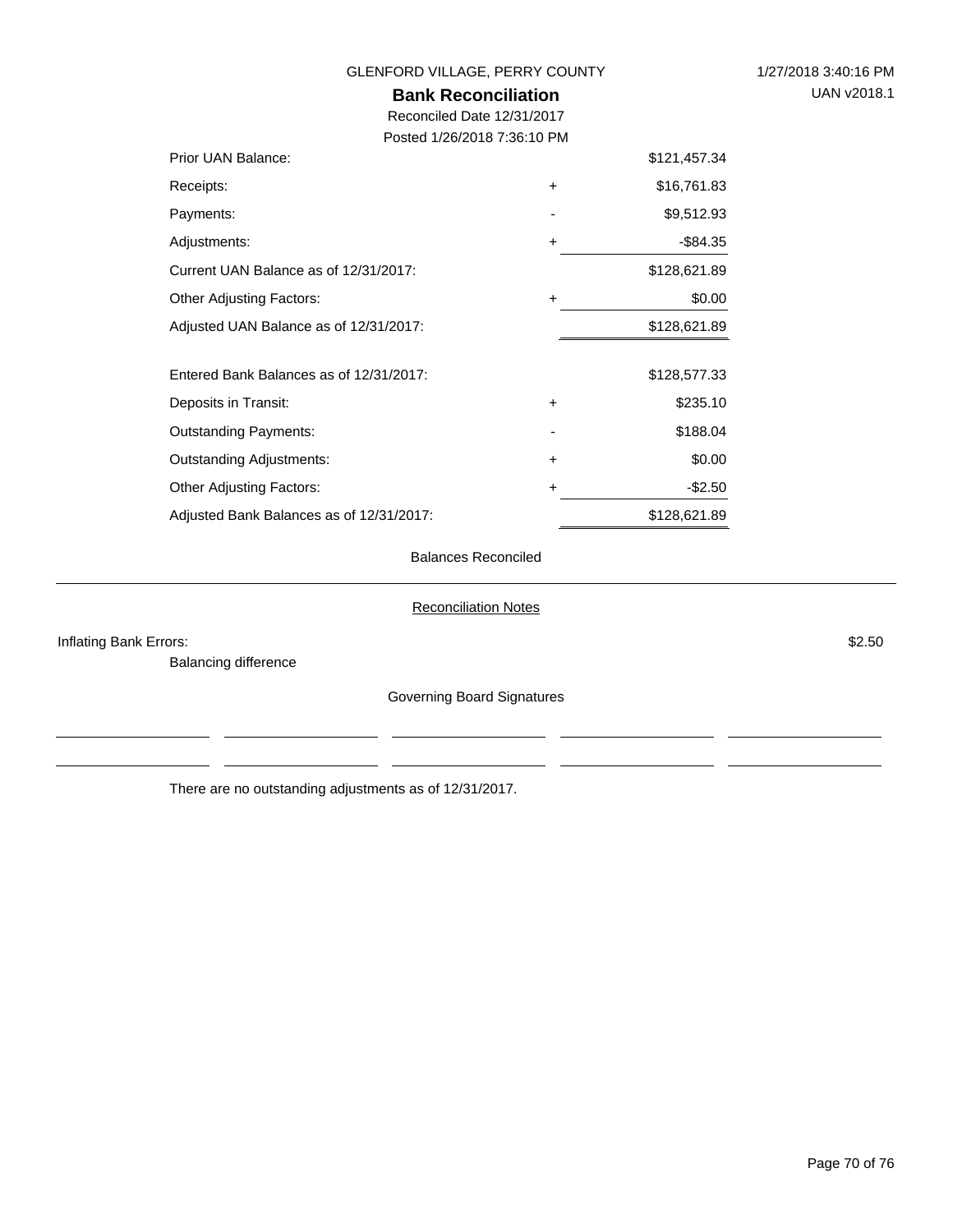| GLENFORD VILLAGE, PERRY COUNTY           |             |              | 1/27/2018 3:40:16 PM |
|------------------------------------------|-------------|--------------|----------------------|
| <b>Bank Reconciliation</b>               | UAN v2018.1 |              |                      |
| Reconciled Date 12/31/2017               |             |              |                      |
| Posted 1/26/2018 7:36:10 PM              |             |              |                      |
| Prior UAN Balance:                       |             | \$121,457.34 |                      |
| Receipts:                                | $\ddot{}$   | \$16,761.83  |                      |
| Payments:                                |             | \$9,512.93   |                      |
| Adjustments:                             | $\ddot{}$   | -\$84.35     |                      |
| Current UAN Balance as of 12/31/2017:    |             | \$128,621.89 |                      |
| <b>Other Adjusting Factors:</b>          | $\ddot{}$   | \$0.00       |                      |
| Adjusted UAN Balance as of 12/31/2017:   |             | \$128,621.89 |                      |
| Entered Bank Balances as of 12/31/2017:  |             | \$128,577.33 |                      |
| Deposits in Transit:                     | $\ddot{}$   | \$235.10     |                      |
| <b>Outstanding Payments:</b>             |             | \$188.04     |                      |
| <b>Outstanding Adjustments:</b>          | $\ddot{}$   | \$0.00       |                      |
| <b>Other Adjusting Factors:</b>          | $\ddot{}$   | $-$2.50$     |                      |
| Adjusted Bank Balances as of 12/31/2017: |             | \$128,621.89 |                      |

### Balances Reconciled

#### Reconciliation Notes

Inflating Bank Errors: \$2.50

Balancing difference

Governing Board Signatures

There are no outstanding adjustments as of 12/31/2017.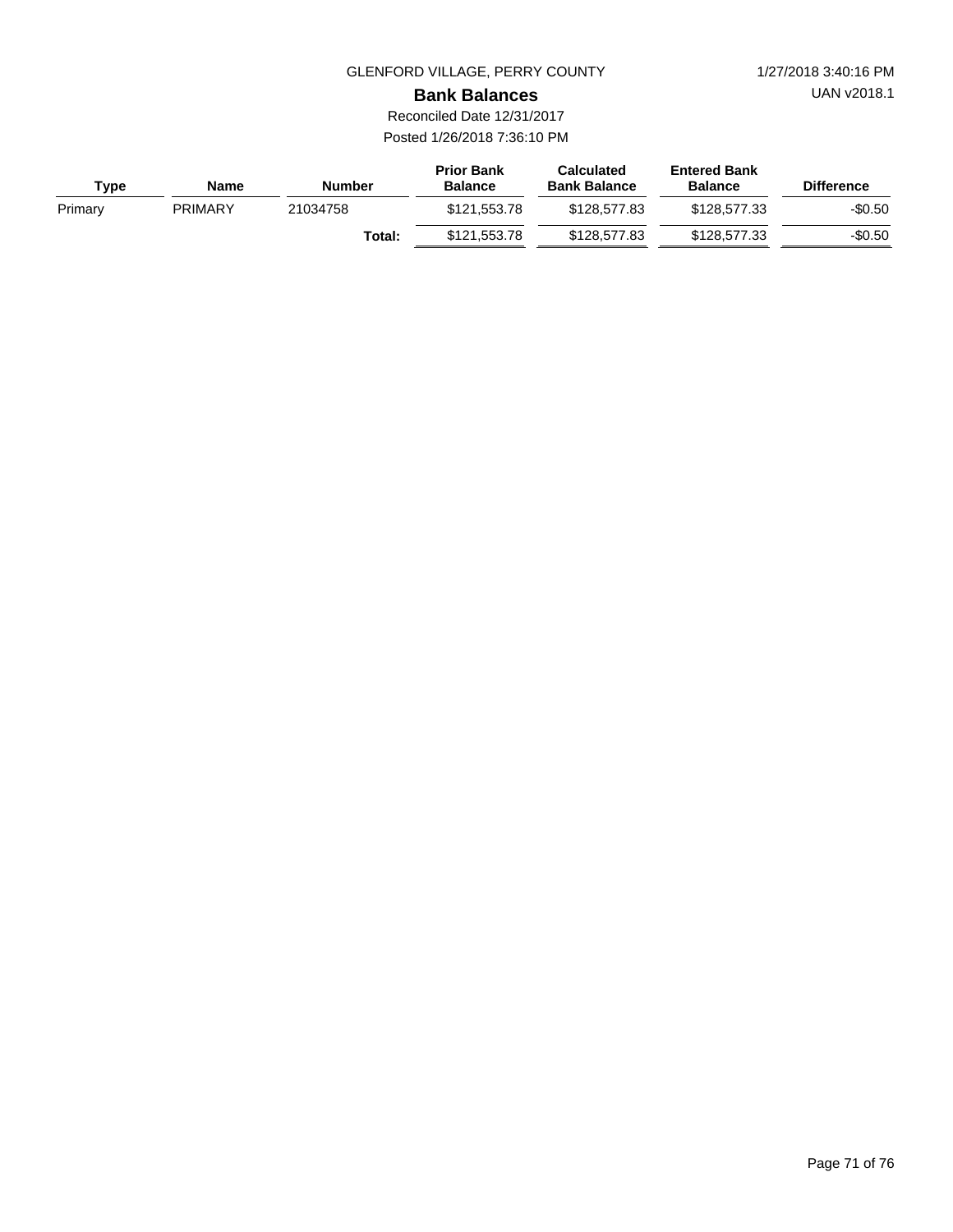UAN v2018.1

**Bank Balances**

Reconciled Date 12/31/2017 Posted 1/26/2018 7:36:10 PM

| <b>Type</b> | <b>Name</b>    | <b>Number</b> | <b>Prior Bank</b><br><b>Balance</b> | <b>Calculated</b><br><b>Bank Balance</b> | <b>Entered Bank</b><br><b>Balance</b> | <b>Difference</b> |
|-------------|----------------|---------------|-------------------------------------|------------------------------------------|---------------------------------------|-------------------|
| Primary     | <b>PRIMARY</b> | 21034758      | \$121.553.78                        | \$128,577.83                             | \$128,577,33                          | $-$0.50$          |
|             |                | Total:        | \$121.553.78                        | \$128,577.83                             | \$128,577,33                          | $-$0.50$          |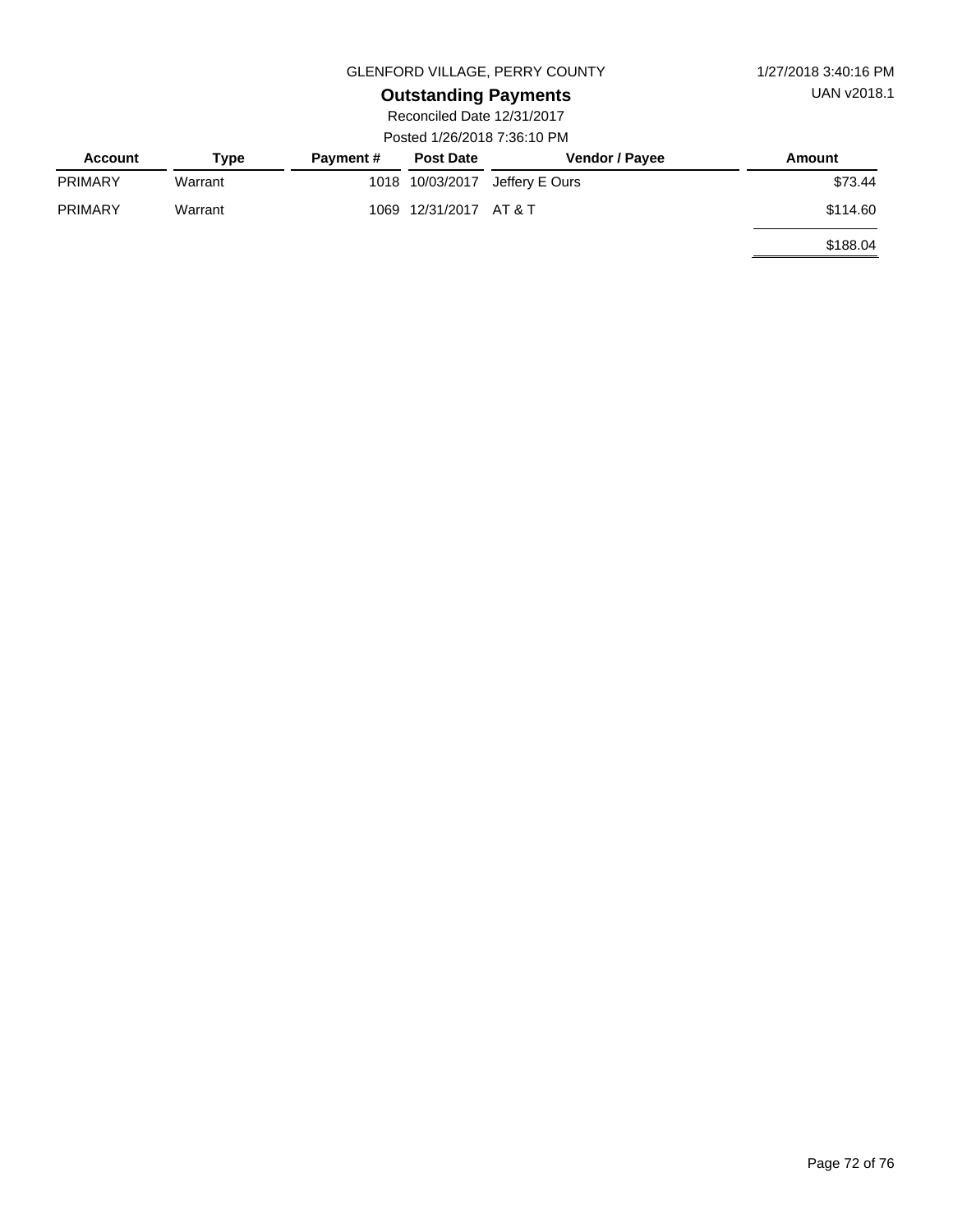| <b>GLENFORD VILLAGE, PERRY COUNTY</b> | 1/27/2018 3:40:16 PM |
|---------------------------------------|----------------------|
|                                       |                      |

#### **Outstanding Payments**

Reconciled Date 12/31/2017 Posted 1/26/2018 7:36:10 PM

| Account        | Type    | <b>Payment #</b> | <b>Post Date</b> | Vendor / Payee | Amount   |
|----------------|---------|------------------|------------------|----------------|----------|
| <b>PRIMARY</b> | Warrant |                  | 1018 10/03/2017  | Jeffery E Ours | \$73.44  |
| <b>PRIMARY</b> | Warrant | 1069             | 12/31/2017 AT&T  |                | \$114.60 |
|                |         |                  |                  |                | \$188.04 |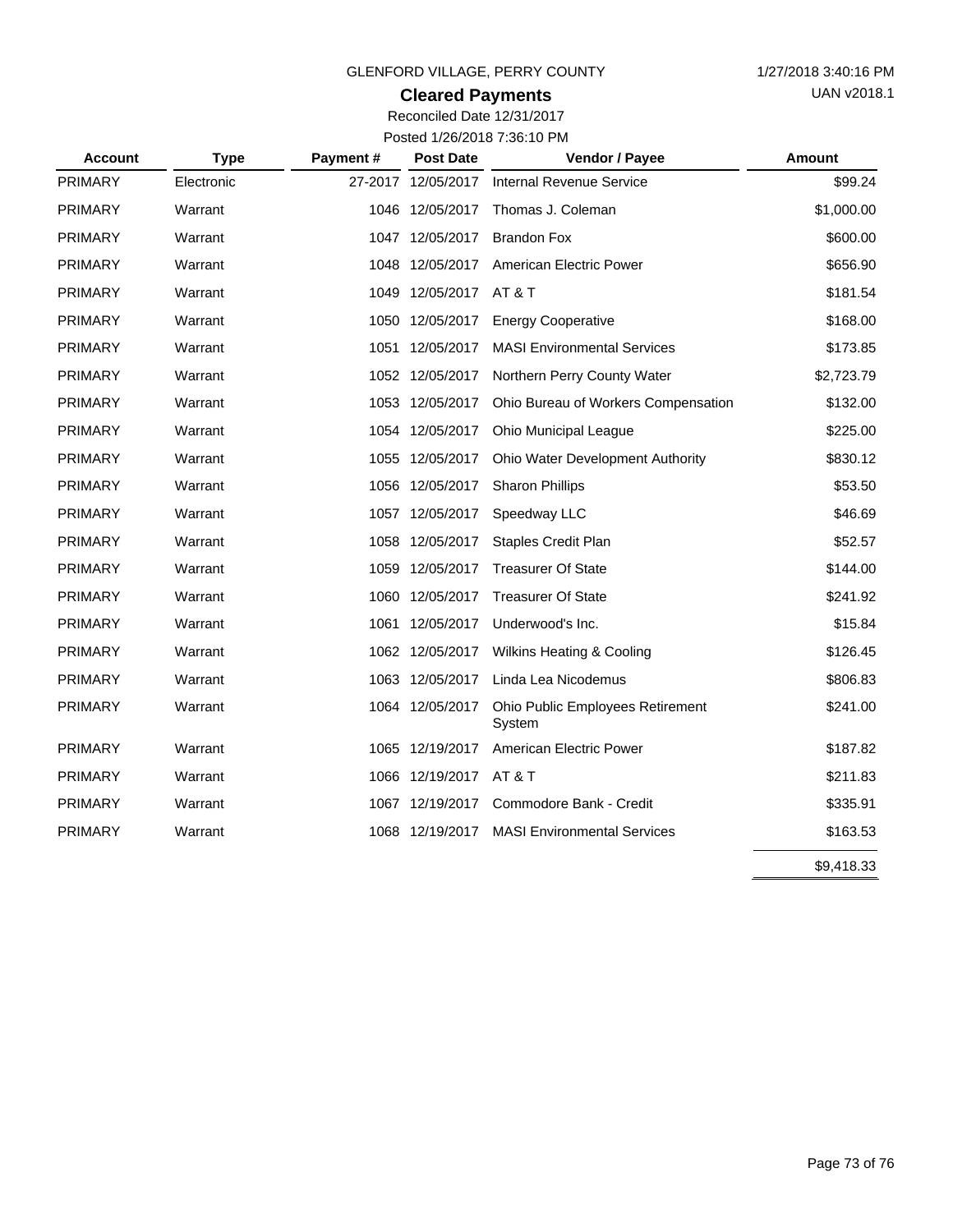GLENFORD VILLAGE, PERRY COUNTY 1/27/2018 3:40:16 PM

## **Cleared Payments**

Reconciled Date 12/31/2017 Posted 1/26/2018 7:36:10 PM

| <b>Account</b> | <b>Type</b> | Payment# | <b>Post Date</b>       | Vendor / Payee                             | Amount     |
|----------------|-------------|----------|------------------------|--------------------------------------------|------------|
| <b>PRIMARY</b> | Electronic  | 27-2017  | 12/05/2017             | Internal Revenue Service                   | \$99.24    |
| <b>PRIMARY</b> | Warrant     |          | 1046 12/05/2017        | Thomas J. Coleman                          | \$1,000.00 |
| <b>PRIMARY</b> | Warrant     |          | 1047 12/05/2017        | <b>Brandon Fox</b>                         | \$600.00   |
| <b>PRIMARY</b> | Warrant     |          | 1048 12/05/2017        | American Electric Power                    | \$656.90   |
| <b>PRIMARY</b> | Warrant     |          | 1049 12/05/2017 AT & T |                                            | \$181.54   |
| <b>PRIMARY</b> | Warrant     |          | 1050 12/05/2017        | <b>Energy Cooperative</b>                  | \$168.00   |
| <b>PRIMARY</b> | Warrant     |          | 1051 12/05/2017        | <b>MASI Environmental Services</b>         | \$173.85   |
| <b>PRIMARY</b> | Warrant     |          | 1052 12/05/2017        | Northern Perry County Water                | \$2,723.79 |
| <b>PRIMARY</b> | Warrant     |          | 1053 12/05/2017        | Ohio Bureau of Workers Compensation        | \$132.00   |
| <b>PRIMARY</b> | Warrant     |          | 1054 12/05/2017        | <b>Ohio Municipal League</b>               | \$225.00   |
| <b>PRIMARY</b> | Warrant     |          | 1055 12/05/2017        | Ohio Water Development Authority           | \$830.12   |
| <b>PRIMARY</b> | Warrant     |          | 1056 12/05/2017        | <b>Sharon Phillips</b>                     | \$53.50    |
| <b>PRIMARY</b> | Warrant     |          | 1057 12/05/2017        | Speedway LLC                               | \$46.69    |
| <b>PRIMARY</b> | Warrant     |          | 1058 12/05/2017        | <b>Staples Credit Plan</b>                 | \$52.57    |
| <b>PRIMARY</b> | Warrant     |          | 1059 12/05/2017        | <b>Treasurer Of State</b>                  | \$144.00   |
| <b>PRIMARY</b> | Warrant     |          | 1060 12/05/2017        | <b>Treasurer Of State</b>                  | \$241.92   |
| <b>PRIMARY</b> | Warrant     |          | 1061 12/05/2017        | Underwood's Inc.                           | \$15.84    |
| <b>PRIMARY</b> | Warrant     |          | 1062 12/05/2017        | Wilkins Heating & Cooling                  | \$126.45   |
| <b>PRIMARY</b> | Warrant     |          | 1063 12/05/2017        | Linda Lea Nicodemus                        | \$806.83   |
| <b>PRIMARY</b> | Warrant     |          | 1064 12/05/2017        | Ohio Public Employees Retirement<br>System | \$241.00   |
| <b>PRIMARY</b> | Warrant     |          | 1065 12/19/2017        | American Electric Power                    | \$187.82   |
| <b>PRIMARY</b> | Warrant     |          | 1066 12/19/2017        | AT & T                                     | \$211.83   |
| PRIMARY        | Warrant     |          | 1067 12/19/2017        | Commodore Bank - Credit                    | \$335.91   |
| <b>PRIMARY</b> | Warrant     |          | 1068 12/19/2017        | <b>MASI Environmental Services</b>         | \$163.53   |
|                |             |          |                        |                                            | \$9,418.33 |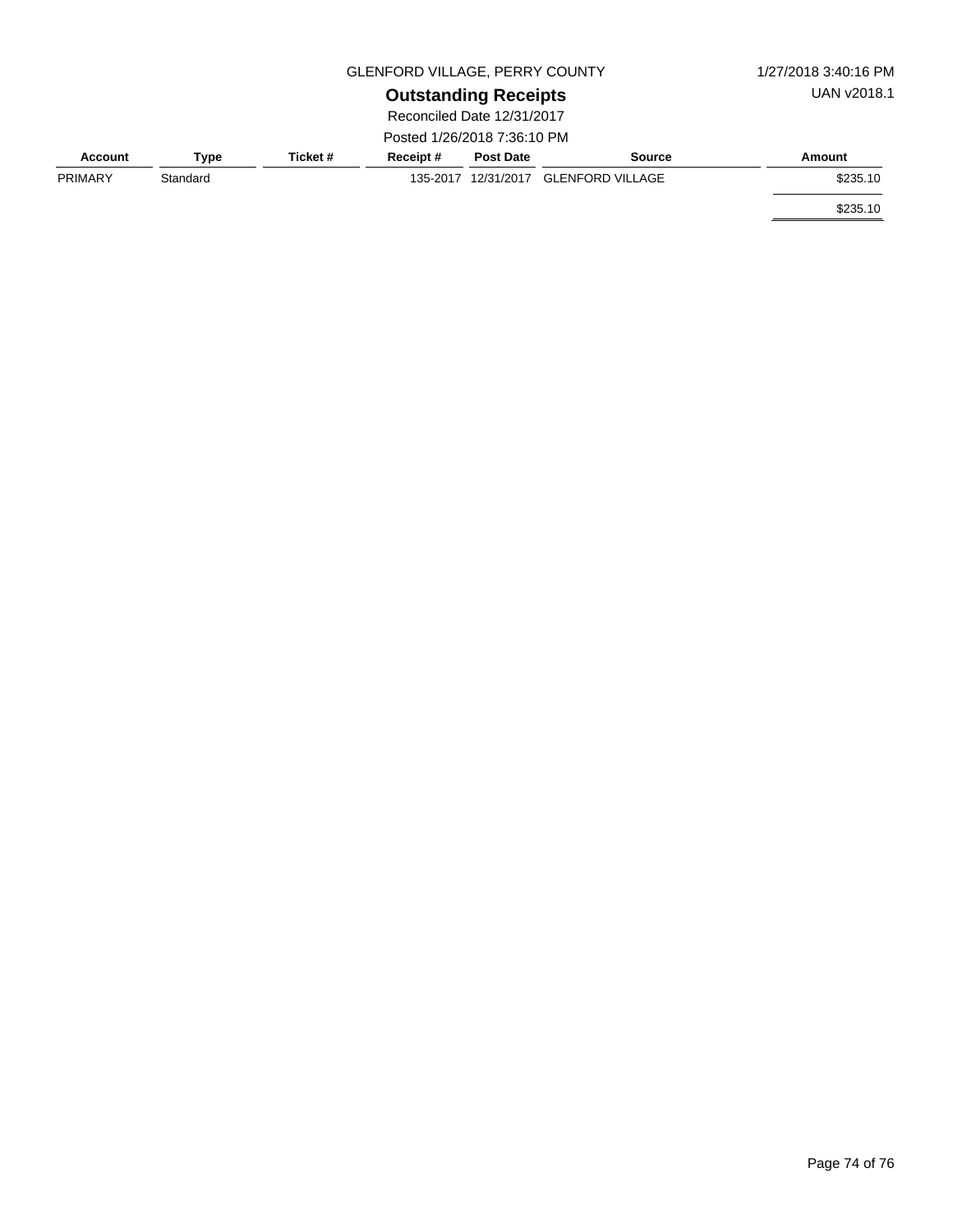|                |          |          | <b>GLENFORD VILLAGE, PERRY COUNTY</b> |                  |                             | 1/27/2018 3:40:16 PM |
|----------------|----------|----------|---------------------------------------|------------------|-----------------------------|----------------------|
|                |          |          | <b>Outstanding Receipts</b>           |                  |                             | UAN v2018.1          |
|                |          |          | Reconciled Date 12/31/2017            |                  |                             |                      |
|                |          |          | Posted 1/26/2018 7:36:10 PM           |                  |                             |                      |
| Account        | Type     | Ticket # | Receipt#                              | <b>Post Date</b> | <b>Source</b>               | Amount               |
| <b>PRIMARY</b> | Standard |          | 135-2017                              |                  | 12/31/2017 GLENFORD VILLAGE | \$235.10             |
|                |          |          |                                       |                  |                             |                      |

\$235.10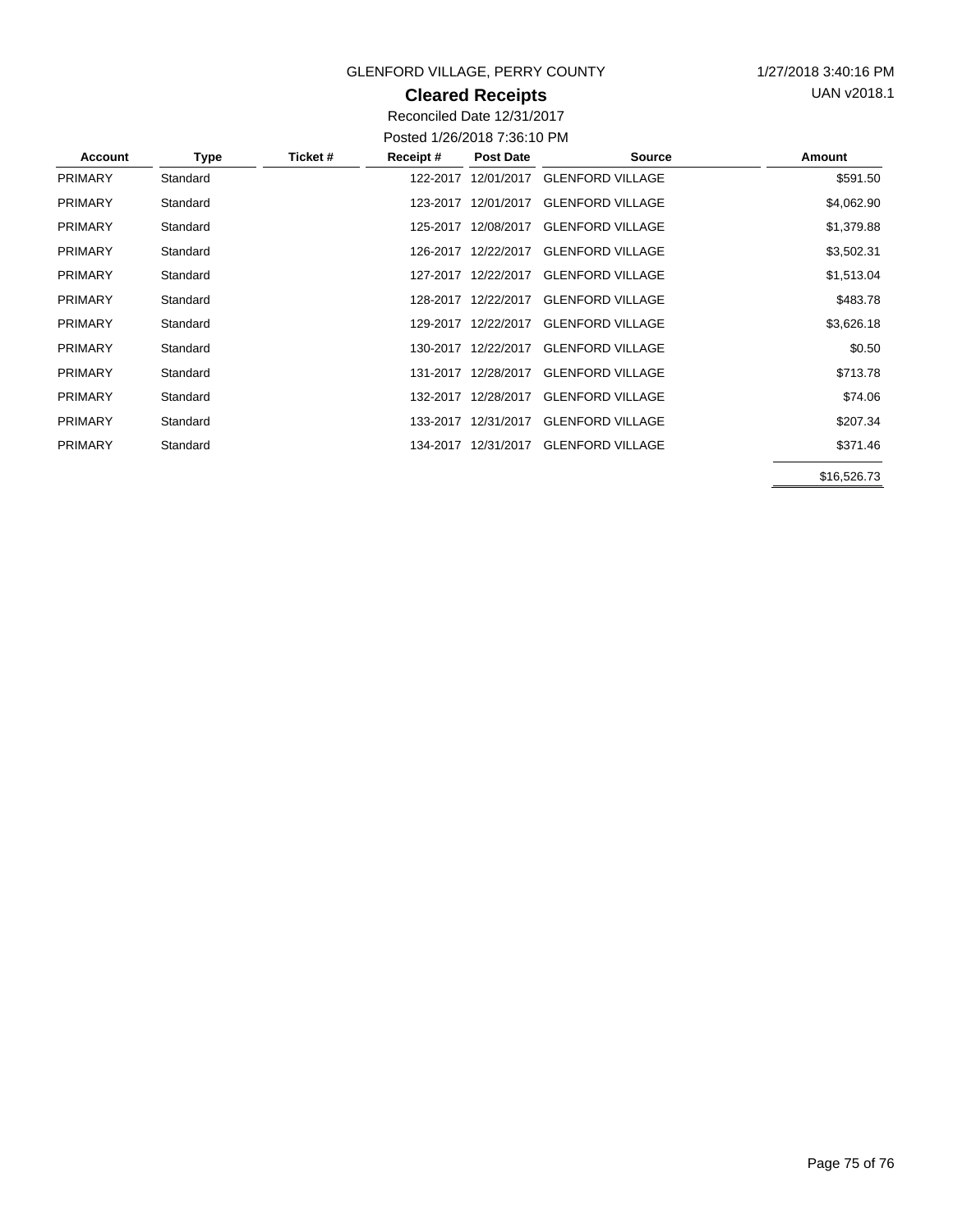GLENFORD VILLAGE, PERRY COUNTY 1/27/2018 3:40:16 PM

## **Cleared Receipts**

UAN v2018.1

Reconciled Date 12/31/2017 Posted 1/26/2018 7:36:10 PM

| <b>Account</b> | Type     | Ticket # | Receipt# | <b>Post Date</b>    | <b>Source</b>           | Amount      |
|----------------|----------|----------|----------|---------------------|-------------------------|-------------|
| <b>PRIMARY</b> | Standard |          | 122-2017 | 12/01/2017          | <b>GLENFORD VILLAGE</b> | \$591.50    |
| <b>PRIMARY</b> | Standard |          |          | 123-2017 12/01/2017 | <b>GLENFORD VILLAGE</b> | \$4,062.90  |
| <b>PRIMARY</b> | Standard |          | 125-2017 | 12/08/2017          | <b>GLENFORD VILLAGE</b> | \$1,379.88  |
| <b>PRIMARY</b> | Standard |          |          | 126-2017 12/22/2017 | <b>GLENFORD VILLAGE</b> | \$3,502.31  |
| <b>PRIMARY</b> | Standard |          |          | 127-2017 12/22/2017 | <b>GLENFORD VILLAGE</b> | \$1,513.04  |
| <b>PRIMARY</b> | Standard |          |          | 128-2017 12/22/2017 | <b>GLENFORD VILLAGE</b> | \$483.78    |
| <b>PRIMARY</b> | Standard |          |          | 129-2017 12/22/2017 | <b>GLENFORD VILLAGE</b> | \$3,626.18  |
| <b>PRIMARY</b> | Standard |          |          | 130-2017 12/22/2017 | <b>GLENFORD VILLAGE</b> | \$0.50      |
| <b>PRIMARY</b> | Standard |          |          | 131-2017 12/28/2017 | <b>GLENFORD VILLAGE</b> | \$713.78    |
| <b>PRIMARY</b> | Standard |          |          | 132-2017 12/28/2017 | <b>GLENFORD VILLAGE</b> | \$74.06     |
| <b>PRIMARY</b> | Standard |          | 133-2017 | 12/31/2017          | <b>GLENFORD VILLAGE</b> | \$207.34    |
| <b>PRIMARY</b> | Standard |          |          | 134-2017 12/31/2017 | <b>GLENFORD VILLAGE</b> | \$371.46    |
|                |          |          |          |                     |                         | \$16,526.73 |